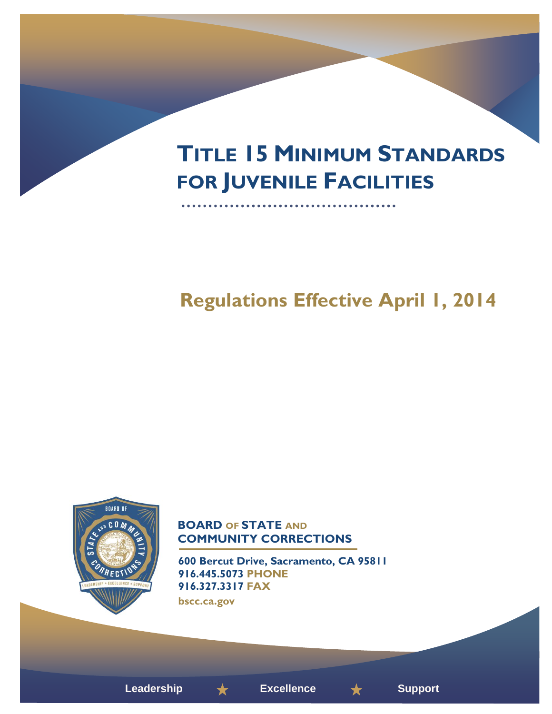# **TITLE 15 MINIMUM STANDARDS FOR JUVENILE FACILITIES**

# **Regulations Effective April 1, 2014**



# **BOARD OF STATE AND COMMUNITY CORRECTIONS**

**600 Bercut Drive, Sacramento, CA 95811 916.445.5073 PHONE 916.327.3317 FAX bscc.ca.gov**

**Leadership**





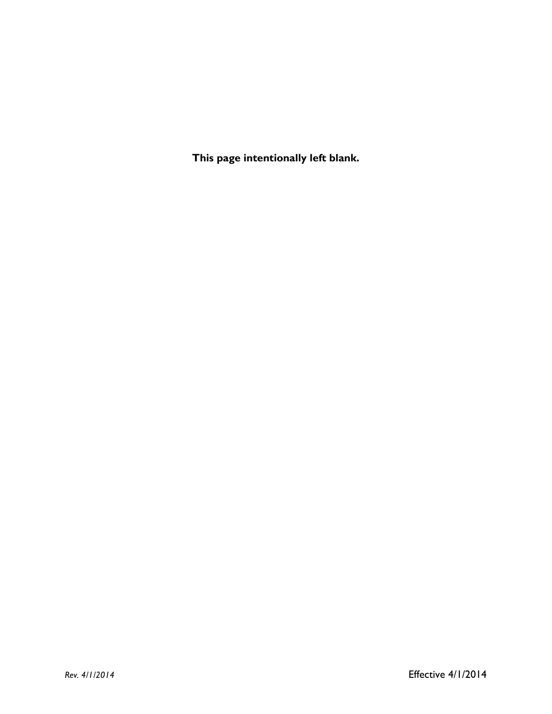**This page intentionally left blank.**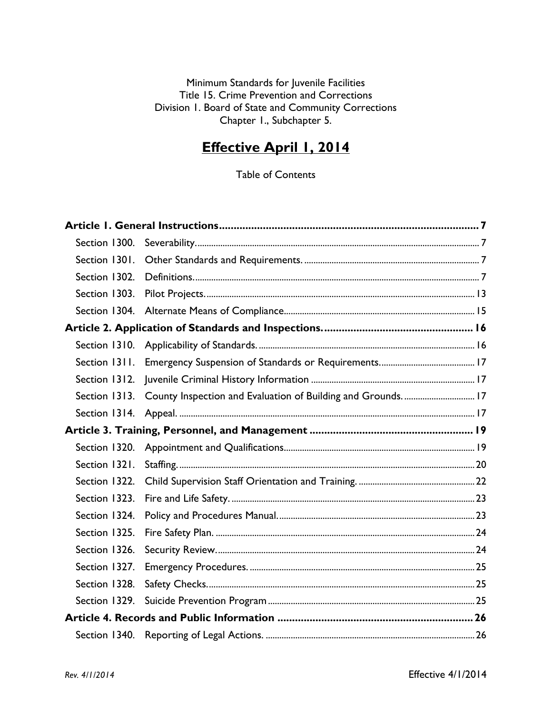Minimum Standards for Juvenile Facilities Title 15. Crime Prevention and Corrections Division 1. Board of State and Community Corrections Chapter 1., Subchapter 5.

# **Effective April 1, 2014**

Table of Contents

| Section 1301. |                                                                           |  |
|---------------|---------------------------------------------------------------------------|--|
| Section 1302. |                                                                           |  |
| Section 1303. |                                                                           |  |
|               |                                                                           |  |
|               |                                                                           |  |
|               |                                                                           |  |
|               |                                                                           |  |
|               |                                                                           |  |
|               | Section 1313. County Inspection and Evaluation of Building and Grounds 17 |  |
|               |                                                                           |  |
|               |                                                                           |  |
|               |                                                                           |  |
| Section 1321. |                                                                           |  |
| Section 1322. |                                                                           |  |
| Section 1323. |                                                                           |  |
| Section 1324. |                                                                           |  |
| Section 1325. |                                                                           |  |
| Section 1326. |                                                                           |  |
| Section 1327. |                                                                           |  |
| Section 1328. |                                                                           |  |
|               |                                                                           |  |
|               |                                                                           |  |
|               |                                                                           |  |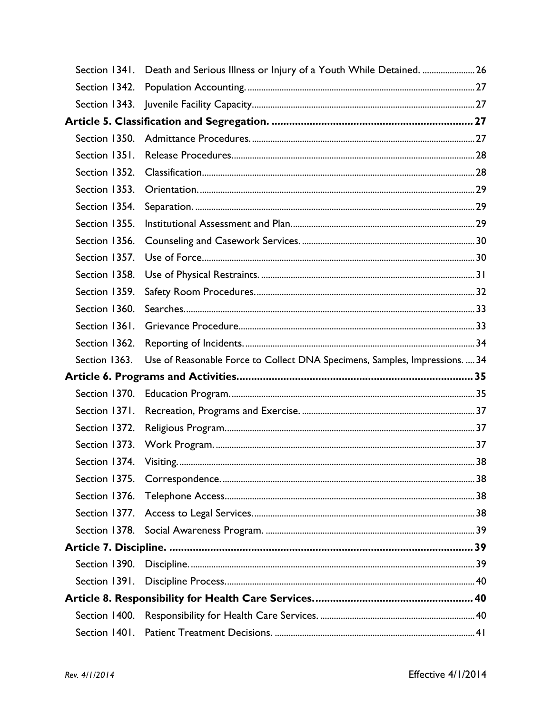|               | Section 1341. Death and Serious Illness or Injury of a Youth While Detained.  26 |  |
|---------------|----------------------------------------------------------------------------------|--|
| Section 1342. |                                                                                  |  |
|               |                                                                                  |  |
|               |                                                                                  |  |
|               |                                                                                  |  |
| Section 1351. |                                                                                  |  |
| Section 1352. |                                                                                  |  |
| Section 1353. |                                                                                  |  |
| Section 1354. |                                                                                  |  |
| Section 1355. |                                                                                  |  |
| Section 1356. |                                                                                  |  |
| Section 1357. |                                                                                  |  |
| Section 1358. |                                                                                  |  |
| Section 1359. |                                                                                  |  |
| Section 1360. |                                                                                  |  |
| Section 1361. |                                                                                  |  |
| Section 1362. |                                                                                  |  |
| Section 1363. | Use of Reasonable Force to Collect DNA Specimens, Samples, Impressions.  34      |  |
|               |                                                                                  |  |
|               |                                                                                  |  |
|               |                                                                                  |  |
| Section 1371. |                                                                                  |  |
| Section 1372. |                                                                                  |  |
|               |                                                                                  |  |
|               |                                                                                  |  |
|               |                                                                                  |  |
|               |                                                                                  |  |
|               |                                                                                  |  |
|               |                                                                                  |  |
|               |                                                                                  |  |
|               |                                                                                  |  |
|               |                                                                                  |  |
|               |                                                                                  |  |
|               |                                                                                  |  |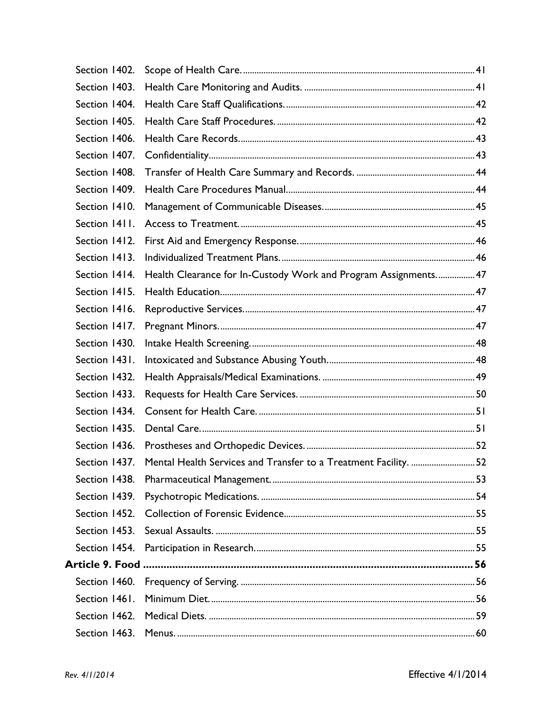| Section 1403. |                                                                 |  |
|---------------|-----------------------------------------------------------------|--|
| Section 1404. |                                                                 |  |
| Section 1405. |                                                                 |  |
| Section 1406. |                                                                 |  |
| Section 1407. |                                                                 |  |
| Section 1408. |                                                                 |  |
| Section 1409. |                                                                 |  |
| Section 1410. |                                                                 |  |
| Section 1411. |                                                                 |  |
| Section 1412. |                                                                 |  |
| Section 1413. |                                                                 |  |
| Section 1414. | Health Clearance for In-Custody Work and Program Assignments 47 |  |
| Section 1415. |                                                                 |  |
| Section 1416. |                                                                 |  |
| Section 1417. |                                                                 |  |
| Section 1430. |                                                                 |  |
| Section 1431. |                                                                 |  |
| Section 1432. |                                                                 |  |
| Section 1433. |                                                                 |  |
| Section 1434. |                                                                 |  |
| Section 1435. |                                                                 |  |
| Section 1436. |                                                                 |  |
| Section 1437. | Mental Health Services and Transfer to a Treatment Facility. 52 |  |
|               |                                                                 |  |
|               |                                                                 |  |
|               |                                                                 |  |
|               |                                                                 |  |
|               |                                                                 |  |
|               |                                                                 |  |
|               |                                                                 |  |
| Section 1461. |                                                                 |  |
|               |                                                                 |  |
|               |                                                                 |  |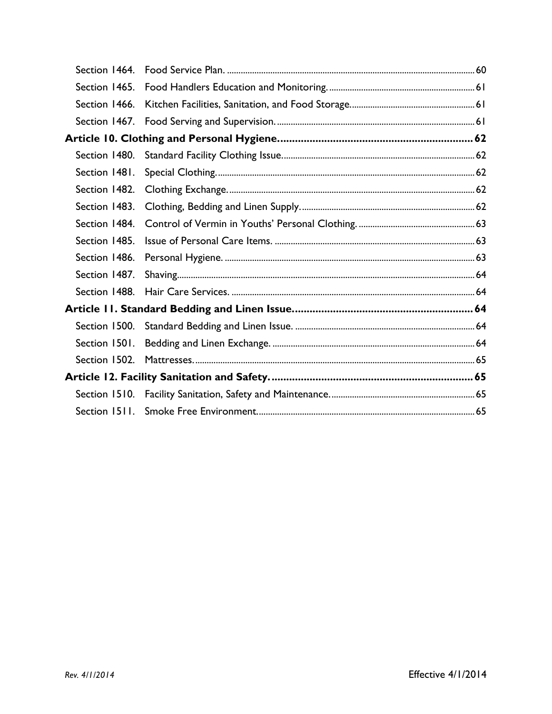| Section 1466. |  |
|---------------|--|
|               |  |
|               |  |
|               |  |
|               |  |
|               |  |
|               |  |
|               |  |
|               |  |
|               |  |
| Section 1487. |  |
| Section 1488. |  |
|               |  |
|               |  |
|               |  |
|               |  |
|               |  |
|               |  |
|               |  |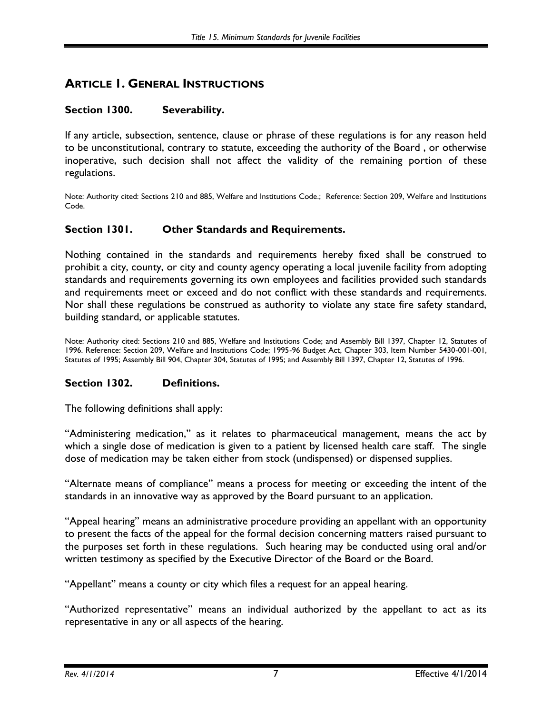# <span id="page-6-0"></span>**ARTICLE 1. GENERAL INSTRUCTIONS**

# <span id="page-6-1"></span>**Section 1300. Severability.**

If any article, subsection, sentence, clause or phrase of these regulations is for any reason held to be unconstitutional, contrary to statute, exceeding the authority of the Board , or otherwise inoperative, such decision shall not affect the validity of the remaining portion of these regulations.

Note: Authority cited: Sections 210 and 885, Welfare and Institutions Code.; Reference: Section 209, Welfare and Institutions Code.

### <span id="page-6-2"></span>**Section 1301. Other Standards and Requirements.**

Nothing contained in the standards and requirements hereby fixed shall be construed to prohibit a city, county, or city and county agency operating a local juvenile facility from adopting standards and requirements governing its own employees and facilities provided such standards and requirements meet or exceed and do not conflict with these standards and requirements. Nor shall these regulations be construed as authority to violate any state fire safety standard, building standard, or applicable statutes.

Note: Authority cited: Sections 210 and 885, Welfare and Institutions Code; and Assembly Bill 1397, Chapter 12, Statutes of 1996. Reference: Section 209, Welfare and Institutions Code; 1995-96 Budget Act, Chapter 303, Item Number 5430-001-001, Statutes of 1995; Assembly Bill 904, Chapter 304, Statutes of 1995; and Assembly Bill 1397, Chapter 12, Statutes of 1996.

#### <span id="page-6-3"></span>**Section 1302. Definitions.**

The following definitions shall apply:

"Administering medication," as it relates to pharmaceutical management, means the act by which a single dose of medication is given to a patient by licensed health care staff. The single dose of medication may be taken either from stock (undispensed) or dispensed supplies.

"Alternate means of compliance" means a process for meeting or exceeding the intent of the standards in an innovative way as approved by the Board pursuant to an application.

"Appeal hearing" means an administrative procedure providing an appellant with an opportunity to present the facts of the appeal for the formal decision concerning matters raised pursuant to the purposes set forth in these regulations. Such hearing may be conducted using oral and/or written testimony as specified by the Executive Director of the Board or the Board.

"Appellant" means a county or city which files a request for an appeal hearing.

"Authorized representative" means an individual authorized by the appellant to act as its representative in any or all aspects of the hearing.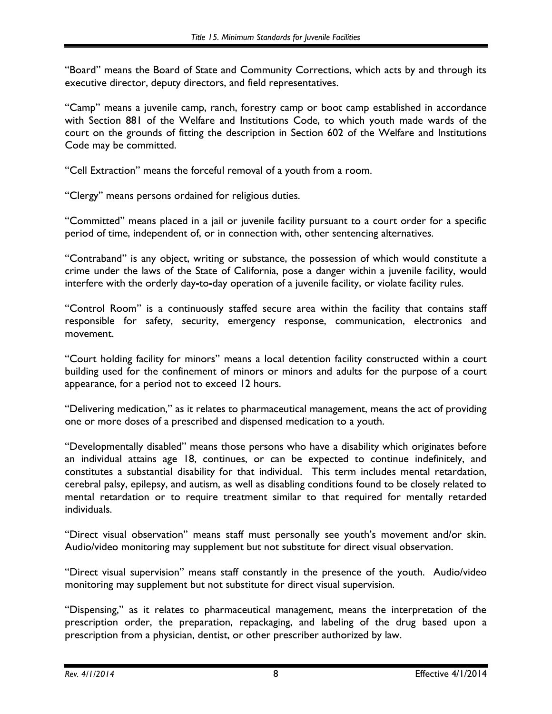"Board" means the Board of State and Community Corrections, which acts by and through its executive director, deputy directors, and field representatives.

"Camp" means a juvenile camp, ranch, forestry camp or boot camp established in accordance with Section 881 of the Welfare and Institutions Code, to which youth made wards of the court on the grounds of fitting the description in Section 602 of the Welfare and Institutions Code may be committed.

"Cell Extraction" means the forceful removal of a youth from a room.

"Clergy" means persons ordained for religious duties.

"Committed" means placed in a jail or juvenile facility pursuant to a court order for a specific period of time, independent of, or in connection with, other sentencing alternatives.

"Contraband" is any object, writing or substance, the possession of which would constitute a crime under the laws of the State of California, pose a danger within a juvenile facility, would interfere with the orderly day**-**to**-**day operation of a juvenile facility, or violate facility rules.

"Control Room" is a continuously staffed secure area within the facility that contains staff responsible for safety, security, emergency response, communication, electronics and movement.

"Court holding facility for minors" means a local detention facility constructed within a court building used for the confinement of minors or minors and adults for the purpose of a court appearance, for a period not to exceed 12 hours.

"Delivering medication," as it relates to pharmaceutical management, means the act of providing one or more doses of a prescribed and dispensed medication to a youth.

"Developmentally disabled" means those persons who have a disability which originates before an individual attains age 18, continues, or can be expected to continue indefinitely, and constitutes a substantial disability for that individual. This term includes mental retardation, cerebral palsy, epilepsy, and autism, as well as disabling conditions found to be closely related to mental retardation or to require treatment similar to that required for mentally retarded individuals.

"Direct visual observation" means staff must personally see youth's movement and/or skin. Audio/video monitoring may supplement but not substitute for direct visual observation.

"Direct visual supervision" means staff constantly in the presence of the youth. Audio/video monitoring may supplement but not substitute for direct visual supervision.

"Dispensing," as it relates to pharmaceutical management, means the interpretation of the prescription order, the preparation, repackaging, and labeling of the drug based upon a prescription from a physician, dentist, or other prescriber authorized by law.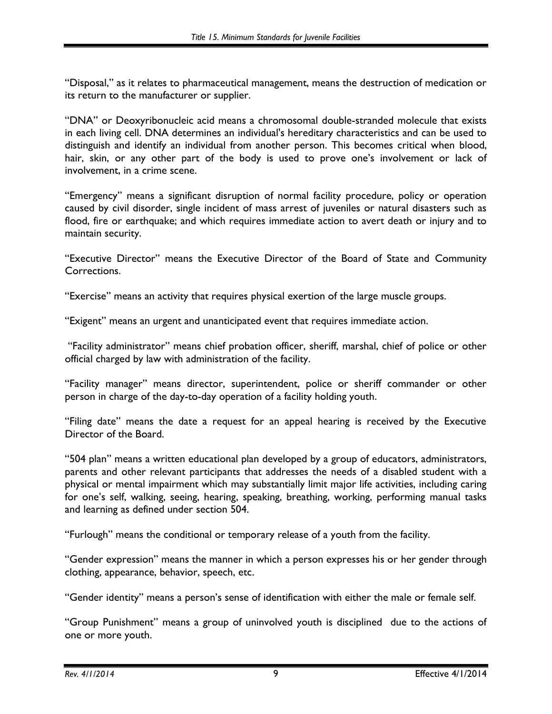"Disposal," as it relates to pharmaceutical management, means the destruction of medication or its return to the manufacturer or supplier.

"DNA" or Deoxyribonucleic acid means a chromosomal double-stranded molecule that exists in each living cell. DNA determines an individual's hereditary characteristics and can be used to distinguish and identify an individual from another person. This becomes critical when blood, hair, skin, or any other part of the body is used to prove one's involvement or lack of involvement, in a crime scene.

"Emergency" means a significant disruption of normal facility procedure, policy or operation caused by civil disorder, single incident of mass arrest of juveniles or natural disasters such as flood, fire or earthquake; and which requires immediate action to avert death or injury and to maintain security.

"Executive Director" means the Executive Director of the Board of State and Community Corrections.

"Exercise" means an activity that requires physical exertion of the large muscle groups.

"Exigent" means an urgent and unanticipated event that requires immediate action.

"Facility administrator" means chief probation officer, sheriff, marshal, chief of police or other official charged by law with administration of the facility.

"Facility manager" means director, superintendent, police or sheriff commander or other person in charge of the day-to-day operation of a facility holding youth.

"Filing date" means the date a request for an appeal hearing is received by the Executive Director of the Board.

"504 plan" means a written educational plan developed by a group of educators, administrators, parents and other relevant participants that addresses the needs of a disabled student with a physical or mental impairment which may substantially limit major life activities, including caring for one's self, walking, seeing, hearing, speaking, breathing, working, performing manual tasks and learning as defined under section 504.

"Furlough" means the conditional or temporary release of a youth from the facility.

"Gender expression" means the manner in which a person expresses his or her gender through clothing, appearance, behavior, speech, etc.

"Gender identity" means a person's sense of identification with either the male or female self.

"Group Punishment" means a group of uninvolved youth is disciplined due to the actions of one or more youth.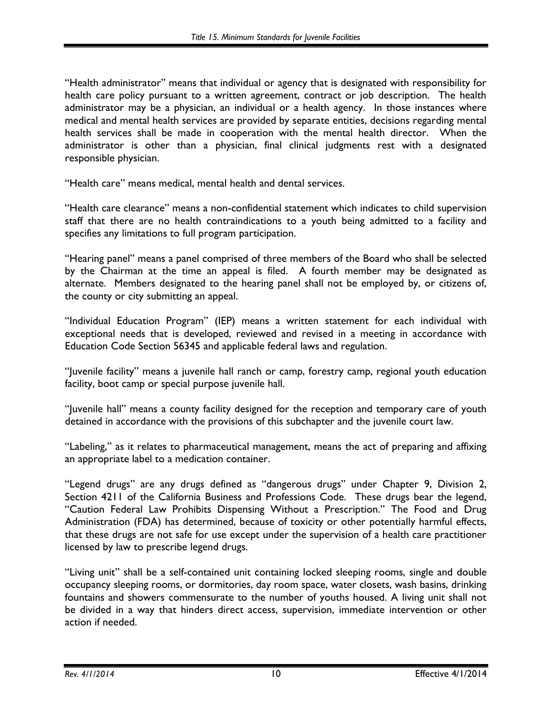"Health administrator" means that individual or agency that is designated with responsibility for health care policy pursuant to a written agreement, contract or job description. The health administrator may be a physician, an individual or a health agency. In those instances where medical and mental health services are provided by separate entities, decisions regarding mental health services shall be made in cooperation with the mental health director. When the administrator is other than a physician, final clinical judgments rest with a designated responsible physician.

"Health care" means medical, mental health and dental services.

"Health care clearance" means a non-confidential statement which indicates to child supervision staff that there are no health contraindications to a youth being admitted to a facility and specifies any limitations to full program participation.

"Hearing panel" means a panel comprised of three members of the Board who shall be selected by the Chairman at the time an appeal is filed. A fourth member may be designated as alternate. Members designated to the hearing panel shall not be employed by, or citizens of, the county or city submitting an appeal.

"Individual Education Program" (IEP) means a written statement for each individual with exceptional needs that is developed, reviewed and revised in a meeting in accordance with Education Code Section 56345 and applicable federal laws and regulation.

"Juvenile facility" means a juvenile hall ranch or camp, forestry camp, regional youth education facility, boot camp or special purpose juvenile hall.

"Juvenile hall" means a county facility designed for the reception and temporary care of youth detained in accordance with the provisions of this subchapter and the juvenile court law.

"Labeling," as it relates to pharmaceutical management, means the act of preparing and affixing an appropriate label to a medication container.

"Legend drugs" are any drugs defined as "dangerous drugs" under Chapter 9, Division 2, Section 4211 of the California Business and Professions Code. These drugs bear the legend, "Caution Federal Law Prohibits Dispensing Without a Prescription." The Food and Drug Administration (FDA) has determined, because of toxicity or other potentially harmful effects, that these drugs are not safe for use except under the supervision of a health care practitioner licensed by law to prescribe legend drugs.

"Living unit" shall be a self-contained unit containing locked sleeping rooms, single and double occupancy sleeping rooms, or dormitories, day room space, water closets, wash basins, drinking fountains and showers commensurate to the number of youths housed. A living unit shall not be divided in a way that hinders direct access, supervision, immediate intervention or other action if needed.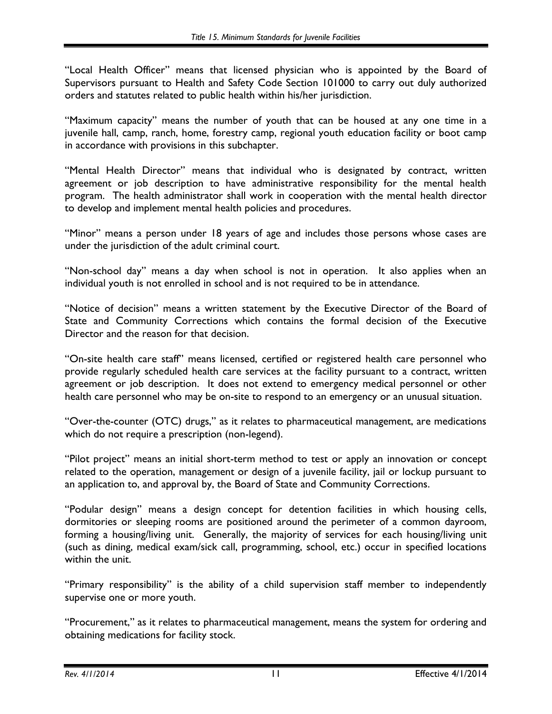"Local Health Officer" means that licensed physician who is appointed by the Board of Supervisors pursuant to Health and Safety Code Section 101000 to carry out duly authorized orders and statutes related to public health within his/her jurisdiction.

"Maximum capacity" means the number of youth that can be housed at any one time in a juvenile hall, camp, ranch, home, forestry camp, regional youth education facility or boot camp in accordance with provisions in this subchapter.

"Mental Health Director" means that individual who is designated by contract, written agreement or job description to have administrative responsibility for the mental health program. The health administrator shall work in cooperation with the mental health director to develop and implement mental health policies and procedures.

"Minor" means a person under 18 years of age and includes those persons whose cases are under the jurisdiction of the adult criminal court.

"Non-school day" means a day when school is not in operation. It also applies when an individual youth is not enrolled in school and is not required to be in attendance.

"Notice of decision" means a written statement by the Executive Director of the Board of State and Community Corrections which contains the formal decision of the Executive Director and the reason for that decision.

"On-site health care staff" means licensed, certified or registered health care personnel who provide regularly scheduled health care services at the facility pursuant to a contract, written agreement or job description. It does not extend to emergency medical personnel or other health care personnel who may be on-site to respond to an emergency or an unusual situation.

"Over-the-counter (OTC) drugs," as it relates to pharmaceutical management, are medications which do not require a prescription (non-legend).

"Pilot project" means an initial short-term method to test or apply an innovation or concept related to the operation, management or design of a juvenile facility, jail or lockup pursuant to an application to, and approval by, the Board of State and Community Corrections.

"Podular design" means a design concept for detention facilities in which housing cells, dormitories or sleeping rooms are positioned around the perimeter of a common dayroom, forming a housing/living unit. Generally, the majority of services for each housing/living unit (such as dining, medical exam/sick call, programming, school, etc.) occur in specified locations within the unit.

"Primary responsibility" is the ability of a child supervision staff member to independently supervise one or more youth.

"Procurement," as it relates to pharmaceutical management, means the system for ordering and obtaining medications for facility stock.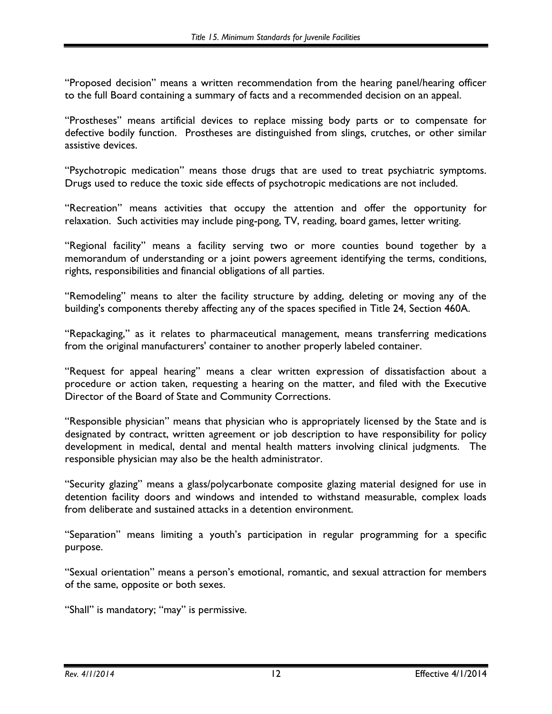"Proposed decision" means a written recommendation from the hearing panel/hearing officer to the full Board containing a summary of facts and a recommended decision on an appeal.

"Prostheses" means artificial devices to replace missing body parts or to compensate for defective bodily function. Prostheses are distinguished from slings, crutches, or other similar assistive devices.

"Psychotropic medication" means those drugs that are used to treat psychiatric symptoms. Drugs used to reduce the toxic side effects of psychotropic medications are not included.

"Recreation" means activities that occupy the attention and offer the opportunity for relaxation. Such activities may include ping-pong, TV, reading, board games, letter writing.

"Regional facility" means a facility serving two or more counties bound together by a memorandum of understanding or a joint powers agreement identifying the terms, conditions, rights, responsibilities and financial obligations of all parties.

"Remodeling" means to alter the facility structure by adding, deleting or moving any of the building's components thereby affecting any of the spaces specified in Title 24, Section 460A.

"Repackaging," as it relates to pharmaceutical management, means transferring medications from the original manufacturers' container to another properly labeled container.

"Request for appeal hearing" means a clear written expression of dissatisfaction about a procedure or action taken, requesting a hearing on the matter, and filed with the Executive Director of the Board of State and Community Corrections.

"Responsible physician" means that physician who is appropriately licensed by the State and is designated by contract, written agreement or job description to have responsibility for policy development in medical, dental and mental health matters involving clinical judgments. The responsible physician may also be the health administrator.

"Security glazing" means a glass/polycarbonate composite glazing material designed for use in detention facility doors and windows and intended to withstand measurable, complex loads from deliberate and sustained attacks in a detention environment.

"Separation" means limiting a youth's participation in regular programming for a specific purpose.

"Sexual orientation" means a person's emotional, romantic, and sexual attraction for members of the same, opposite or both sexes.

"Shall" is mandatory; "may" is permissive.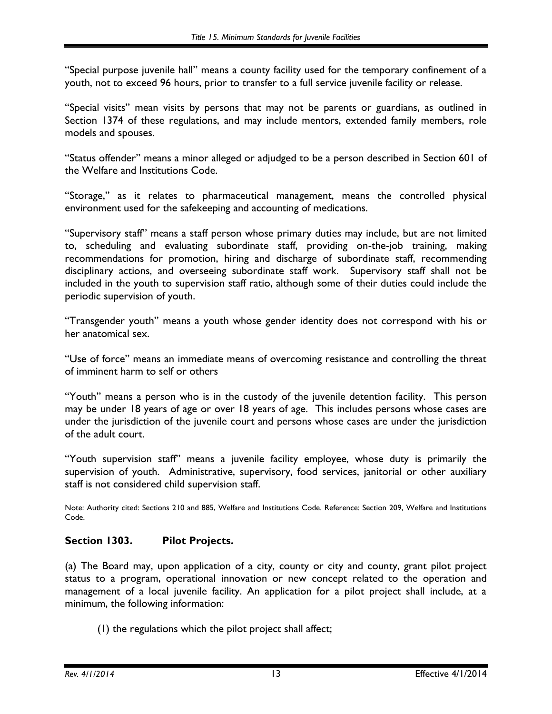"Special purpose juvenile hall" means a county facility used for the temporary confinement of a youth, not to exceed 96 hours, prior to transfer to a full service juvenile facility or release.

"Special visits" mean visits by persons that may not be parents or guardians, as outlined in Section 1374 of these regulations, and may include mentors, extended family members, role models and spouses.

"Status offender" means a minor alleged or adjudged to be a person described in Section 601 of the Welfare and Institutions Code.

"Storage," as it relates to pharmaceutical management, means the controlled physical environment used for the safekeeping and accounting of medications.

"Supervisory staff" means a staff person whose primary duties may include, but are not limited to, scheduling and evaluating subordinate staff, providing on-the-job training, making recommendations for promotion, hiring and discharge of subordinate staff, recommending disciplinary actions, and overseeing subordinate staff work. Supervisory staff shall not be included in the youth to supervision staff ratio, although some of their duties could include the periodic supervision of youth.

"Transgender youth" means a youth whose gender identity does not correspond with his or her anatomical sex.

"Use of force" means an immediate means of overcoming resistance and controlling the threat of imminent harm to self or others

"Youth" means a person who is in the custody of the juvenile detention facility. This person may be under 18 years of age or over 18 years of age. This includes persons whose cases are under the jurisdiction of the juvenile court and persons whose cases are under the jurisdiction of the adult court.

"Youth supervision staff" means a juvenile facility employee, whose duty is primarily the supervision of youth. Administrative, supervisory, food services, janitorial or other auxiliary staff is not considered child supervision staff.

Note: Authority cited: Sections 210 and 885, Welfare and Institutions Code. Reference: Section 209, Welfare and Institutions Code.

# <span id="page-12-0"></span>**Section 1303. Pilot Projects.**

(a) The Board may, upon application of a city, county or city and county, grant pilot project status to a program, operational innovation or new concept related to the operation and management of a local juvenile facility. An application for a pilot project shall include, at a minimum, the following information:

(1) the regulations which the pilot project shall affect;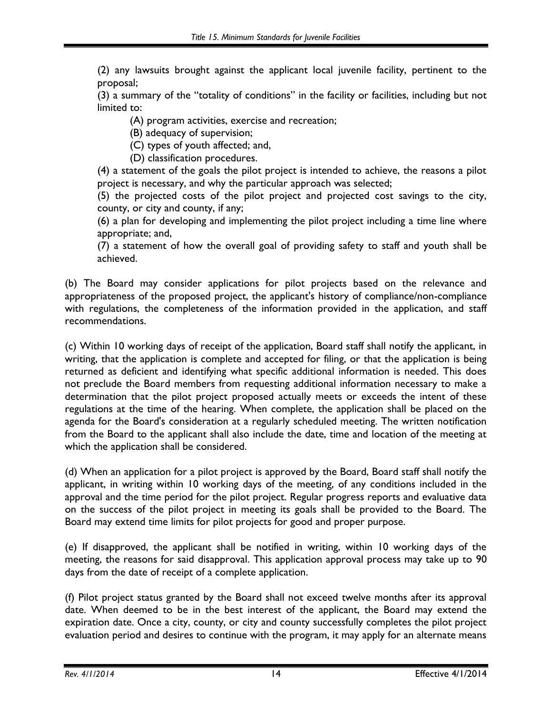(2) any lawsuits brought against the applicant local juvenile facility, pertinent to the proposal;

(3) a summary of the "totality of conditions" in the facility or facilities, including but not limited to:

(A) program activities, exercise and recreation;

(B) adequacy of supervision;

(C) types of youth affected; and,

(D) classification procedures.

(4) a statement of the goals the pilot project is intended to achieve, the reasons a pilot project is necessary, and why the particular approach was selected;

(5) the projected costs of the pilot project and projected cost savings to the city, county, or city and county, if any;

(6) a plan for developing and implementing the pilot project including a time line where appropriate; and,

(7) a statement of how the overall goal of providing safety to staff and youth shall be achieved.

(b) The Board may consider applications for pilot projects based on the relevance and appropriateness of the proposed project, the applicant's history of compliance/non-compliance with regulations, the completeness of the information provided in the application, and staff recommendations.

(c) Within 10 working days of receipt of the application, Board staff shall notify the applicant, in writing, that the application is complete and accepted for filing, or that the application is being returned as deficient and identifying what specific additional information is needed. This does not preclude the Board members from requesting additional information necessary to make a determination that the pilot project proposed actually meets or exceeds the intent of these regulations at the time of the hearing. When complete, the application shall be placed on the agenda for the Board's consideration at a regularly scheduled meeting. The written notification from the Board to the applicant shall also include the date, time and location of the meeting at which the application shall be considered.

(d) When an application for a pilot project is approved by the Board, Board staff shall notify the applicant, in writing within 10 working days of the meeting, of any conditions included in the approval and the time period for the pilot project. Regular progress reports and evaluative data on the success of the pilot project in meeting its goals shall be provided to the Board. The Board may extend time limits for pilot projects for good and proper purpose.

(e) If disapproved, the applicant shall be notified in writing, within 10 working days of the meeting, the reasons for said disapproval. This application approval process may take up to 90 days from the date of receipt of a complete application.

(f) Pilot project status granted by the Board shall not exceed twelve months after its approval date. When deemed to be in the best interest of the applicant, the Board may extend the expiration date. Once a city, county, or city and county successfully completes the pilot project evaluation period and desires to continue with the program, it may apply for an alternate means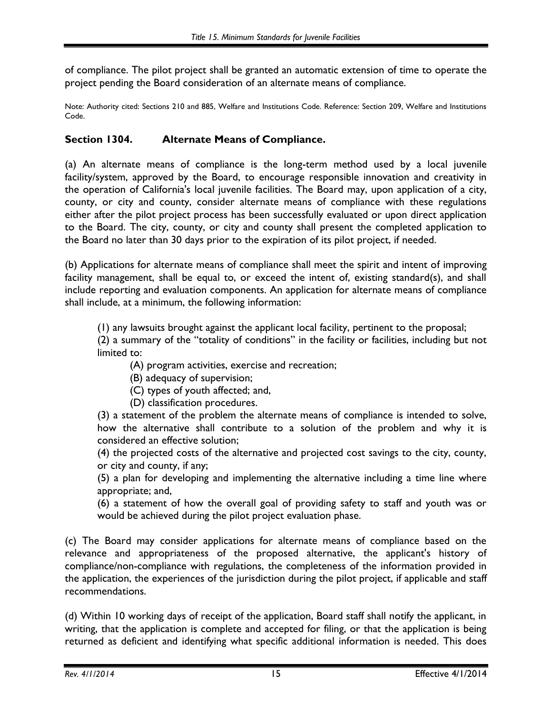of compliance. The pilot project shall be granted an automatic extension of time to operate the project pending the Board consideration of an alternate means of compliance.

Note: Authority cited: Sections 210 and 885, Welfare and Institutions Code. Reference: Section 209, Welfare and Institutions Code.

# <span id="page-14-0"></span>**Section 1304. Alternate Means of Compliance.**

(a) An alternate means of compliance is the long-term method used by a local juvenile facility/system, approved by the Board, to encourage responsible innovation and creativity in the operation of California's local juvenile facilities. The Board may, upon application of a city, county, or city and county, consider alternate means of compliance with these regulations either after the pilot project process has been successfully evaluated or upon direct application to the Board. The city, county, or city and county shall present the completed application to the Board no later than 30 days prior to the expiration of its pilot project, if needed.

(b) Applications for alternate means of compliance shall meet the spirit and intent of improving facility management, shall be equal to, or exceed the intent of, existing standard(s), and shall include reporting and evaluation components. An application for alternate means of compliance shall include, at a minimum, the following information:

(1) any lawsuits brought against the applicant local facility, pertinent to the proposal;

(2) a summary of the "totality of conditions" in the facility or facilities, including but not limited to:

(A) program activities, exercise and recreation;

(B) adequacy of supervision;

(C) types of youth affected; and,

(D) classification procedures.

(3) a statement of the problem the alternate means of compliance is intended to solve, how the alternative shall contribute to a solution of the problem and why it is considered an effective solution;

(4) the projected costs of the alternative and projected cost savings to the city, county, or city and county, if any;

(5) a plan for developing and implementing the alternative including a time line where appropriate; and,

(6) a statement of how the overall goal of providing safety to staff and youth was or would be achieved during the pilot project evaluation phase.

(c) The Board may consider applications for alternate means of compliance based on the relevance and appropriateness of the proposed alternative, the applicant's history of compliance/non-compliance with regulations, the completeness of the information provided in the application, the experiences of the jurisdiction during the pilot project, if applicable and staff recommendations.

(d) Within 10 working days of receipt of the application, Board staff shall notify the applicant, in writing, that the application is complete and accepted for filing, or that the application is being returned as deficient and identifying what specific additional information is needed. This does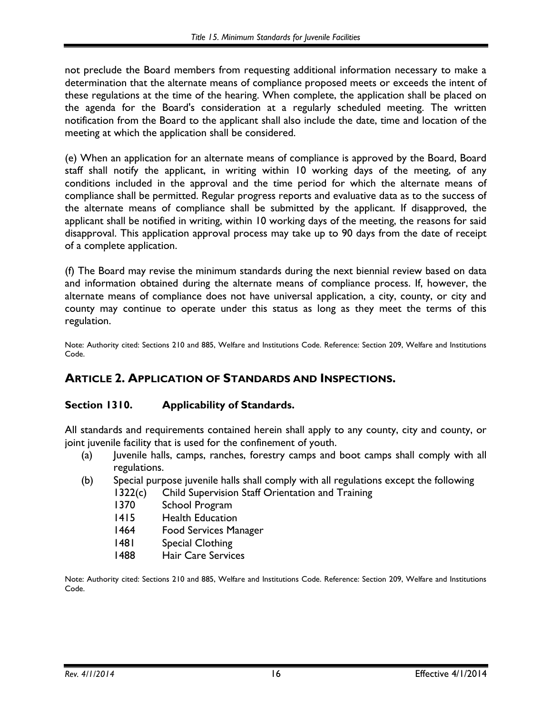not preclude the Board members from requesting additional information necessary to make a determination that the alternate means of compliance proposed meets or exceeds the intent of these regulations at the time of the hearing. When complete, the application shall be placed on the agenda for the Board's consideration at a regularly scheduled meeting. The written notification from the Board to the applicant shall also include the date, time and location of the meeting at which the application shall be considered.

(e) When an application for an alternate means of compliance is approved by the Board, Board staff shall notify the applicant, in writing within 10 working days of the meeting, of any conditions included in the approval and the time period for which the alternate means of compliance shall be permitted. Regular progress reports and evaluative data as to the success of the alternate means of compliance shall be submitted by the applicant. If disapproved, the applicant shall be notified in writing, within 10 working days of the meeting, the reasons for said disapproval. This application approval process may take up to 90 days from the date of receipt of a complete application.

(f) The Board may revise the minimum standards during the next biennial review based on data and information obtained during the alternate means of compliance process. If, however, the alternate means of compliance does not have universal application, a city, county, or city and county may continue to operate under this status as long as they meet the terms of this regulation.

Note: Authority cited: Sections 210 and 885, Welfare and Institutions Code. Reference: Section 209, Welfare and Institutions Code.

# <span id="page-15-0"></span>**ARTICLE 2. APPLICATION OF STANDARDS AND INSPECTIONS.**

# <span id="page-15-1"></span>**Section 1310. Applicability of Standards.**

All standards and requirements contained herein shall apply to any county, city and county, or joint juvenile facility that is used for the confinement of youth.

- (a) Juvenile halls, camps, ranches, forestry camps and boot camps shall comply with all regulations.
- (b) Special purpose juvenile halls shall comply with all regulations except the following
	- 1322(c) Child Supervision Staff Orientation and Training
	- 1370 School Program
	- 1415 Health Education
	- 1464 Food Services Manager
	- 1481 Special Clothing
	- 1488 Hair Care Services

Note: Authority cited: Sections 210 and 885, Welfare and Institutions Code. Reference: Section 209, Welfare and Institutions Code.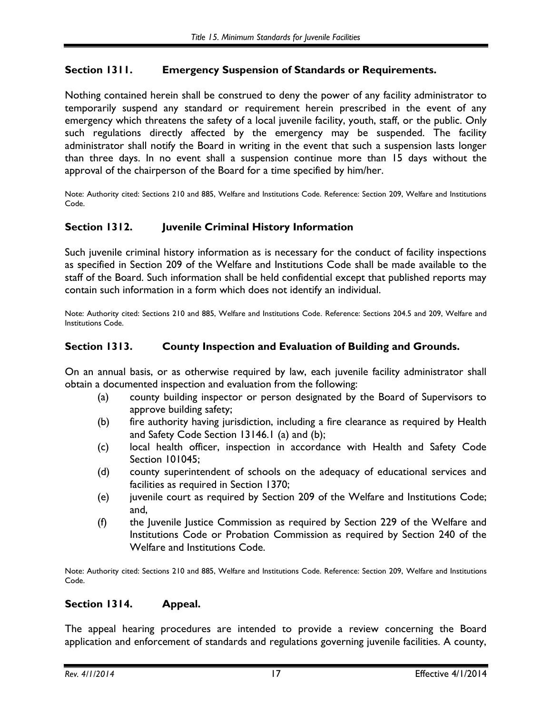# <span id="page-16-0"></span>**Section 1311. Emergency Suspension of Standards or Requirements.**

Nothing contained herein shall be construed to deny the power of any facility administrator to temporarily suspend any standard or requirement herein prescribed in the event of any emergency which threatens the safety of a local juvenile facility, youth, staff, or the public. Only such regulations directly affected by the emergency may be suspended. The facility administrator shall notify the Board in writing in the event that such a suspension lasts longer than three days. In no event shall a suspension continue more than 15 days without the approval of the chairperson of the Board for a time specified by him/her.

Note: Authority cited: Sections 210 and 885, Welfare and Institutions Code. Reference: Section 209, Welfare and Institutions Code.

### <span id="page-16-1"></span>**Section 1312. Juvenile Criminal History Information**

Such juvenile criminal history information as is necessary for the conduct of facility inspections as specified in Section 209 of the Welfare and Institutions Code shall be made available to the staff of the Board. Such information shall be held confidential except that published reports may contain such information in a form which does not identify an individual.

Note: Authority cited: Sections 210 and 885, Welfare and Institutions Code. Reference: Sections 204.5 and 209, Welfare and Institutions Code.

#### <span id="page-16-2"></span>**Section 1313. County Inspection and Evaluation of Building and Grounds.**

On an annual basis, or as otherwise required by law, each juvenile facility administrator shall obtain a documented inspection and evaluation from the following:

- (a) county building inspector or person designated by the Board of Supervisors to approve building safety;
- (b) fire authority having jurisdiction, including a fire clearance as required by Health and Safety Code Section 13146.1 (a) and (b);
- (c) local health officer, inspection in accordance with Health and Safety Code Section 101045;
- (d) county superintendent of schools on the adequacy of educational services and facilities as required in Section 1370;
- (e) juvenile court as required by Section 209 of the Welfare and Institutions Code; and,
- (f) the Juvenile Justice Commission as required by Section 229 of the Welfare and Institutions Code or Probation Commission as required by Section 240 of the Welfare and Institutions Code.

Note: Authority cited: Sections 210 and 885, Welfare and Institutions Code. Reference: Section 209, Welfare and Institutions Code.

#### <span id="page-16-3"></span>**Section 1314. Appeal.**

The appeal hearing procedures are intended to provide a review concerning the Board application and enforcement of standards and regulations governing juvenile facilities. A county,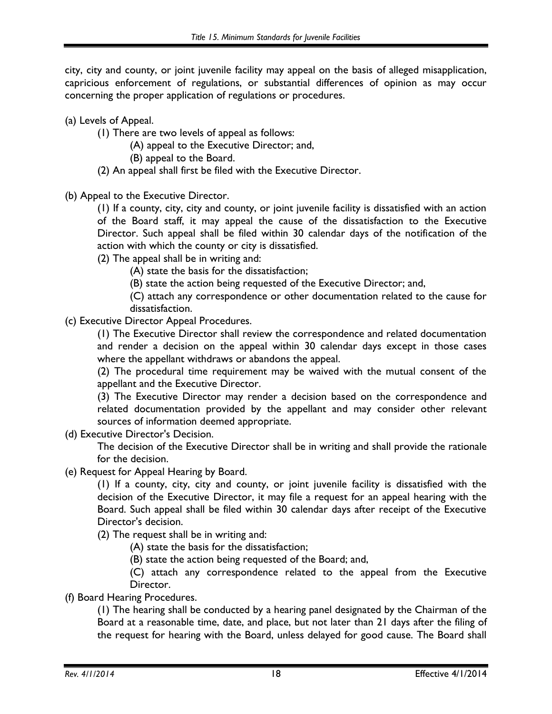city, city and county, or joint juvenile facility may appeal on the basis of alleged misapplication, capricious enforcement of regulations, or substantial differences of opinion as may occur concerning the proper application of regulations or procedures.

- (a) Levels of Appeal.
	- (1) There are two levels of appeal as follows:
		- (A) appeal to the Executive Director; and,
			- (B) appeal to the Board.
	- (2) An appeal shall first be filed with the Executive Director.
- (b) Appeal to the Executive Director.

(1) If a county, city, city and county, or joint juvenile facility is dissatisfied with an action of the Board staff, it may appeal the cause of the dissatisfaction to the Executive Director. Such appeal shall be filed within 30 calendar days of the notification of the action with which the county or city is dissatisfied.

- (2) The appeal shall be in writing and:
	- (A) state the basis for the dissatisfaction;
	- (B) state the action being requested of the Executive Director; and,

(C) attach any correspondence or other documentation related to the cause for dissatisfaction.

(c) Executive Director Appeal Procedures.

(1) The Executive Director shall review the correspondence and related documentation and render a decision on the appeal within 30 calendar days except in those cases where the appellant withdraws or abandons the appeal.

(2) The procedural time requirement may be waived with the mutual consent of the appellant and the Executive Director.

(3) The Executive Director may render a decision based on the correspondence and related documentation provided by the appellant and may consider other relevant sources of information deemed appropriate.

(d) Executive Director's Decision.

The decision of the Executive Director shall be in writing and shall provide the rationale for the decision.

(e) Request for Appeal Hearing by Board.

(1) If a county, city, city and county, or joint juvenile facility is dissatisfied with the decision of the Executive Director, it may file a request for an appeal hearing with the Board. Such appeal shall be filed within 30 calendar days after receipt of the Executive Director's decision.

- (2) The request shall be in writing and:
	- (A) state the basis for the dissatisfaction;
	- (B) state the action being requested of the Board; and,

(C) attach any correspondence related to the appeal from the Executive Director.

(f) Board Hearing Procedures.

(1) The hearing shall be conducted by a hearing panel designated by the Chairman of the Board at a reasonable time, date, and place, but not later than 21 days after the filing of the request for hearing with the Board, unless delayed for good cause. The Board shall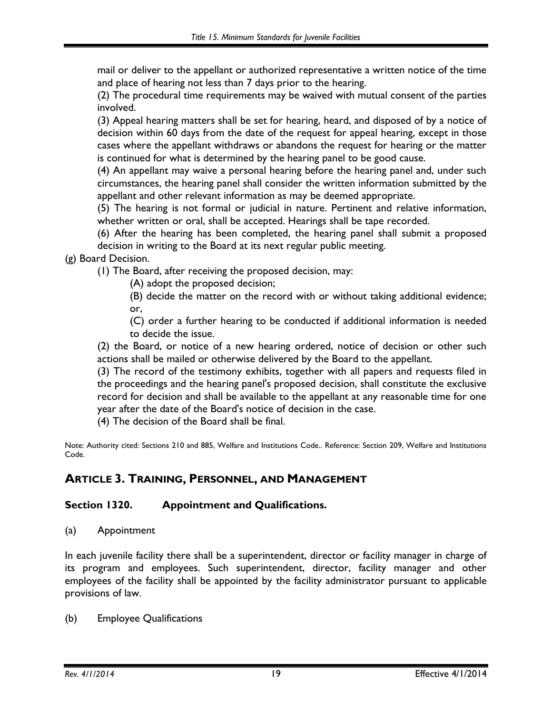mail or deliver to the appellant or authorized representative a written notice of the time and place of hearing not less than 7 days prior to the hearing.

(2) The procedural time requirements may be waived with mutual consent of the parties involved.

(3) Appeal hearing matters shall be set for hearing, heard, and disposed of by a notice of decision within 60 days from the date of the request for appeal hearing, except in those cases where the appellant withdraws or abandons the request for hearing or the matter is continued for what is determined by the hearing panel to be good cause.

(4) An appellant may waive a personal hearing before the hearing panel and, under such circumstances, the hearing panel shall consider the written information submitted by the appellant and other relevant information as may be deemed appropriate.

(5) The hearing is not formal or judicial in nature. Pertinent and relative information, whether written or oral, shall be accepted. Hearings shall be tape recorded.

(6) After the hearing has been completed, the hearing panel shall submit a proposed decision in writing to the Board at its next regular public meeting.

# (g) Board Decision.

(1) The Board, after receiving the proposed decision, may:

(A) adopt the proposed decision;

(B) decide the matter on the record with or without taking additional evidence; or,

(C) order a further hearing to be conducted if additional information is needed to decide the issue.

(2) the Board, or notice of a new hearing ordered, notice of decision or other such actions shall be mailed or otherwise delivered by the Board to the appellant.

(3) The record of the testimony exhibits, together with all papers and requests filed in the proceedings and the hearing panel's proposed decision, shall constitute the exclusive record for decision and shall be available to the appellant at any reasonable time for one year after the date of the Board's notice of decision in the case.

(4) The decision of the Board shall be final.

Note: Authority cited: Sections 210 and 885, Welfare and Institutions Code.. Reference: Section 209, Welfare and Institutions Code.

# <span id="page-18-0"></span>**ARTICLE 3. TRAINING, PERSONNEL, AND MANAGEMENT**

# <span id="page-18-1"></span>**Section 1320. Appointment and Qualifications.**

(a) Appointment

In each juvenile facility there shall be a superintendent, director or facility manager in charge of its program and employees. Such superintendent, director, facility manager and other employees of the facility shall be appointed by the facility administrator pursuant to applicable provisions of law.

(b) Employee Qualifications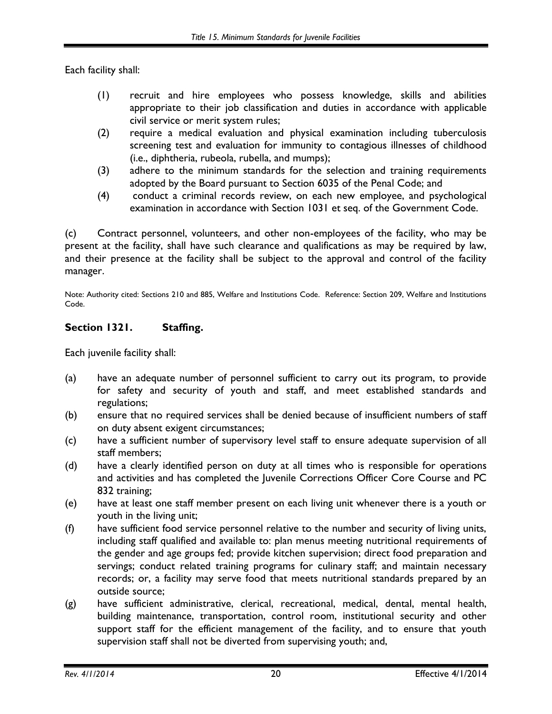Each facility shall:

- (1) recruit and hire employees who possess knowledge, skills and abilities appropriate to their job classification and duties in accordance with applicable civil service or merit system rules;
- (2) require a medical evaluation and physical examination including tuberculosis screening test and evaluation for immunity to contagious illnesses of childhood (i.e., diphtheria, rubeola, rubella, and mumps);
- (3) adhere to the minimum standards for the selection and training requirements adopted by the Board pursuant to Section 6035 of the Penal Code; and
- (4) conduct a criminal records review, on each new employee, and psychological examination in accordance with Section 1031 et seq. of the Government Code.

(c) Contract personnel, volunteers, and other non-employees of the facility, who may be present at the facility, shall have such clearance and qualifications as may be required by law, and their presence at the facility shall be subject to the approval and control of the facility manager.

Note: Authority cited: Sections 210 and 885, Welfare and Institutions Code. Reference: Section 209, Welfare and Institutions Code.

### <span id="page-19-0"></span>**Section 1321. Staffing.**

Each juvenile facility shall:

- (a) have an adequate number of personnel sufficient to carry out its program, to provide for safety and security of youth and staff, and meet established standards and regulations;
- (b) ensure that no required services shall be denied because of insufficient numbers of staff on duty absent exigent circumstances;
- (c) have a sufficient number of supervisory level staff to ensure adequate supervision of all staff members;
- (d) have a clearly identified person on duty at all times who is responsible for operations and activities and has completed the Juvenile Corrections Officer Core Course and PC 832 training;
- (e) have at least one staff member present on each living unit whenever there is a youth or youth in the living unit;
- (f) have sufficient food service personnel relative to the number and security of living units, including staff qualified and available to: plan menus meeting nutritional requirements of the gender and age groups fed; provide kitchen supervision; direct food preparation and servings; conduct related training programs for culinary staff; and maintain necessary records; or, a facility may serve food that meets nutritional standards prepared by an outside source;
- (g) have sufficient administrative, clerical, recreational, medical, dental, mental health, building maintenance, transportation, control room, institutional security and other support staff for the efficient management of the facility, and to ensure that youth supervision staff shall not be diverted from supervising youth; and,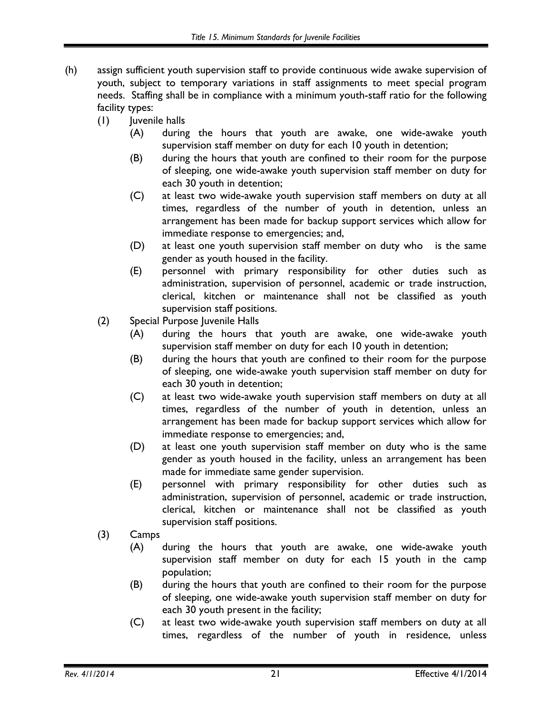- (h) assign sufficient youth supervision staff to provide continuous wide awake supervision of youth, subject to temporary variations in staff assignments to meet special program needs. Staffing shall be in compliance with a minimum youth-staff ratio for the following facility types:
	- (1) Juvenile halls
		- (A) during the hours that youth are awake, one wide-awake youth supervision staff member on duty for each 10 youth in detention;
		- (B) during the hours that youth are confined to their room for the purpose of sleeping, one wide-awake youth supervision staff member on duty for each 30 youth in detention;
		- (C) at least two wide-awake youth supervision staff members on duty at all times, regardless of the number of youth in detention, unless an arrangement has been made for backup support services which allow for immediate response to emergencies; and,
		- (D) at least one youth supervision staff member on duty who is the same gender as youth housed in the facility.
		- (E) personnel with primary responsibility for other duties such as administration, supervision of personnel, academic or trade instruction, clerical, kitchen or maintenance shall not be classified as youth supervision staff positions.
	- (2) Special Purpose Juvenile Halls
		- (A) during the hours that youth are awake, one wide-awake youth supervision staff member on duty for each 10 youth in detention;
		- (B) during the hours that youth are confined to their room for the purpose of sleeping, one wide-awake youth supervision staff member on duty for each 30 youth in detention;
		- (C) at least two wide-awake youth supervision staff members on duty at all times, regardless of the number of youth in detention, unless an arrangement has been made for backup support services which allow for immediate response to emergencies; and,
		- (D) at least one youth supervision staff member on duty who is the same gender as youth housed in the facility, unless an arrangement has been made for immediate same gender supervision.
		- (E) personnel with primary responsibility for other duties such as administration, supervision of personnel, academic or trade instruction, clerical, kitchen or maintenance shall not be classified as youth supervision staff positions.
	- (3) Camps
		- (A) during the hours that youth are awake, one wide-awake youth supervision staff member on duty for each 15 youth in the camp population;
		- (B) during the hours that youth are confined to their room for the purpose of sleeping, one wide-awake youth supervision staff member on duty for each 30 youth present in the facility;
		- (C) at least two wide-awake youth supervision staff members on duty at all times, regardless of the number of youth in residence, unless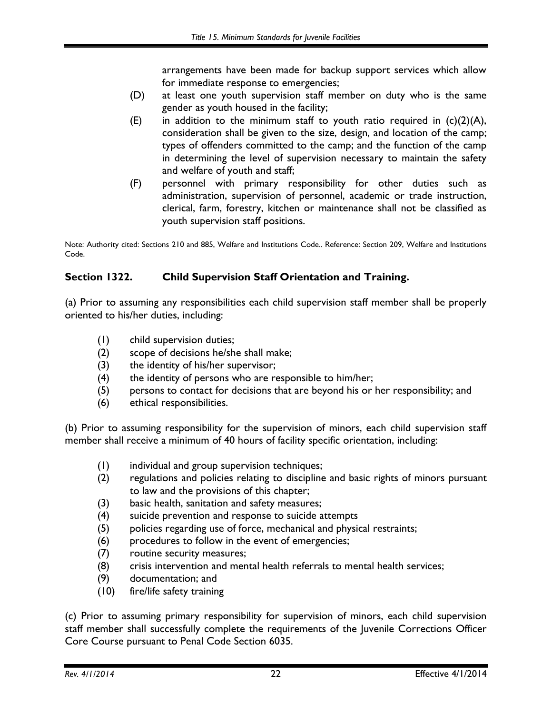arrangements have been made for backup support services which allow for immediate response to emergencies;

- (D) at least one youth supervision staff member on duty who is the same gender as youth housed in the facility;
- (E) in addition to the minimum staff to youth ratio required in  $(c)(2)(A)$ , consideration shall be given to the size, design, and location of the camp; types of offenders committed to the camp; and the function of the camp in determining the level of supervision necessary to maintain the safety and welfare of youth and staff;
- (F) personnel with primary responsibility for other duties such as administration, supervision of personnel, academic or trade instruction, clerical, farm, forestry, kitchen or maintenance shall not be classified as youth supervision staff positions.

Note: Authority cited: Sections 210 and 885, Welfare and Institutions Code.. Reference: Section 209, Welfare and Institutions Code.

# <span id="page-21-0"></span>**Section 1322. Child Supervision Staff Orientation and Training.**

(a) Prior to assuming any responsibilities each child supervision staff member shall be properly oriented to his/her duties, including:

- (1) child supervision duties;
- (2) scope of decisions he/she shall make;
- (3) the identity of his/her supervisor;
- (4) the identity of persons who are responsible to him/her;
- (5) persons to contact for decisions that are beyond his or her responsibility; and
- (6) ethical responsibilities.

(b) Prior to assuming responsibility for the supervision of minors, each child supervision staff member shall receive a minimum of 40 hours of facility specific orientation, including:

- (1) individual and group supervision techniques;
- (2) regulations and policies relating to discipline and basic rights of minors pursuant to law and the provisions of this chapter;
- (3) basic health, sanitation and safety measures;
- (4) suicide prevention and response to suicide attempts
- (5) policies regarding use of force, mechanical and physical restraints;
- (6) procedures to follow in the event of emergencies;
- (7) routine security measures;
- (8) crisis intervention and mental health referrals to mental health services;
- (9) documentation; and
- (10) fire/life safety training

(c) Prior to assuming primary responsibility for supervision of minors, each child supervision staff member shall successfully complete the requirements of the Juvenile Corrections Officer Core Course pursuant to Penal Code Section 6035.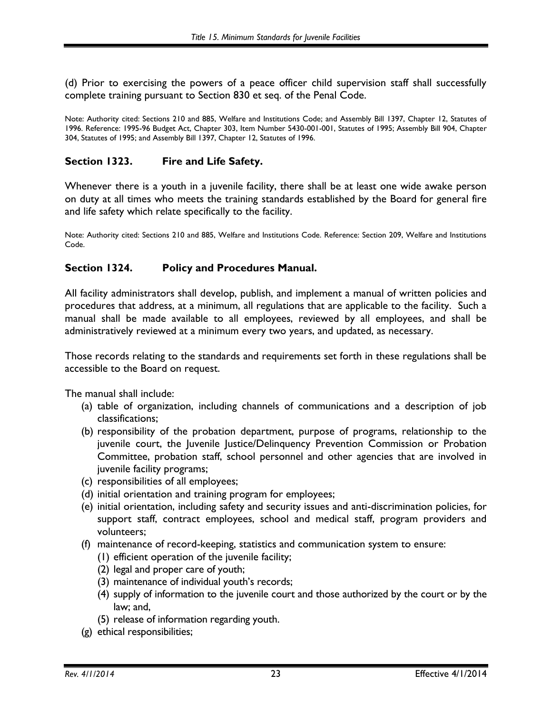(d) Prior to exercising the powers of a peace officer child supervision staff shall successfully complete training pursuant to Section 830 et seq. of the Penal Code.

Note: Authority cited: Sections 210 and 885, Welfare and Institutions Code; and Assembly Bill 1397, Chapter 12, Statutes of 1996. Reference: 1995-96 Budget Act, Chapter 303, Item Number 5430-001-001, Statutes of 1995; Assembly Bill 904, Chapter 304, Statutes of 1995; and Assembly Bill 1397, Chapter 12, Statutes of 1996.

# <span id="page-22-0"></span>**Section 1323. Fire and Life Safety.**

Whenever there is a youth in a juvenile facility, there shall be at least one wide awake person on duty at all times who meets the training standards established by the Board for general fire and life safety which relate specifically to the facility.

Note: Authority cited: Sections 210 and 885, Welfare and Institutions Code. Reference: Section 209, Welfare and Institutions Code.

### <span id="page-22-1"></span>**Section 1324. Policy and Procedures Manual.**

All facility administrators shall develop, publish, and implement a manual of written policies and procedures that address, at a minimum, all regulations that are applicable to the facility. Such a manual shall be made available to all employees, reviewed by all employees, and shall be administratively reviewed at a minimum every two years, and updated, as necessary.

Those records relating to the standards and requirements set forth in these regulations shall be accessible to the Board on request.

The manual shall include:

- (a) table of organization, including channels of communications and a description of job classifications;
- (b) responsibility of the probation department, purpose of programs, relationship to the juvenile court, the Juvenile Justice/Delinquency Prevention Commission or Probation Committee, probation staff, school personnel and other agencies that are involved in juvenile facility programs;
- (c) responsibilities of all employees;
- (d) initial orientation and training program for employees;
- (e) initial orientation, including safety and security issues and anti-discrimination policies, for support staff, contract employees, school and medical staff, program providers and volunteers;
- (f) maintenance of record-keeping, statistics and communication system to ensure:
	- (1) efficient operation of the juvenile facility;
	- (2) legal and proper care of youth;
	- (3) maintenance of individual youth's records;
	- (4) supply of information to the juvenile court and those authorized by the court or by the law; and,
	- (5) release of information regarding youth.
- (g) ethical responsibilities;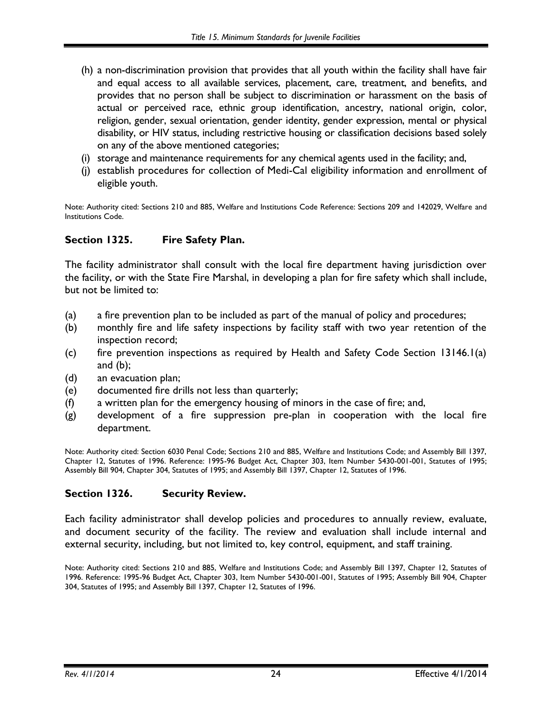- (h) a non-discrimination provision that provides that all youth within the facility shall have fair and equal access to all available services, placement, care, treatment, and benefits, and provides that no person shall be subject to discrimination or harassment on the basis of actual or perceived race, ethnic group identification, ancestry, national origin, color, religion, gender, sexual orientation, gender identity, gender expression, mental or physical disability, or HIV status, including restrictive housing or classification decisions based solely on any of the above mentioned categories;
- (i) storage and maintenance requirements for any chemical agents used in the facility; and,
- (j) establish procedures for collection of Medi-Cal eligibility information and enrollment of eligible youth.

Note: Authority cited: Sections 210 and 885, Welfare and Institutions Code Reference: Sections 209 and 142029, Welfare and Institutions Code.

### <span id="page-23-0"></span>**Section 1325. Fire Safety Plan.**

The facility administrator shall consult with the local fire department having jurisdiction over the facility, or with the State Fire Marshal, in developing a plan for fire safety which shall include, but not be limited to:

- (a) a fire prevention plan to be included as part of the manual of policy and procedures;
- (b) monthly fire and life safety inspections by facility staff with two year retention of the inspection record;
- (c) fire prevention inspections as required by Health and Safety Code Section 13146.1(a) and  $(b)$ ;
- (d) an evacuation plan;
- (e) documented fire drills not less than quarterly;
- (f) a written plan for the emergency housing of minors in the case of fire; and,
- (g) development of a fire suppression pre-plan in cooperation with the local fire department.

Note: Authority cited: Section 6030 Penal Code; Sections 210 and 885, Welfare and Institutions Code; and Assembly Bill 1397, Chapter 12, Statutes of 1996. Reference: 1995-96 Budget Act, Chapter 303, Item Number 5430-001-001, Statutes of 1995; Assembly Bill 904, Chapter 304, Statutes of 1995; and Assembly Bill 1397, Chapter 12, Statutes of 1996.

#### <span id="page-23-1"></span>**Section 1326. Security Review.**

Each facility administrator shall develop policies and procedures to annually review, evaluate, and document security of the facility. The review and evaluation shall include internal and external security, including, but not limited to, key control, equipment, and staff training.

Note: Authority cited: Sections 210 and 885, Welfare and Institutions Code; and Assembly Bill 1397, Chapter 12, Statutes of 1996. Reference: 1995-96 Budget Act, Chapter 303, Item Number 5430-001-001, Statutes of 1995; Assembly Bill 904, Chapter 304, Statutes of 1995; and Assembly Bill 1397, Chapter 12, Statutes of 1996.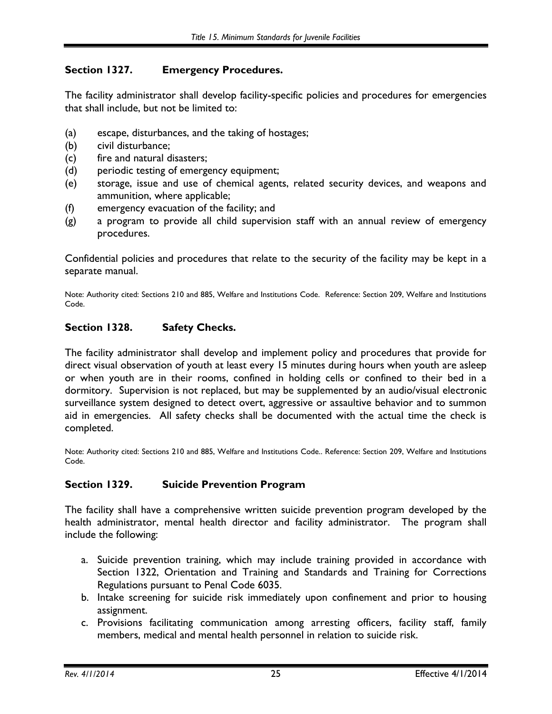# <span id="page-24-0"></span>**Section 1327. Emergency Procedures.**

The facility administrator shall develop facility-specific policies and procedures for emergencies that shall include, but not be limited to:

- (a) escape, disturbances, and the taking of hostages;
- (b) civil disturbance;
- (c) fire and natural disasters;
- (d) periodic testing of emergency equipment;
- (e) storage, issue and use of chemical agents, related security devices, and weapons and ammunition, where applicable;
- (f) emergency evacuation of the facility; and
- (g) a program to provide all child supervision staff with an annual review of emergency procedures.

Confidential policies and procedures that relate to the security of the facility may be kept in a separate manual.

Note: Authority cited: Sections 210 and 885, Welfare and Institutions Code. Reference: Section 209, Welfare and Institutions Code.

#### <span id="page-24-1"></span>**Section 1328. Safety Checks.**

The facility administrator shall develop and implement policy and procedures that provide for direct visual observation of youth at least every 15 minutes during hours when youth are asleep or when youth are in their rooms, confined in holding cells or confined to their bed in a dormitory. Supervision is not replaced, but may be supplemented by an audio/visual electronic surveillance system designed to detect overt, aggressive or assaultive behavior and to summon aid in emergencies. All safety checks shall be documented with the actual time the check is completed.

Note: Authority cited: Sections 210 and 885, Welfare and Institutions Code.. Reference: Section 209, Welfare and Institutions Code.

#### <span id="page-24-2"></span>**Section 1329. Suicide Prevention Program**

The facility shall have a comprehensive written suicide prevention program developed by the health administrator, mental health director and facility administrator. The program shall include the following:

- a. Suicide prevention training, which may include training provided in accordance with Section 1322, Orientation and Training and Standards and Training for Corrections Regulations pursuant to Penal Code 6035.
- b. Intake screening for suicide risk immediately upon confinement and prior to housing assignment.
- c. Provisions facilitating communication among arresting officers, facility staff, family members, medical and mental health personnel in relation to suicide risk.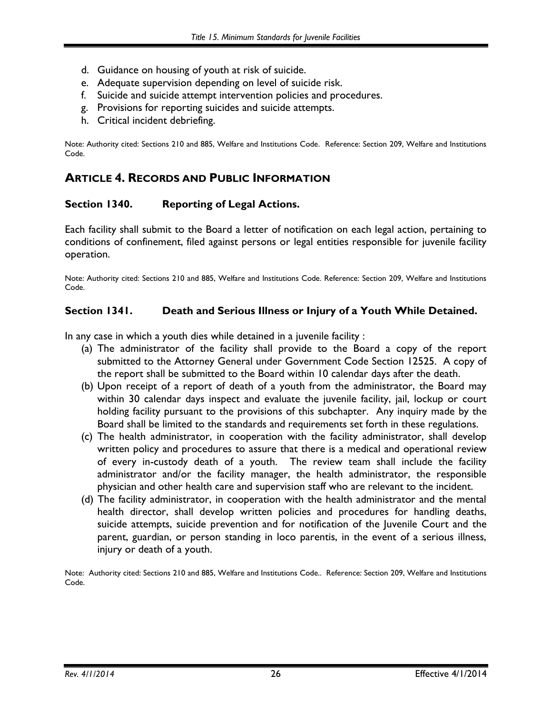- d. Guidance on housing of youth at risk of suicide.
- e. Adequate supervision depending on level of suicide risk.
- f. Suicide and suicide attempt intervention policies and procedures.
- g. Provisions for reporting suicides and suicide attempts.
- h. Critical incident debriefing.

Note: Authority cited: Sections 210 and 885, Welfare and Institutions Code. Reference: Section 209, Welfare and Institutions Code.

# <span id="page-25-0"></span>**A[RTICLE](http://weblinks.westlaw.com/find/default.wl?db=CA-ADC-WEB&ordoc=IBAAC4D0080EF11E3919DFDAA2C695CEE&jh=Article+4.+Records+and+Public+Information&docname=PRT(IBAAC9B2080EF11E3919DFDAA2C695CEE)+%26+BEG-DATE(%3c%3d03%2f31%2f2014)+%26+END-DATE(%3e%3d03%2f31%2f2014)+%25+CI(REFS+(DISP+%2f2+TABLE)+(MISC+%2f2+TABLE))&jl=1&sr=SB&rp=%2ffind%2fdefault.wl&findtype=l&spa=CCR-1000&vr=2.0&fn=_top&jo=15%2bCA%2bADC%2b%25c2%25a7%2b1340&pbc=DA010192&rs=WEBL14.01) 4. RECORDS AND PUBLIC INFORMATION**

#### <span id="page-25-1"></span>**Section 1340. Reporting of Legal Actions.**

Each facility shall submit to the Board a letter of notification on each legal action, pertaining to conditions of confinement, filed against persons or legal entities responsible for juvenile facility operation.

Note: Authority cited: Sections 210 and 885, Welfare and Institutions Code. Reference: Section 209, Welfare and Institutions Code.

#### <span id="page-25-2"></span>**Section 1341. Death and Serious Illness or Injury of a Youth While Detained.**

In any case in which a youth dies while detained in a juvenile facility :

- (a) The administrator of the facility shall provide to the Board a copy of the report submitted to the Attorney General under Government Code Section 12525. A copy of the report shall be submitted to the Board within 10 calendar days after the death.
- (b) Upon receipt of a report of death of a youth from the administrator, the Board may within 30 calendar days inspect and evaluate the juvenile facility, jail, lockup or court holding facility pursuant to the provisions of this subchapter. Any inquiry made by the Board shall be limited to the standards and requirements set forth in these regulations.
- (c) The health administrator, in cooperation with the facility administrator, shall develop written policy and procedures to assure that there is a medical and operational review of every in-custody death of a youth. The review team shall include the facility administrator and/or the facility manager, the health administrator, the responsible physician and other health care and supervision staff who are relevant to the incident.
- (d) The facility administrator, in cooperation with the health administrator and the mental health director, shall develop written policies and procedures for handling deaths, suicide attempts, suicide prevention and for notification of the Juvenile Court and the parent, guardian, or person standing in loco parentis, in the event of a serious illness, injury or death of a youth.

Note: Authority cited: Sections 210 and 885, Welfare and Institutions Code.. Reference: Section 209, Welfare and Institutions Code.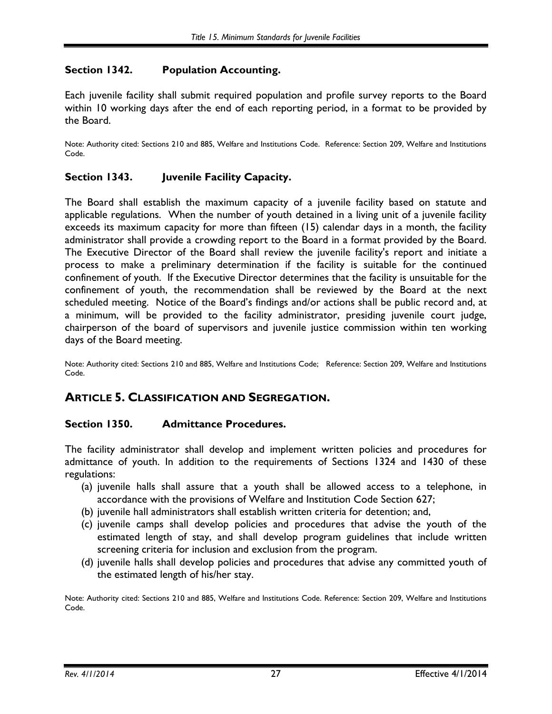# <span id="page-26-0"></span>**Section 1342. Population Accounting.**

Each juvenile facility shall submit required population and profile survey reports to the Board within 10 working days after the end of each reporting period, in a format to be provided by the Board.

Note: Authority cited: Sections 210 and 885, Welfare and Institutions Code. Reference: Section 209, Welfare and Institutions Code.

# <span id="page-26-1"></span>**Section 1343. Juvenile Facility Capacity.**

The Board shall establish the maximum capacity of a juvenile facility based on statute and applicable regulations. When the number of youth detained in a living unit of a juvenile facility exceeds its maximum capacity for more than fifteen (15) calendar days in a month, the facility administrator shall provide a crowding report to the Board in a format provided by the Board. The Executive Director of the Board shall review the juvenile facility's report and initiate a process to make a preliminary determination if the facility is suitable for the continued confinement of youth. If the Executive Director determines that the facility is unsuitable for the confinement of youth, the recommendation shall be reviewed by the Board at the next scheduled meeting. Notice of the Board's findings and/or actions shall be public record and, at a minimum, will be provided to the facility administrator, presiding juvenile court judge, chairperson of the board of supervisors and juvenile justice commission within ten working days of the Board meeting.

Note: Authority cited: Sections 210 and 885, Welfare and Institutions Code; Reference: Section 209, Welfare and Institutions Code.

# <span id="page-26-2"></span>**ARTICLE 5. CLASSIFICATION AND SEGREGATION.**

#### <span id="page-26-3"></span>**Section 1350. Admittance Procedures.**

The facility administrator shall develop and implement written policies and procedures for admittance of youth. In addition to the requirements of Sections 1324 and 1430 of these regulations:

- (a) juvenile halls shall assure that a youth shall be allowed access to a telephone, in accordance with the provisions of Welfare and Institution Code Section 627;
- (b) juvenile hall administrators shall establish written criteria for detention; and,
- (c) juvenile camps shall develop policies and procedures that advise the youth of the estimated length of stay, and shall develop program guidelines that include written screening criteria for inclusion and exclusion from the program.
- (d) juvenile halls shall develop policies and procedures that advise any committed youth of the estimated length of his/her stay.

Note: Authority cited: Sections 210 and 885, Welfare and Institutions Code. Reference: Section 209, Welfare and Institutions Code.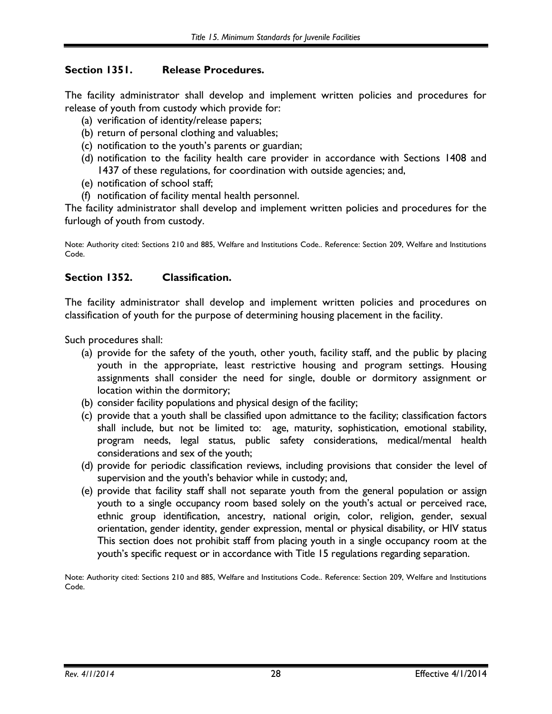### <span id="page-27-0"></span>**Section 1351. Release Procedures.**

The facility administrator shall develop and implement written policies and procedures for release of youth from custody which provide for:

- (a) verification of identity/release papers;
- (b) return of personal clothing and valuables;
- (c) notification to the youth's parents or guardian;
- (d) notification to the facility health care provider in accordance with Sections 1408 and 1437 of these regulations, for coordination with outside agencies; and,
- (e) notification of school staff;
- (f) notification of facility mental health personnel.

The facility administrator shall develop and implement written policies and procedures for the furlough of youth from custody.

Note: Authority cited: Sections 210 and 885, Welfare and Institutions Code.. Reference: Section 209, Welfare and Institutions Code.

#### <span id="page-27-1"></span>**Section 1352. Classification.**

The facility administrator shall develop and implement written policies and procedures on classification of youth for the purpose of determining housing placement in the facility.

Such procedures shall:

- (a) provide for the safety of the youth, other youth, facility staff, and the public by placing youth in the appropriate, least restrictive housing and program settings. Housing assignments shall consider the need for single, double or dormitory assignment or location within the dormitory;
- (b) consider facility populations and physical design of the facility;
- (c) provide that a youth shall be classified upon admittance to the facility; classification factors shall include, but not be limited to: age, maturity, sophistication, emotional stability, program needs, legal status, public safety considerations, medical/mental health considerations and sex of the youth;
- (d) provide for periodic classification reviews, including provisions that consider the level of supervision and the youth's behavior while in custody; and,
- (e) provide that facility staff shall not separate youth from the general population or assign youth to a single occupancy room based solely on the youth's actual or perceived race, ethnic group identification, ancestry, national origin, color, religion, gender, sexual orientation, gender identity, gender expression, mental or physical disability, or HIV status This section does not prohibit staff from placing youth in a single occupancy room at the youth's specific request or in accordance with Title 15 regulations regarding separation.

Note: Authority cited: Sections 210 and 885, Welfare and Institutions Code.. Reference: Section 209, Welfare and Institutions Code.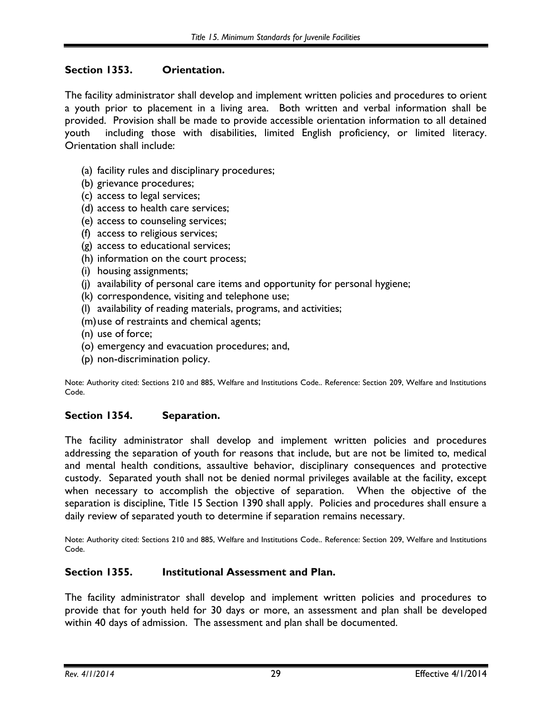#### <span id="page-28-0"></span>**Section 1353. Orientation.**

The facility administrator shall develop and implement written policies and procedures to orient a youth prior to placement in a living area. Both written and verbal information shall be provided. Provision shall be made to provide accessible orientation information to all detained youth including those with disabilities, limited English proficiency, or limited literacy. Orientation shall include:

- (a) facility rules and disciplinary procedures;
- (b) grievance procedures;
- (c) access to legal services;
- (d) access to health care services;
- (e) access to counseling services;
- (f) access to religious services;
- (g) access to educational services;
- (h) information on the court process;
- (i) housing assignments;
- (j) availability of personal care items and opportunity for personal hygiene;
- (k) correspondence, visiting and telephone use;
- (l) availability of reading materials, programs, and activities;
- (m)use of restraints and chemical agents;
- (n) use of force;
- (o) emergency and evacuation procedures; and,
- (p) non-discrimination policy.

Note: Authority cited: Sections 210 and 885, Welfare and Institutions Code.. Reference: Section 209, Welfare and Institutions Code.

#### <span id="page-28-1"></span>**Section 1354. Separation.**

The facility administrator shall develop and implement written policies and procedures addressing the separation of youth for reasons that include, but are not be limited to, medical and mental health conditions, assaultive behavior, disciplinary consequences and protective custody. Separated youth shall not be denied normal privileges available at the facility, except when necessary to accomplish the objective of separation. When the objective of the separation is discipline, Title 15 Section 1390 shall apply. Policies and procedures shall ensure a daily review of separated youth to determine if separation remains necessary.

Note: Authority cited: Sections 210 and 885, Welfare and Institutions Code.. Reference: Section 209, Welfare and Institutions Code.

#### <span id="page-28-2"></span>**Section 1355. Institutional Assessment and Plan.**

The facility administrator shall develop and implement written policies and procedures to provide that for youth held for 30 days or more, an assessment and plan shall be developed within 40 days of admission. The assessment and plan shall be documented.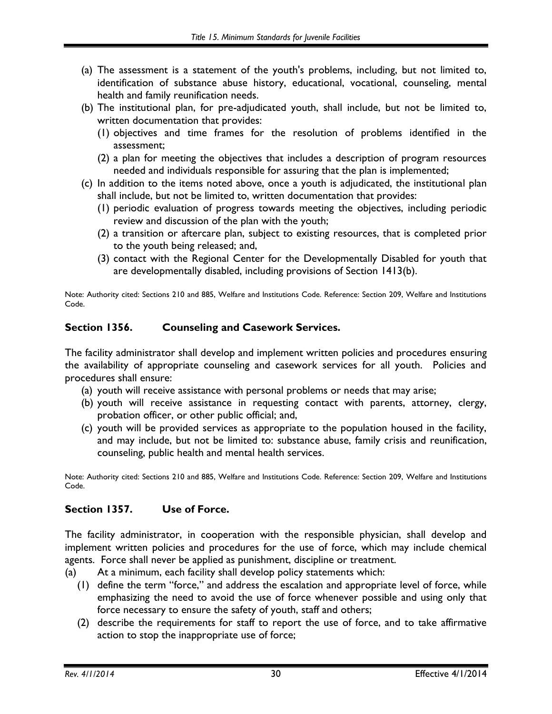- (a) The assessment is a statement of the youth's problems, including, but not limited to, identification of substance abuse history, educational, vocational, counseling, mental health and family reunification needs.
- (b) The institutional plan, for pre-adjudicated youth, shall include, but not be limited to, written documentation that provides:
	- (1) objectives and time frames for the resolution of problems identified in the assessment;
	- (2) a plan for meeting the objectives that includes a description of program resources needed and individuals responsible for assuring that the plan is implemented;
- (c) In addition to the items noted above, once a youth is adjudicated, the institutional plan shall include, but not be limited to, written documentation that provides:
	- (1) periodic evaluation of progress towards meeting the objectives, including periodic review and discussion of the plan with the youth;
	- (2) a transition or aftercare plan, subject to existing resources, that is completed prior to the youth being released; and,
	- (3) contact with the Regional Center for the Developmentally Disabled for youth that are developmentally disabled, including provisions of Section 1413(b).

Note: Authority cited: Sections 210 and 885, Welfare and Institutions Code. Reference: Section 209, Welfare and Institutions Code.

# <span id="page-29-0"></span>**Section 1356. Counseling and Casework Services.**

The facility administrator shall develop and implement written policies and procedures ensuring the availability of appropriate counseling and casework services for all youth. Policies and procedures shall ensure:

- (a) youth will receive assistance with personal problems or needs that may arise;
- (b) youth will receive assistance in requesting contact with parents, attorney, clergy, probation officer, or other public official; and,
- (c) youth will be provided services as appropriate to the population housed in the facility, and may include, but not be limited to: substance abuse, family crisis and reunification, counseling, public health and mental health services.

Note: Authority cited: Sections 210 and 885, Welfare and Institutions Code. Reference: Section 209, Welfare and Institutions Code.

# <span id="page-29-1"></span>**Section 1357. Use of Force.**

The facility administrator, in cooperation with the responsible physician, shall develop and implement written policies and procedures for the use of force, which may include chemical agents. Force shall never be applied as punishment, discipline or treatment.

- (a) At a minimum, each facility shall develop policy statements which:
	- (1) define the term "force," and address the escalation and appropriate level of force, while emphasizing the need to avoid the use of force whenever possible and using only that force necessary to ensure the safety of youth, staff and others;
	- (2) describe the requirements for staff to report the use of force, and to take affirmative action to stop the inappropriate use of force;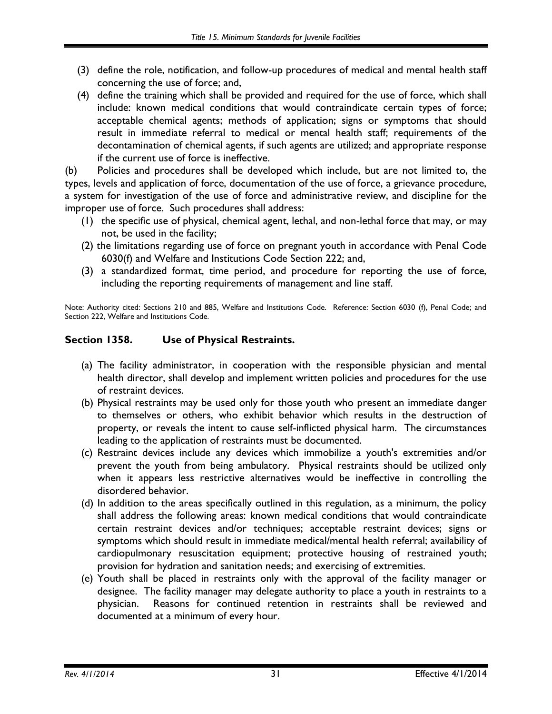- (3) define the role, notification, and follow-up procedures of medical and mental health staff concerning the use of force; and,
- (4) define the training which shall be provided and required for the use of force, which shall include: known medical conditions that would contraindicate certain types of force; acceptable chemical agents; methods of application; signs or symptoms that should result in immediate referral to medical or mental health staff; requirements of the decontamination of chemical agents, if such agents are utilized; and appropriate response if the current use of force is ineffective.

(b) Policies and procedures shall be developed which include, but are not limited to, the types, levels and application of force, documentation of the use of force, a grievance procedure, a system for investigation of the use of force and administrative review, and discipline for the improper use of force. Such procedures shall address:

- (1) the specific use of physical, chemical agent, lethal, and non-lethal force that may, or may not, be used in the facility;
- (2) the limitations regarding use of force on pregnant youth in accordance with Penal Code 6030(f) and Welfare and Institutions Code Section 222; and,
- (3) a standardized format, time period, and procedure for reporting the use of force, including the reporting requirements of management and line staff.

Note: Authority cited: Sections 210 and 885, Welfare and Institutions Code. Reference: Section 6030 (f), Penal Code; and Section 222, Welfare and Institutions Code.

# <span id="page-30-0"></span>**Section 1358. Use of Physical Restraints.**

- (a) The facility administrator, in cooperation with the responsible physician and mental health director, shall develop and implement written policies and procedures for the use of restraint devices.
- (b) Physical restraints may be used only for those youth who present an immediate danger to themselves or others, who exhibit behavior which results in the destruction of property, or reveals the intent to cause self-inflicted physical harm. The circumstances leading to the application of restraints must be documented.
- (c) Restraint devices include any devices which immobilize a youth's extremities and/or prevent the youth from being ambulatory. Physical restraints should be utilized only when it appears less restrictive alternatives would be ineffective in controlling the disordered behavior.
- (d) In addition to the areas specifically outlined in this regulation, as a minimum, the policy shall address the following areas: known medical conditions that would contraindicate certain restraint devices and/or techniques; acceptable restraint devices; signs or symptoms which should result in immediate medical/mental health referral; availability of cardiopulmonary resuscitation equipment; protective housing of restrained youth; provision for hydration and sanitation needs; and exercising of extremities.
- (e) Youth shall be placed in restraints only with the approval of the facility manager or designee. The facility manager may delegate authority to place a youth in restraints to a physician. Reasons for continued retention in restraints shall be reviewed and documented at a minimum of every hour.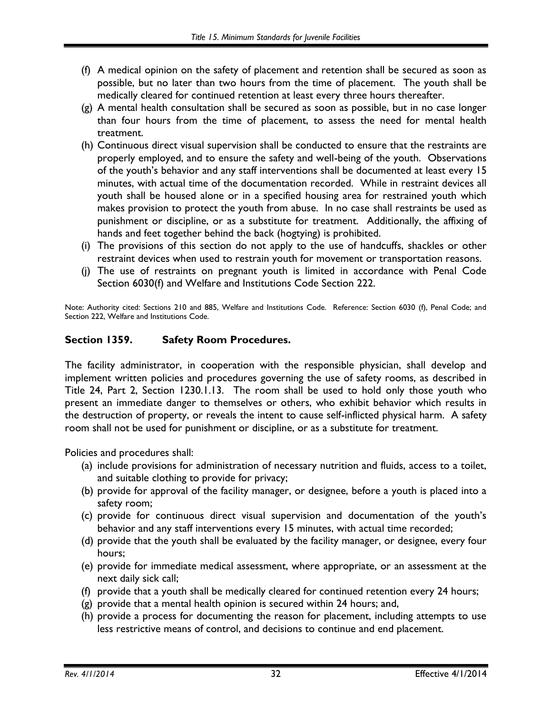- (f) A medical opinion on the safety of placement and retention shall be secured as soon as possible, but no later than two hours from the time of placement. The youth shall be medically cleared for continued retention at least every three hours thereafter.
- (g) A mental health consultation shall be secured as soon as possible, but in no case longer than four hours from the time of placement, to assess the need for mental health treatment.
- (h) Continuous direct visual supervision shall be conducted to ensure that the restraints are properly employed, and to ensure the safety and well-being of the youth. Observations of the youth's behavior and any staff interventions shall be documented at least every 15 minutes, with actual time of the documentation recorded. While in restraint devices all youth shall be housed alone or in a specified housing area for restrained youth which makes provision to protect the youth from abuse. In no case shall restraints be used as punishment or discipline, or as a substitute for treatment. Additionally, the affixing of hands and feet together behind the back (hogtying) is prohibited.
- (i) The provisions of this section do not apply to the use of handcuffs, shackles or other restraint devices when used to restrain youth for movement or transportation reasons.
- (j) The use of restraints on pregnant youth is limited in accordance with Penal Code Section 6030(f) and Welfare and Institutions Code Section 222.

Note: Authority cited: Sections 210 and 885, Welfare and Institutions Code. Reference: Section 6030 (f), Penal Code; and Section 222, Welfare and Institutions Code.

### <span id="page-31-0"></span>**Section 1359. Safety Room Procedures.**

The facility administrator, in cooperation with the responsible physician, shall develop and implement written policies and procedures governing the use of safety rooms, as described in Title 24, Part 2, Section 1230.1.13. The room shall be used to hold only those youth who present an immediate danger to themselves or others, who exhibit behavior which results in the destruction of property, or reveals the intent to cause self-inflicted physical harm. A safety room shall not be used for punishment or discipline, or as a substitute for treatment.

Policies and procedures shall:

- (a) include provisions for administration of necessary nutrition and fluids, access to a toilet, and suitable clothing to provide for privacy;
- (b) provide for approval of the facility manager, or designee, before a youth is placed into a safety room;
- (c) provide for continuous direct visual supervision and documentation of the youth's behavior and any staff interventions every 15 minutes, with actual time recorded;
- (d) provide that the youth shall be evaluated by the facility manager, or designee, every four hours;
- (e) provide for immediate medical assessment, where appropriate, or an assessment at the next daily sick call;
- (f) provide that a youth shall be medically cleared for continued retention every 24 hours;
- (g) provide that a mental health opinion is secured within 24 hours; and,
- (h) provide a process for documenting the reason for placement, including attempts to use less restrictive means of control, and decisions to continue and end placement.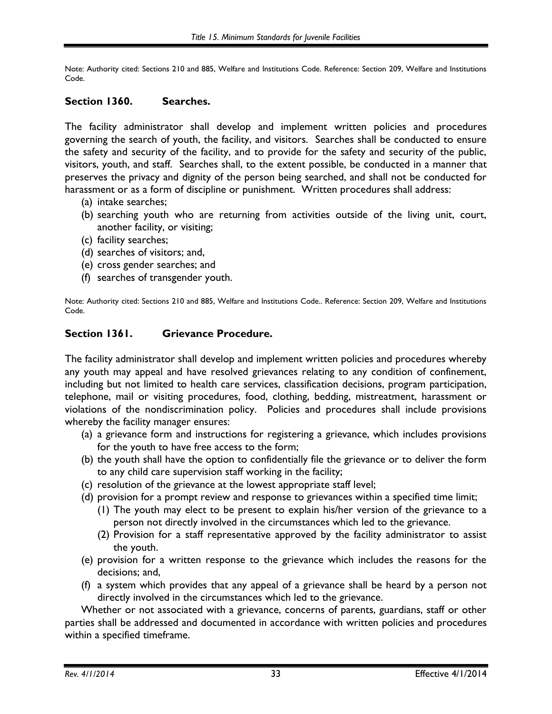Note: Authority cited: Sections 210 and 885, Welfare and Institutions Code. Reference: Section 209, Welfare and Institutions Code.

#### <span id="page-32-0"></span>**Section 1360. Searches.**

The facility administrator shall develop and implement written policies and procedures governing the search of youth, the facility, and visitors. Searches shall be conducted to ensure the safety and security of the facility, and to provide for the safety and security of the public, visitors, youth, and staff. Searches shall, to the extent possible, be conducted in a manner that preserves the privacy and dignity of the person being searched, and shall not be conducted for harassment or as a form of discipline or punishment. Written procedures shall address:

- (a) intake searches;
- (b) searching youth who are returning from activities outside of the living unit, court, another facility, or visiting;
- (c) facility searches;
- (d) searches of visitors; and,
- (e) cross gender searches; and
- (f) searches of transgender youth.

Note: Authority cited: Sections 210 and 885, Welfare and Institutions Code.. Reference: Section 209, Welfare and Institutions Code.

#### <span id="page-32-1"></span>**Section 1361. Grievance Procedure.**

The facility administrator shall develop and implement written policies and procedures whereby any youth may appeal and have resolved grievances relating to any condition of confinement, including but not limited to health care services, classification decisions, program participation, telephone, mail or visiting procedures, food, clothing, bedding, mistreatment, harassment or violations of the nondiscrimination policy. Policies and procedures shall include provisions whereby the facility manager ensures:

- (a) a grievance form and instructions for registering a grievance, which includes provisions for the youth to have free access to the form;
- (b) the youth shall have the option to confidentially file the grievance or to deliver the form to any child care supervision staff working in the facility;
- (c) resolution of the grievance at the lowest appropriate staff level;
- (d) provision for a prompt review and response to grievances within a specified time limit;
	- (1) The youth may elect to be present to explain his/her version of the grievance to a person not directly involved in the circumstances which led to the grievance.
	- (2) Provision for a staff representative approved by the facility administrator to assist the youth.
- (e) provision for a written response to the grievance which includes the reasons for the decisions; and,
- (f) a system which provides that any appeal of a grievance shall be heard by a person not directly involved in the circumstances which led to the grievance.

Whether or not associated with a grievance, concerns of parents, guardians, staff or other parties shall be addressed and documented in accordance with written policies and procedures within a specified timeframe.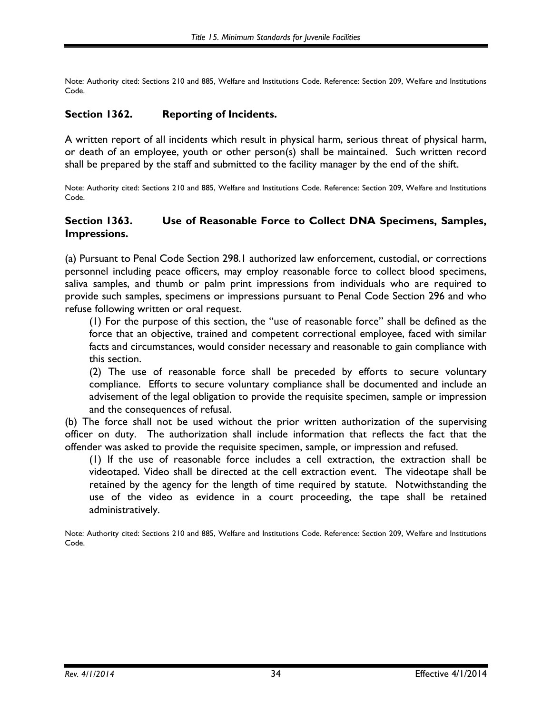Note: Authority cited: Sections 210 and 885, Welfare and Institutions Code. Reference: Section 209, Welfare and Institutions Code.

#### <span id="page-33-0"></span>**Section 1362. Reporting of Incidents.**

A written report of all incidents which result in physical harm, serious threat of physical harm, or death of an employee, youth or other person(s) shall be maintained. Such written record shall be prepared by the staff and submitted to the facility manager by the end of the shift.

Note: Authority cited: Sections 210 and 885, Welfare and Institutions Code. Reference: Section 209, Welfare and Institutions Code.

#### <span id="page-33-1"></span>**Section 1363. Use of Reasonable Force to Collect DNA Specimens, Samples, Impressions.**

(a) Pursuant to Penal Code Section 298.1 authorized law enforcement, custodial, or corrections personnel including peace officers, may employ reasonable force to collect blood specimens, saliva samples, and thumb or palm print impressions from individuals who are required to provide such samples, specimens or impressions pursuant to Penal Code Section 296 and who refuse following written or oral request.

(1) For the purpose of this section, the "use of reasonable force" shall be defined as the force that an objective, trained and competent correctional employee, faced with similar facts and circumstances, would consider necessary and reasonable to gain compliance with this section.

(2) The use of reasonable force shall be preceded by efforts to secure voluntary compliance. Efforts to secure voluntary compliance shall be documented and include an advisement of the legal obligation to provide the requisite specimen, sample or impression and the consequences of refusal.

(b) The force shall not be used without the prior written authorization of the supervising officer on duty. The authorization shall include information that reflects the fact that the offender was asked to provide the requisite specimen, sample, or impression and refused.

(1) If the use of reasonable force includes a cell extraction, the extraction shall be videotaped. Video shall be directed at the cell extraction event. The videotape shall be retained by the agency for the length of time required by statute. Notwithstanding the use of the video as evidence in a court proceeding, the tape shall be retained administratively.

Note: Authority cited: Sections 210 and 885, Welfare and Institutions Code. Reference: Section 209, Welfare and Institutions Code.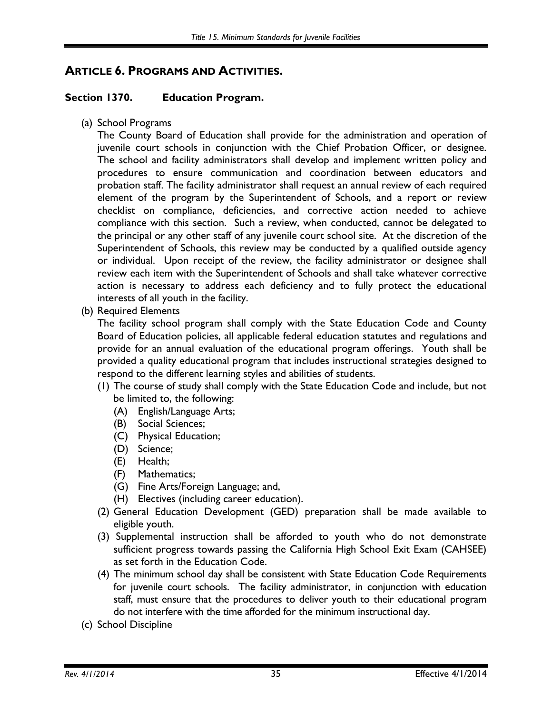# <span id="page-34-0"></span>**ARTICLE 6. PROGRAMS AND ACTIVITIES.**

# <span id="page-34-1"></span>**Section 1370. Education Program.**

(a) School Programs

The County Board of Education shall provide for the administration and operation of juvenile court schools in conjunction with the Chief Probation Officer, or designee. The school and facility administrators shall develop and implement written policy and procedures to ensure communication and coordination between educators and probation staff. The facility administrator shall request an annual review of each required element of the program by the Superintendent of Schools, and a report or review checklist on compliance, deficiencies, and corrective action needed to achieve compliance with this section. Such a review, when conducted, cannot be delegated to the principal or any other staff of any juvenile court school site. At the discretion of the Superintendent of Schools, this review may be conducted by a qualified outside agency or individual. Upon receipt of the review, the facility administrator or designee shall review each item with the Superintendent of Schools and shall take whatever corrective action is necessary to address each deficiency and to fully protect the educational interests of all youth in the facility.

(b) Required Elements

The facility school program shall comply with the State Education Code and County Board of Education policies, all applicable federal education statutes and regulations and provide for an annual evaluation of the educational program offerings. Youth shall be provided a quality educational program that includes instructional strategies designed to respond to the different learning styles and abilities of students.

- (1) The course of study shall comply with the State Education Code and include, but not be limited to, the following:
	- (A) English/Language Arts;
	- (B) Social Sciences;
	- (C) Physical Education;
	- (D) Science;
	- (E) Health;
	- (F) Mathematics;
	- (G) Fine Arts/Foreign Language; and,
	- (H) Electives (including career education).
- (2) General Education Development (GED) preparation shall be made available to eligible youth.
- (3) Supplemental instruction shall be afforded to youth who do not demonstrate sufficient progress towards passing the California High School Exit Exam (CAHSEE) as set forth in the Education Code.
- (4) The minimum school day shall be consistent with State Education Code Requirements for juvenile court schools. The facility administrator, in conjunction with education staff, must ensure that the procedures to deliver youth to their educational program do not interfere with the time afforded for the minimum instructional day.
- (c) School Discipline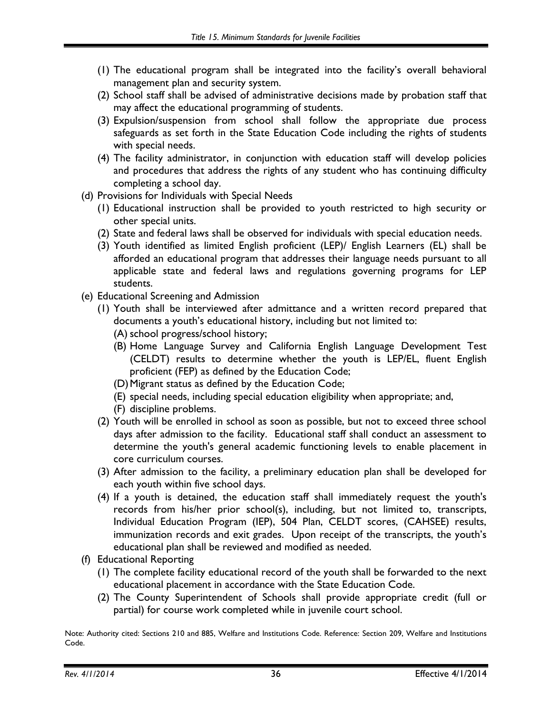- (1) The educational program shall be integrated into the facility's overall behavioral management plan and security system.
- (2) School staff shall be advised of administrative decisions made by probation staff that may affect the educational programming of students.
- (3) Expulsion/suspension from school shall follow the appropriate due process safeguards as set forth in the State Education Code including the rights of students with special needs.
- (4) The facility administrator, in conjunction with education staff will develop policies and procedures that address the rights of any student who has continuing difficulty completing a school day.
- (d) Provisions for Individuals with Special Needs
	- (1) Educational instruction shall be provided to youth restricted to high security or other special units.
	- (2) State and federal laws shall be observed for individuals with special education needs.
	- (3) Youth identified as limited English proficient (LEP)/ English Learners (EL) shall be afforded an educational program that addresses their language needs pursuant to all applicable state and federal laws and regulations governing programs for LEP students.
- (e) Educational Screening and Admission
	- (1) Youth shall be interviewed after admittance and a written record prepared that documents a youth's educational history, including but not limited to:
		- (A) school progress/school history;
		- (B) Home Language Survey and California English Language Development Test (CELDT) results to determine whether the youth is LEP/EL, fluent English proficient (FEP) as defined by the Education Code;
		- (D)Migrant status as defined by the Education Code;
		- (E) special needs, including special education eligibility when appropriate; and,
		- (F) discipline problems.
	- (2) Youth will be enrolled in school as soon as possible, but not to exceed three school days after admission to the facility. Educational staff shall conduct an assessment to determine the youth's general academic functioning levels to enable placement in core curriculum courses.
	- (3) After admission to the facility, a preliminary education plan shall be developed for each youth within five school days.
	- (4) If a youth is detained, the education staff shall immediately request the youth's records from his/her prior school(s), including, but not limited to, transcripts, Individual Education Program (IEP), 504 Plan, CELDT scores, (CAHSEE) results, immunization records and exit grades. Upon receipt of the transcripts, the youth's educational plan shall be reviewed and modified as needed.
- (f) Educational Reporting
	- (1) The complete facility educational record of the youth shall be forwarded to the next educational placement in accordance with the State Education Code.
	- (2) The County Superintendent of Schools shall provide appropriate credit (full or partial) for course work completed while in juvenile court school.

Note: Authority cited: Sections 210 and 885, Welfare and Institutions Code. Reference: Section 209, Welfare and Institutions Code.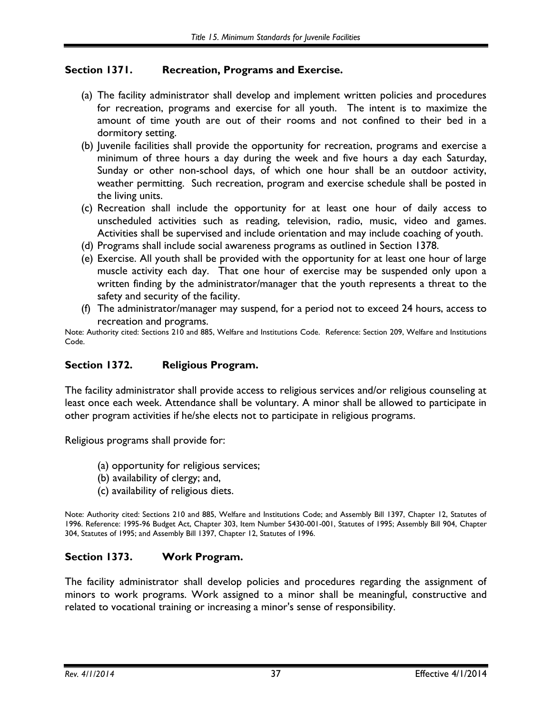# <span id="page-36-0"></span>**Section 1371. Recreation, Programs and Exercise.**

- (a) The facility administrator shall develop and implement written policies and procedures for recreation, programs and exercise for all youth. The intent is to maximize the amount of time youth are out of their rooms and not confined to their bed in a dormitory setting.
- (b) Juvenile facilities shall provide the opportunity for recreation, programs and exercise a minimum of three hours a day during the week and five hours a day each Saturday, Sunday or other non-school days, of which one hour shall be an outdoor activity, weather permitting. Such recreation, program and exercise schedule shall be posted in the living units.
- (c) Recreation shall include the opportunity for at least one hour of daily access to unscheduled activities such as reading, television, radio, music, video and games. Activities shall be supervised and include orientation and may include coaching of youth.
- (d) Programs shall include social awareness programs as outlined in Section 1378.
- (e) Exercise. All youth shall be provided with the opportunity for at least one hour of large muscle activity each day. That one hour of exercise may be suspended only upon a written finding by the administrator/manager that the youth represents a threat to the safety and security of the facility.
- (f) The administrator/manager may suspend, for a period not to exceed 24 hours, access to recreation and programs.

Note: Authority cited: Sections 210 and 885, Welfare and Institutions Code. Reference: Section 209, Welfare and Institutions Code.

# <span id="page-36-1"></span>**Section 1372. Religious Program.**

The facility administrator shall provide access to religious services and/or religious counseling at least once each week. Attendance shall be voluntary. A minor shall be allowed to participate in other program activities if he/she elects not to participate in religious programs.

Religious programs shall provide for:

- (a) opportunity for religious services;
- (b) availability of clergy; and,
- (c) availability of religious diets.

Note: Authority cited: Sections 210 and 885, Welfare and Institutions Code; and Assembly Bill 1397, Chapter 12, Statutes of 1996. Reference: 1995-96 Budget Act, Chapter 303, Item Number 5430-001-001, Statutes of 1995; Assembly Bill 904, Chapter 304, Statutes of 1995; and Assembly Bill 1397, Chapter 12, Statutes of 1996.

#### <span id="page-36-2"></span>**Section 1373. Work Program.**

The facility administrator shall develop policies and procedures regarding the assignment of minors to work programs. Work assigned to a minor shall be meaningful, constructive and related to vocational training or increasing a minor's sense of responsibility.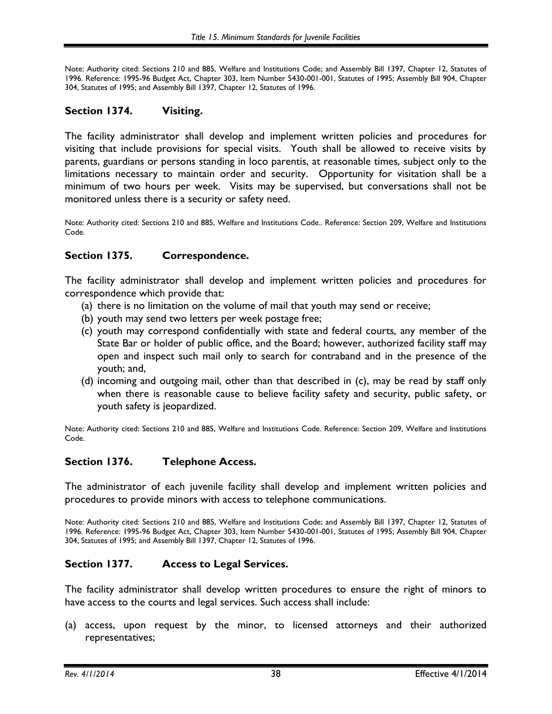Note: Authority cited: Sections 210 and 885, Welfare and Institutions Code; and Assembly Bill 1397, Chapter 12, Statutes of 1996. Reference: 1995-96 Budget Act, Chapter 303, Item Number 5430-001-001, Statutes of 1995; Assembly Bill 904, Chapter 304, Statutes of 1995; and Assembly Bill 1397, Chapter 12, Statutes of 1996.

#### <span id="page-37-0"></span>**Section 1374. Visiting.**

The facility administrator shall develop and implement written policies and procedures for visiting that include provisions for special visits. Youth shall be allowed to receive visits by parents, guardians or persons standing in loco parentis, at reasonable times, subject only to the limitations necessary to maintain order and security. Opportunity for visitation shall be a minimum of two hours per week. Visits may be supervised, but conversations shall not be monitored unless there is a security or safety need.

Note: Authority cited: Sections 210 and 885, Welfare and Institutions Code.. Reference: Section 209, Welfare and Institutions Code.

#### <span id="page-37-1"></span>**Section 1375. Correspondence.**

The facility administrator shall develop and implement written policies and procedures for correspondence which provide that:

- (a) there is no limitation on the volume of mail that youth may send or receive;
- (b) youth may send two letters per week postage free;
- (c) youth may correspond confidentially with state and federal courts, any member of the State Bar or holder of public office, and the Board; however, authorized facility staff may open and inspect such mail only to search for contraband and in the presence of the youth; and,
- (d) incoming and outgoing mail, other than that described in (c), may be read by staff only when there is reasonable cause to believe facility safety and security, public safety, or youth safety is jeopardized.

Note: Authority cited: Sections 210 and 885, Welfare and Institutions Code. Reference: Section 209, Welfare and Institutions Code.

#### <span id="page-37-2"></span>**Section 1376. Telephone Access.**

The administrator of each juvenile facility shall develop and implement written policies and procedures to provide minors with access to telephone communications.

Note: Authority cited: Sections 210 and 885, Welfare and Institutions Code; and Assembly Bill 1397, Chapter 12, Statutes of 1996. Reference: 1995-96 Budget Act, Chapter 303, Item Number 5430-001-001, Statutes of 1995; Assembly Bill 904, Chapter 304, Statutes of 1995; and Assembly Bill 1397, Chapter 12, Statutes of 1996.

#### <span id="page-37-3"></span>**Section 1377. Access to Legal Services.**

The facility administrator shall develop written procedures to ensure the right of minors to have access to the courts and legal services. Such access shall include:

(a) access, upon request by the minor, to licensed attorneys and their authorized representatives;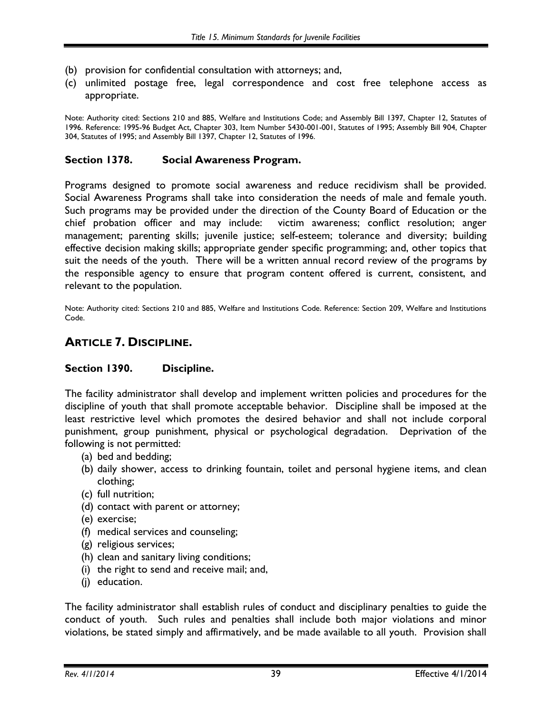- (b) provision for confidential consultation with attorneys; and,
- (c) unlimited postage free, legal correspondence and cost free telephone access as appropriate.

Note: Authority cited: Sections 210 and 885, Welfare and Institutions Code; and Assembly Bill 1397, Chapter 12, Statutes of 1996. Reference: 1995-96 Budget Act, Chapter 303, Item Number 5430-001-001, Statutes of 1995; Assembly Bill 904, Chapter 304, Statutes of 1995; and Assembly Bill 1397, Chapter 12, Statutes of 1996.

### <span id="page-38-0"></span>**Section 1378. Social Awareness Program.**

Programs designed to promote social awareness and reduce recidivism shall be provided. Social Awareness Programs shall take into consideration the needs of male and female youth. Such programs may be provided under the direction of the County Board of Education or the chief probation officer and may include: victim awareness; conflict resolution; anger management; parenting skills; juvenile justice; self-esteem; tolerance and diversity; building effective decision making skills; appropriate gender specific programming; and, other topics that suit the needs of the youth. There will be a written annual record review of the programs by the responsible agency to ensure that program content offered is current, consistent, and relevant to the population.

Note: Authority cited: Sections 210 and 885, Welfare and Institutions Code. Reference: Section 209, Welfare and Institutions Code.

# <span id="page-38-1"></span>**ARTICLE 7. DISCIPLINE.**

#### <span id="page-38-2"></span>**Section 1390. Discipline.**

The facility administrator shall develop and implement written policies and procedures for the discipline of youth that shall promote acceptable behavior. Discipline shall be imposed at the least restrictive level which promotes the desired behavior and shall not include corporal punishment, group punishment, physical or psychological degradation. Deprivation of the following is not permitted:

- (a) bed and bedding;
- (b) daily shower, access to drinking fountain, toilet and personal hygiene items, and clean clothing;
- (c) full nutrition;
- (d) contact with parent or attorney;
- (e) exercise;
- (f) medical services and counseling;
- (g) religious services;
- (h) clean and sanitary living conditions;
- (i) the right to send and receive mail; and,
- (j) education.

The facility administrator shall establish rules of conduct and disciplinary penalties to guide the conduct of youth. Such rules and penalties shall include both major violations and minor violations, be stated simply and affirmatively, and be made available to all youth. Provision shall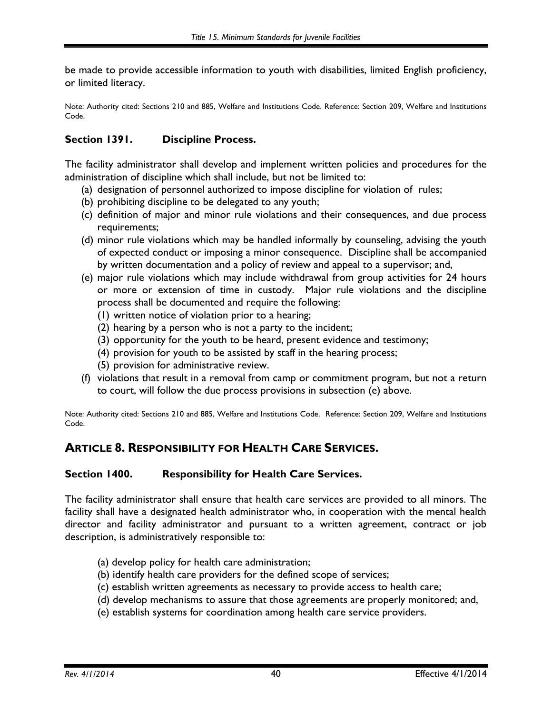be made to provide accessible information to youth with disabilities, limited English proficiency, or limited literacy.

Note: Authority cited: Sections 210 and 885, Welfare and Institutions Code. Reference: Section 209, Welfare and Institutions Code.

# <span id="page-39-0"></span>**Section 1391. Discipline Process.**

The facility administrator shall develop and implement written policies and procedures for the administration of discipline which shall include, but not be limited to:

- (a) designation of personnel authorized to impose discipline for violation of rules;
- (b) prohibiting discipline to be delegated to any youth;
- (c) definition of major and minor rule violations and their consequences, and due process requirements;
- (d) minor rule violations which may be handled informally by counseling, advising the youth of expected conduct or imposing a minor consequence. Discipline shall be accompanied by written documentation and a policy of review and appeal to a supervisor; and,
- (e) major rule violations which may include withdrawal from group activities for 24 hours or more or extension of time in custody. Major rule violations and the discipline process shall be documented and require the following:
	- (1) written notice of violation prior to a hearing;
	- (2) hearing by a person who is not a party to the incident;
	- (3) opportunity for the youth to be heard, present evidence and testimony;
	- (4) provision for youth to be assisted by staff in the hearing process;
	- (5) provision for administrative review.
- (f) violations that result in a removal from camp or commitment program, but not a return to court, will follow the due process provisions in subsection (e) above.

Note: Authority cited: Sections 210 and 885, Welfare and Institutions Code. Reference: Section 209, Welfare and Institutions Code.

# <span id="page-39-1"></span>**ARTICLE 8. RESPONSIBILITY FOR HEALTH CARE SERVICES.**

# <span id="page-39-2"></span>**Section 1400. Responsibility for Health Care Services.**

The facility administrator shall ensure that health care services are provided to all minors. The facility shall have a designated health administrator who, in cooperation with the mental health director and facility administrator and pursuant to a written agreement, contract or job description, is administratively responsible to:

- (a) develop policy for health care administration;
- (b) identify health care providers for the defined scope of services;
- (c) establish written agreements as necessary to provide access to health care;
- (d) develop mechanisms to assure that those agreements are properly monitored; and,
- (e) establish systems for coordination among health care service providers.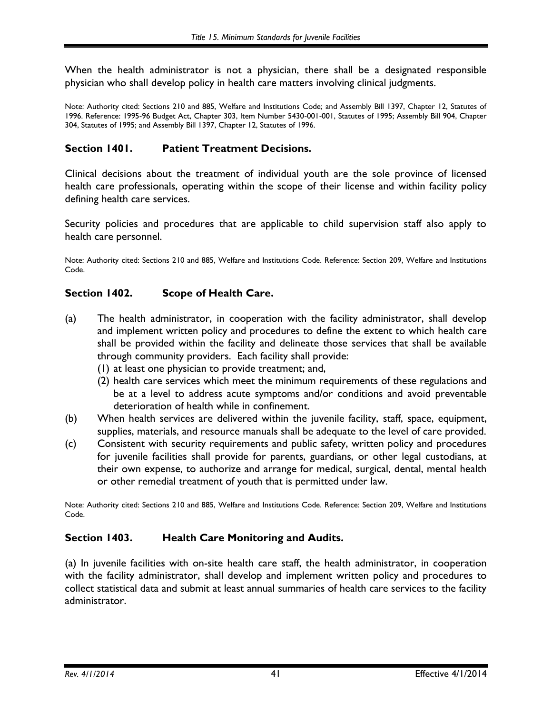When the health administrator is not a physician, there shall be a designated responsible physician who shall develop policy in health care matters involving clinical judgments.

Note: Authority cited: Sections 210 and 885, Welfare and Institutions Code; and Assembly Bill 1397, Chapter 12, Statutes of 1996. Reference: 1995-96 Budget Act, Chapter 303, Item Number 5430-001-001, Statutes of 1995; Assembly Bill 904, Chapter 304, Statutes of 1995; and Assembly Bill 1397, Chapter 12, Statutes of 1996.

# <span id="page-40-0"></span>**Section 1401. Patient Treatment Decisions.**

Clinical decisions about the treatment of individual youth are the sole province of licensed health care professionals, operating within the scope of their license and within facility policy defining health care services.

Security policies and procedures that are applicable to child supervision staff also apply to health care personnel.

Note: Authority cited: Sections 210 and 885, Welfare and Institutions Code. Reference: Section 209, Welfare and Institutions Code.

### <span id="page-40-1"></span>**Section 1402. Scope of Health Care.**

- (a) The health administrator, in cooperation with the facility administrator, shall develop and implement written policy and procedures to define the extent to which health care shall be provided within the facility and delineate those services that shall be available through community providers. Each facility shall provide:
	- (1) at least one physician to provide treatment; and,
	- (2) health care services which meet the minimum requirements of these regulations and be at a level to address acute symptoms and/or conditions and avoid preventable deterioration of health while in confinement.
- (b) When health services are delivered within the juvenile facility, staff, space, equipment, supplies, materials, and resource manuals shall be adequate to the level of care provided.
- (c) Consistent with security requirements and public safety, written policy and procedures for juvenile facilities shall provide for parents, guardians, or other legal custodians, at their own expense, to authorize and arrange for medical, surgical, dental, mental health or other remedial treatment of youth that is permitted under law.

Note: Authority cited: Sections 210 and 885, Welfare and Institutions Code. Reference: Section 209, Welfare and Institutions Code.

#### <span id="page-40-2"></span>**Section 1403. Health Care Monitoring and Audits.**

(a) In juvenile facilities with on-site health care staff, the health administrator, in cooperation with the facility administrator, shall develop and implement written policy and procedures to collect statistical data and submit at least annual summaries of health care services to the facility administrator.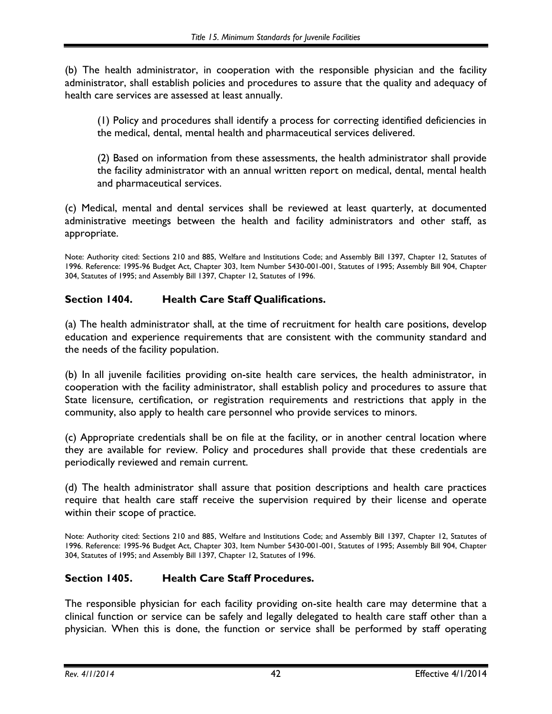(b) The health administrator, in cooperation with the responsible physician and the facility administrator, shall establish policies and procedures to assure that the quality and adequacy of health care services are assessed at least annually.

(1) Policy and procedures shall identify a process for correcting identified deficiencies in the medical, dental, mental health and pharmaceutical services delivered.

(2) Based on information from these assessments, the health administrator shall provide the facility administrator with an annual written report on medical, dental, mental health and pharmaceutical services.

(c) Medical, mental and dental services shall be reviewed at least quarterly, at documented administrative meetings between the health and facility administrators and other staff, as appropriate.

Note: Authority cited: Sections 210 and 885, Welfare and Institutions Code; and Assembly Bill 1397, Chapter 12, Statutes of 1996. Reference: 1995-96 Budget Act, Chapter 303, Item Number 5430-001-001, Statutes of 1995; Assembly Bill 904, Chapter 304, Statutes of 1995; and Assembly Bill 1397, Chapter 12, Statutes of 1996.

# <span id="page-41-0"></span>**Section 1404. Health Care Staff Qualifications.**

(a) The health administrator shall, at the time of recruitment for health care positions, develop education and experience requirements that are consistent with the community standard and the needs of the facility population.

(b) In all juvenile facilities providing on-site health care services, the health administrator, in cooperation with the facility administrator, shall establish policy and procedures to assure that State licensure, certification, or registration requirements and restrictions that apply in the community, also apply to health care personnel who provide services to minors.

(c) Appropriate credentials shall be on file at the facility, or in another central location where they are available for review. Policy and procedures shall provide that these credentials are periodically reviewed and remain current.

(d) The health administrator shall assure that position descriptions and health care practices require that health care staff receive the supervision required by their license and operate within their scope of practice.

Note: Authority cited: Sections 210 and 885, Welfare and Institutions Code; and Assembly Bill 1397, Chapter 12, Statutes of 1996. Reference: 1995-96 Budget Act, Chapter 303, Item Number 5430-001-001, Statutes of 1995; Assembly Bill 904, Chapter 304, Statutes of 1995; and Assembly Bill 1397, Chapter 12, Statutes of 1996.

# <span id="page-41-1"></span>**Section 1405. Health Care Staff Procedures.**

The responsible physician for each facility providing on-site health care may determine that a clinical function or service can be safely and legally delegated to health care staff other than a physician. When this is done, the function or service shall be performed by staff operating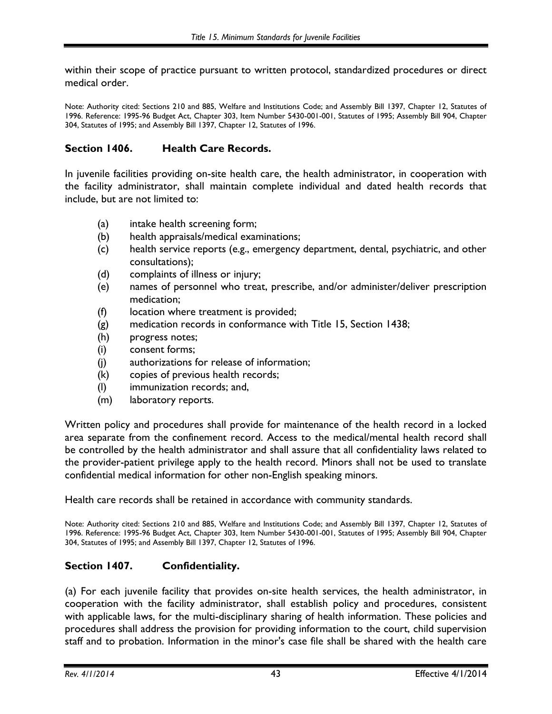within their scope of practice pursuant to written protocol, standardized procedures or direct medical order.

Note: Authority cited: Sections 210 and 885, Welfare and Institutions Code; and Assembly Bill 1397, Chapter 12, Statutes of 1996. Reference: 1995-96 Budget Act, Chapter 303, Item Number 5430-001-001, Statutes of 1995; Assembly Bill 904, Chapter 304, Statutes of 1995; and Assembly Bill 1397, Chapter 12, Statutes of 1996.

### <span id="page-42-0"></span>**Section 1406. Health Care Records.**

In juvenile facilities providing on-site health care, the health administrator, in cooperation with the facility administrator, shall maintain complete individual and dated health records that include, but are not limited to:

- (a) intake health screening form;
- (b) health appraisals/medical examinations;
- (c) health service reports (e.g., emergency department, dental, psychiatric, and other consultations);
- (d) complaints of illness or injury;
- (e) names of personnel who treat, prescribe, and/or administer/deliver prescription medication;
- (f) location where treatment is provided;
- (g) medication records in conformance with Title 15, Section 1438;
- (h) progress notes;
- (i) consent forms;
- (j) authorizations for release of information;
- (k) copies of previous health records;
- (l) immunization records; and,
- (m) laboratory reports.

Written policy and procedures shall provide for maintenance of the health record in a locked area separate from the confinement record. Access to the medical/mental health record shall be controlled by the health administrator and shall assure that all confidentiality laws related to the provider-patient privilege apply to the health record. Minors shall not be used to translate confidential medical information for other non-English speaking minors.

Health care records shall be retained in accordance with community standards.

Note: Authority cited: Sections 210 and 885, Welfare and Institutions Code; and Assembly Bill 1397, Chapter 12, Statutes of 1996. Reference: 1995-96 Budget Act, Chapter 303, Item Number 5430-001-001, Statutes of 1995; Assembly Bill 904, Chapter 304, Statutes of 1995; and Assembly Bill 1397, Chapter 12, Statutes of 1996.

# <span id="page-42-1"></span>**Section 1407. Confidentiality.**

(a) For each juvenile facility that provides on-site health services, the health administrator, in cooperation with the facility administrator, shall establish policy and procedures, consistent with applicable laws, for the multi-disciplinary sharing of health information. These policies and procedures shall address the provision for providing information to the court, child supervision staff and to probation. Information in the minor's case file shall be shared with the health care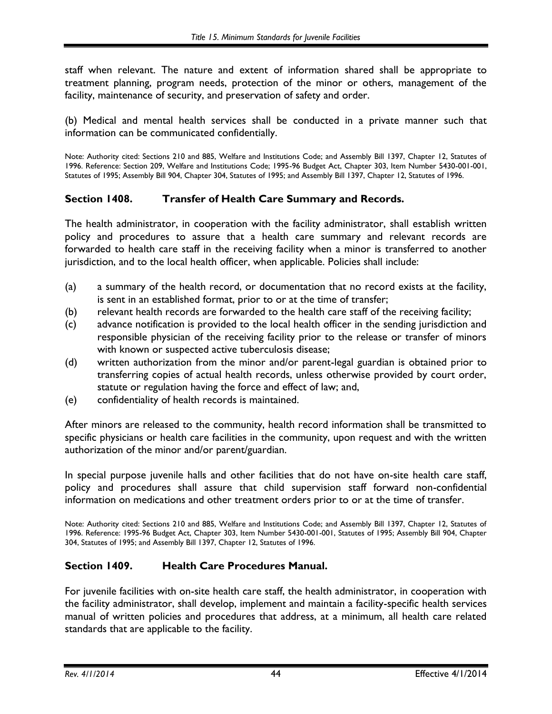staff when relevant. The nature and extent of information shared shall be appropriate to treatment planning, program needs, protection of the minor or others, management of the facility, maintenance of security, and preservation of safety and order.

(b) Medical and mental health services shall be conducted in a private manner such that information can be communicated confidentially.

Note: Authority cited: Sections 210 and 885, Welfare and Institutions Code; and Assembly Bill 1397, Chapter 12, Statutes of 1996. Reference: Section 209, Welfare and Institutions Code; 1995-96 Budget Act, Chapter 303, Item Number 5430-001-001, Statutes of 1995; Assembly Bill 904, Chapter 304, Statutes of 1995; and Assembly Bill 1397, Chapter 12, Statutes of 1996.

### <span id="page-43-0"></span>**Section 1408. Transfer of Health Care Summary and Records.**

The health administrator, in cooperation with the facility administrator, shall establish written policy and procedures to assure that a health care summary and relevant records are forwarded to health care staff in the receiving facility when a minor is transferred to another jurisdiction, and to the local health officer, when applicable. Policies shall include:

- (a) a summary of the health record, or documentation that no record exists at the facility, is sent in an established format, prior to or at the time of transfer;
- (b) relevant health records are forwarded to the health care staff of the receiving facility;
- (c) advance notification is provided to the local health officer in the sending jurisdiction and responsible physician of the receiving facility prior to the release or transfer of minors with known or suspected active tuberculosis disease;
- (d) written authorization from the minor and/or parent-legal guardian is obtained prior to transferring copies of actual health records, unless otherwise provided by court order, statute or regulation having the force and effect of law; and,
- (e) confidentiality of health records is maintained.

After minors are released to the community, health record information shall be transmitted to specific physicians or health care facilities in the community, upon request and with the written authorization of the minor and/or parent/guardian.

In special purpose juvenile halls and other facilities that do not have on-site health care staff, policy and procedures shall assure that child supervision staff forward non-confidential information on medications and other treatment orders prior to or at the time of transfer.

Note: Authority cited: Sections 210 and 885, Welfare and Institutions Code; and Assembly Bill 1397, Chapter 12, Statutes of 1996. Reference: 1995-96 Budget Act, Chapter 303, Item Number 5430-001-001, Statutes of 1995; Assembly Bill 904, Chapter 304, Statutes of 1995; and Assembly Bill 1397, Chapter 12, Statutes of 1996.

# <span id="page-43-1"></span>**Section 1409. Health Care Procedures Manual.**

For juvenile facilities with on-site health care staff, the health administrator, in cooperation with the facility administrator, shall develop, implement and maintain a facility-specific health services manual of written policies and procedures that address, at a minimum, all health care related standards that are applicable to the facility.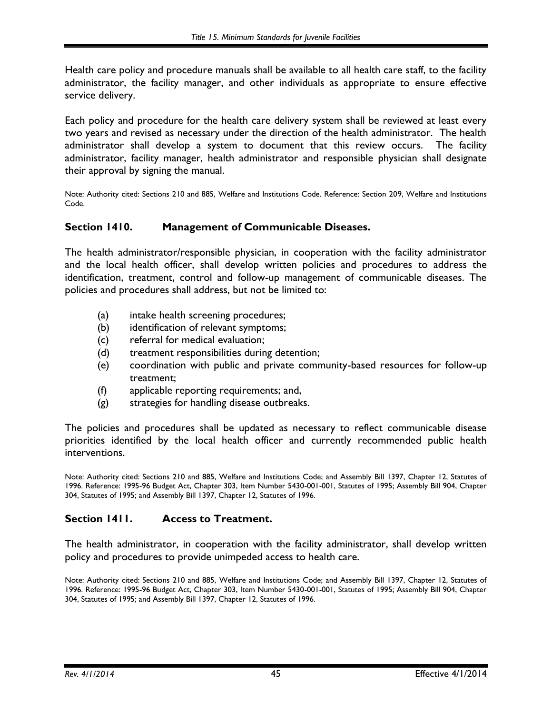Health care policy and procedure manuals shall be available to all health care staff, to the facility administrator, the facility manager, and other individuals as appropriate to ensure effective service delivery.

Each policy and procedure for the health care delivery system shall be reviewed at least every two years and revised as necessary under the direction of the health administrator. The health administrator shall develop a system to document that this review occurs. The facility administrator, facility manager, health administrator and responsible physician shall designate their approval by signing the manual.

Note: Authority cited: Sections 210 and 885, Welfare and Institutions Code. Reference: Section 209, Welfare and Institutions Code.

# <span id="page-44-0"></span>**Section 1410. Management of Communicable Diseases.**

The health administrator/responsible physician, in cooperation with the facility administrator and the local health officer, shall develop written policies and procedures to address the identification, treatment, control and follow-up management of communicable diseases. The policies and procedures shall address, but not be limited to:

- (a) intake health screening procedures;
- (b) identification of relevant symptoms;
- (c) referral for medical evaluation;
- (d) treatment responsibilities during detention;
- (e) coordination with public and private community-based resources for follow-up treatment;
- (f) applicable reporting requirements; and,
- (g) strategies for handling disease outbreaks.

The policies and procedures shall be updated as necessary to reflect communicable disease priorities identified by the local health officer and currently recommended public health interventions.

Note: Authority cited: Sections 210 and 885, Welfare and Institutions Code; and Assembly Bill 1397, Chapter 12, Statutes of 1996. Reference: 1995-96 Budget Act, Chapter 303, Item Number 5430-001-001, Statutes of 1995; Assembly Bill 904, Chapter 304, Statutes of 1995; and Assembly Bill 1397, Chapter 12, Statutes of 1996.

# <span id="page-44-1"></span>**Section 1411. Access to Treatment.**

The health administrator, in cooperation with the facility administrator, shall develop written policy and procedures to provide unimpeded access to health care.

Note: Authority cited: Sections 210 and 885, Welfare and Institutions Code; and Assembly Bill 1397, Chapter 12, Statutes of 1996. Reference: 1995-96 Budget Act, Chapter 303, Item Number 5430-001-001, Statutes of 1995; Assembly Bill 904, Chapter 304, Statutes of 1995; and Assembly Bill 1397, Chapter 12, Statutes of 1996.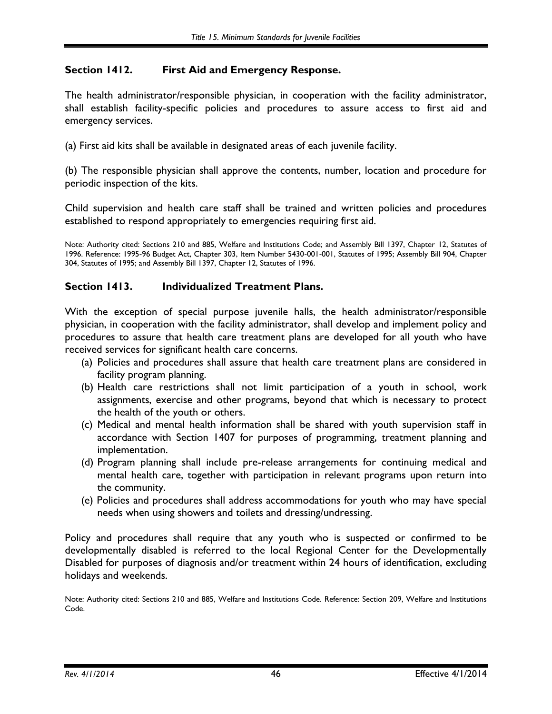# <span id="page-45-0"></span>**Section 1412. First Aid and Emergency Response.**

The health administrator/responsible physician, in cooperation with the facility administrator, shall establish facility-specific policies and procedures to assure access to first aid and emergency services.

(a) First aid kits shall be available in designated areas of each juvenile facility.

(b) The responsible physician shall approve the contents, number, location and procedure for periodic inspection of the kits.

Child supervision and health care staff shall be trained and written policies and procedures established to respond appropriately to emergencies requiring first aid.

Note: Authority cited: Sections 210 and 885, Welfare and Institutions Code; and Assembly Bill 1397, Chapter 12, Statutes of 1996. Reference: 1995-96 Budget Act, Chapter 303, Item Number 5430-001-001, Statutes of 1995; Assembly Bill 904, Chapter 304, Statutes of 1995; and Assembly Bill 1397, Chapter 12, Statutes of 1996.

### <span id="page-45-1"></span>**Section 1413. Individualized Treatment Plans.**

With the exception of special purpose juvenile halls, the health administrator/responsible physician, in cooperation with the facility administrator, shall develop and implement policy and procedures to assure that health care treatment plans are developed for all youth who have received services for significant health care concerns.

- (a) Policies and procedures shall assure that health care treatment plans are considered in facility program planning.
- (b) Health care restrictions shall not limit participation of a youth in school, work assignments, exercise and other programs, beyond that which is necessary to protect the health of the youth or others.
- (c) Medical and mental health information shall be shared with youth supervision staff in accordance with Section 1407 for purposes of programming, treatment planning and implementation.
- (d) Program planning shall include pre-release arrangements for continuing medical and mental health care, together with participation in relevant programs upon return into the community.
- (e) Policies and procedures shall address accommodations for youth who may have special needs when using showers and toilets and dressing/undressing.

Policy and procedures shall require that any youth who is suspected or confirmed to be developmentally disabled is referred to the local Regional Center for the Developmentally Disabled for purposes of diagnosis and/or treatment within 24 hours of identification, excluding holidays and weekends.

Note: Authority cited: Sections 210 and 885, Welfare and Institutions Code. Reference: Section 209, Welfare and Institutions Code.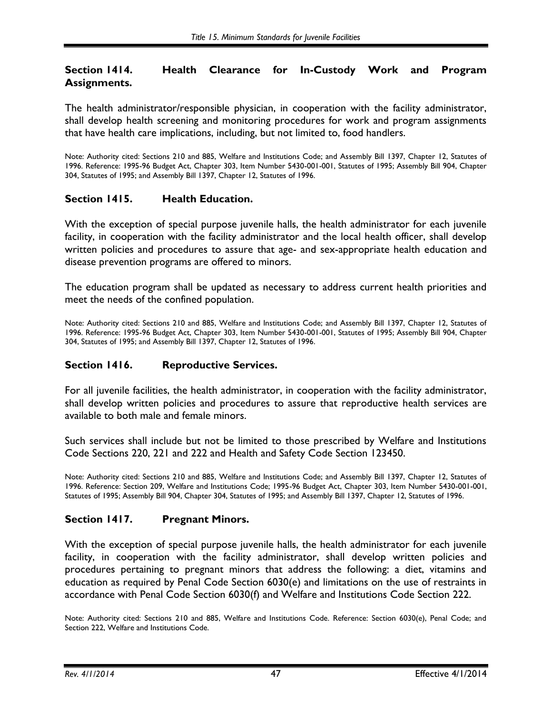# <span id="page-46-0"></span>**Section 1414. Health Clearance for In-Custody Work and Program Assignments.**

The health administrator/responsible physician, in cooperation with the facility administrator, shall develop health screening and monitoring procedures for work and program assignments that have health care implications, including, but not limited to, food handlers.

Note: Authority cited: Sections 210 and 885, Welfare and Institutions Code; and Assembly Bill 1397, Chapter 12, Statutes of 1996. Reference: 1995-96 Budget Act, Chapter 303, Item Number 5430-001-001, Statutes of 1995; Assembly Bill 904, Chapter 304, Statutes of 1995; and Assembly Bill 1397, Chapter 12, Statutes of 1996.

### <span id="page-46-1"></span>**Section 1415. Health Education.**

With the exception of special purpose juvenile halls, the health administrator for each juvenile facility, in cooperation with the facility administrator and the local health officer, shall develop written policies and procedures to assure that age- and sex-appropriate health education and disease prevention programs are offered to minors.

The education program shall be updated as necessary to address current health priorities and meet the needs of the confined population.

Note: Authority cited: Sections 210 and 885, Welfare and Institutions Code; and Assembly Bill 1397, Chapter 12, Statutes of 1996. Reference: 1995-96 Budget Act, Chapter 303, Item Number 5430-001-001, Statutes of 1995; Assembly Bill 904, Chapter 304, Statutes of 1995; and Assembly Bill 1397, Chapter 12, Statutes of 1996.

#### <span id="page-46-2"></span>**Section 1416. Reproductive Services.**

For all juvenile facilities, the health administrator, in cooperation with the facility administrator, shall develop written policies and procedures to assure that reproductive health services are available to both male and female minors.

Such services shall include but not be limited to those prescribed by Welfare and Institutions Code Sections 220, 221 and 222 and Health and Safety Code Section 123450.

Note: Authority cited: Sections 210 and 885, Welfare and Institutions Code; and Assembly Bill 1397, Chapter 12, Statutes of 1996. Reference: Section 209, Welfare and Institutions Code; 1995-96 Budget Act, Chapter 303, Item Number 5430-001-001, Statutes of 1995; Assembly Bill 904, Chapter 304, Statutes of 1995; and Assembly Bill 1397, Chapter 12, Statutes of 1996.

#### <span id="page-46-3"></span>**Section 1417. Pregnant Minors.**

With the exception of special purpose juvenile halls, the health administrator for each juvenile facility, in cooperation with the facility administrator, shall develop written policies and procedures pertaining to pregnant minors that address the following: a diet, vitamins and education as required by Penal Code Section 6030(e) and limitations on the use of restraints in accordance with Penal Code Section 6030(f) and Welfare and Institutions Code Section 222.

Note: Authority cited: Sections 210 and 885, Welfare and Institutions Code. Reference: Section 6030(e), Penal Code; and Section 222, Welfare and Institutions Code.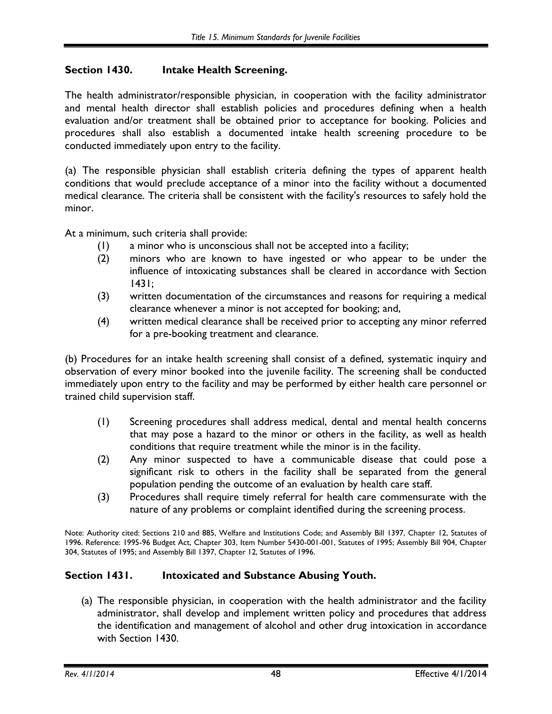#### <span id="page-47-0"></span>**Section 1430. Intake Health Screening.**

The health administrator/responsible physician, in cooperation with the facility administrator and mental health director shall establish policies and procedures defining when a health evaluation and/or treatment shall be obtained prior to acceptance for booking. Policies and procedures shall also establish a documented intake health screening procedure to be conducted immediately upon entry to the facility.

(a) The responsible physician shall establish criteria defining the types of apparent health conditions that would preclude acceptance of a minor into the facility without a documented medical clearance. The criteria shall be consistent with the facility's resources to safely hold the minor.

At a minimum, such criteria shall provide:

- (1) a minor who is unconscious shall not be accepted into a facility;
- (2) minors who are known to have ingested or who appear to be under the influence of intoxicating substances shall be cleared in accordance with Section 1431;
- (3) written documentation of the circumstances and reasons for requiring a medical clearance whenever a minor is not accepted for booking; and,
- (4) written medical clearance shall be received prior to accepting any minor referred for a pre-booking treatment and clearance.

(b) Procedures for an intake health screening shall consist of a defined, systematic inquiry and observation of every minor booked into the juvenile facility. The screening shall be conducted immediately upon entry to the facility and may be performed by either health care personnel or trained child supervision staff.

- (1) Screening procedures shall address medical, dental and mental health concerns that may pose a hazard to the minor or others in the facility, as well as health conditions that require treatment while the minor is in the facility.
- (2) Any minor suspected to have a communicable disease that could pose a significant risk to others in the facility shall be separated from the general population pending the outcome of an evaluation by health care staff.
- (3) Procedures shall require timely referral for health care commensurate with the nature of any problems or complaint identified during the screening process.

Note: Authority cited: Sections 210 and 885, Welfare and Institutions Code; and Assembly Bill 1397, Chapter 12, Statutes of 1996. Reference: 1995-96 Budget Act, Chapter 303, Item Number 5430-001-001, Statutes of 1995; Assembly Bill 904, Chapter 304, Statutes of 1995; and Assembly Bill 1397, Chapter 12, Statutes of 1996.

# <span id="page-47-1"></span>**Section 1431. Intoxicated and Substance Abusing Youth.**

(a) The responsible physician, in cooperation with the health administrator and the facility administrator, shall develop and implement written policy and procedures that address the identification and management of alcohol and other drug intoxication in accordance with Section 1430.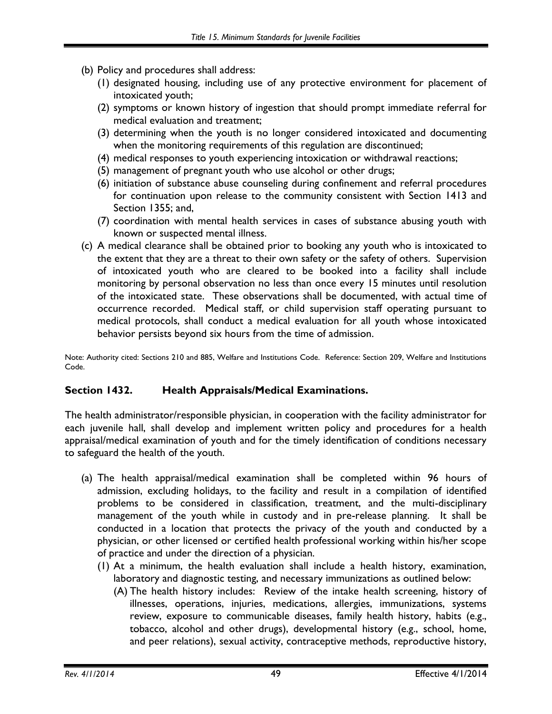- (b) Policy and procedures shall address:
	- (1) designated housing, including use of any protective environment for placement of intoxicated youth;
	- (2) symptoms or known history of ingestion that should prompt immediate referral for medical evaluation and treatment;
	- (3) determining when the youth is no longer considered intoxicated and documenting when the monitoring requirements of this regulation are discontinued;
	- (4) medical responses to youth experiencing intoxication or withdrawal reactions;
	- (5) management of pregnant youth who use alcohol or other drugs;
	- (6) initiation of substance abuse counseling during confinement and referral procedures for continuation upon release to the community consistent with Section 1413 and Section 1355; and,
	- (7) coordination with mental health services in cases of substance abusing youth with known or suspected mental illness.
- (c) A medical clearance shall be obtained prior to booking any youth who is intoxicated to the extent that they are a threat to their own safety or the safety of others. Supervision of intoxicated youth who are cleared to be booked into a facility shall include monitoring by personal observation no less than once every 15 minutes until resolution of the intoxicated state. These observations shall be documented, with actual time of occurrence recorded. Medical staff, or child supervision staff operating pursuant to medical protocols, shall conduct a medical evaluation for all youth whose intoxicated behavior persists beyond six hours from the time of admission.

Note: Authority cited: Sections 210 and 885, Welfare and Institutions Code. Reference: Section 209, Welfare and Institutions Code.

#### <span id="page-48-0"></span>**Section 1432. Health Appraisals/Medical Examinations.**

The health administrator/responsible physician, in cooperation with the facility administrator for each juvenile hall, shall develop and implement written policy and procedures for a health appraisal/medical examination of youth and for the timely identification of conditions necessary to safeguard the health of the youth.

- (a) The health appraisal/medical examination shall be completed within 96 hours of admission, excluding holidays, to the facility and result in a compilation of identified problems to be considered in classification, treatment, and the multi-disciplinary management of the youth while in custody and in pre-release planning. It shall be conducted in a location that protects the privacy of the youth and conducted by a physician, or other licensed or certified health professional working within his/her scope of practice and under the direction of a physician.
	- (1) At a minimum, the health evaluation shall include a health history, examination, laboratory and diagnostic testing, and necessary immunizations as outlined below:
		- (A) The health history includes: Review of the intake health screening, history of illnesses, operations, injuries, medications, allergies, immunizations, systems review, exposure to communicable diseases, family health history, habits (e.g., tobacco, alcohol and other drugs), developmental history (e.g., school, home, and peer relations), sexual activity, contraceptive methods, reproductive history,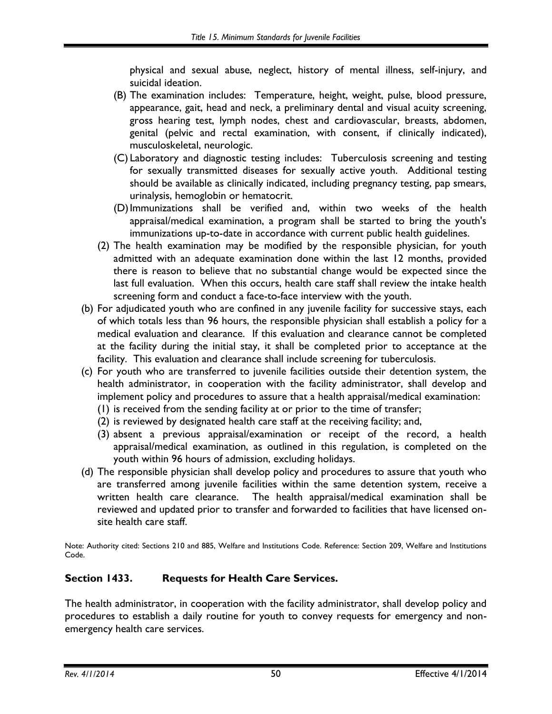physical and sexual abuse, neglect, history of mental illness, self-injury, and suicidal ideation.

- (B) The examination includes: Temperature, height, weight, pulse, blood pressure, appearance, gait, head and neck, a preliminary dental and visual acuity screening, gross hearing test, lymph nodes, chest and cardiovascular, breasts, abdomen, genital (pelvic and rectal examination, with consent, if clinically indicated), musculoskeletal, neurologic.
- (C) Laboratory and diagnostic testing includes: Tuberculosis screening and testing for sexually transmitted diseases for sexually active youth. Additional testing should be available as clinically indicated, including pregnancy testing, pap smears, urinalysis, hemoglobin or hematocrit.
- (D)Immunizations shall be verified and, within two weeks of the health appraisal/medical examination, a program shall be started to bring the youth's immunizations up-to-date in accordance with current public health guidelines.
- (2) The health examination may be modified by the responsible physician, for youth admitted with an adequate examination done within the last 12 months, provided there is reason to believe that no substantial change would be expected since the last full evaluation. When this occurs, health care staff shall review the intake health screening form and conduct a face-to-face interview with the youth.
- (b) For adjudicated youth who are confined in any juvenile facility for successive stays, each of which totals less than 96 hours, the responsible physician shall establish a policy for a medical evaluation and clearance. If this evaluation and clearance cannot be completed at the facility during the initial stay, it shall be completed prior to acceptance at the facility. This evaluation and clearance shall include screening for tuberculosis.
- (c) For youth who are transferred to juvenile facilities outside their detention system, the health administrator, in cooperation with the facility administrator, shall develop and implement policy and procedures to assure that a health appraisal/medical examination:
	- (1) is received from the sending facility at or prior to the time of transfer;
	- (2) is reviewed by designated health care staff at the receiving facility; and,
	- (3) absent a previous appraisal/examination or receipt of the record, a health appraisal/medical examination, as outlined in this regulation, is completed on the youth within 96 hours of admission, excluding holidays.
- (d) The responsible physician shall develop policy and procedures to assure that youth who are transferred among juvenile facilities within the same detention system, receive a written health care clearance. The health appraisal/medical examination shall be reviewed and updated prior to transfer and forwarded to facilities that have licensed onsite health care staff.

Note: Authority cited: Sections 210 and 885, Welfare and Institutions Code. Reference: Section 209, Welfare and Institutions Code.

# <span id="page-49-0"></span>**Section 1433. Requests for Health Care Services.**

The health administrator, in cooperation with the facility administrator, shall develop policy and procedures to establish a daily routine for youth to convey requests for emergency and nonemergency health care services.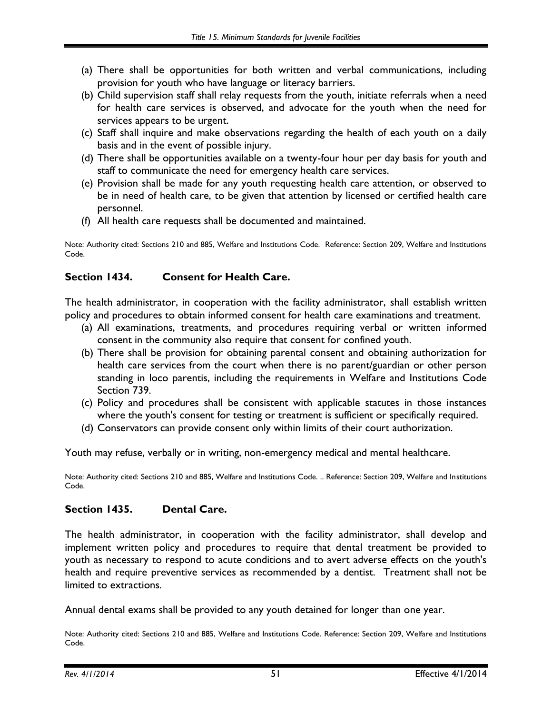- (a) There shall be opportunities for both written and verbal communications, including provision for youth who have language or literacy barriers.
- (b) Child supervision staff shall relay requests from the youth, initiate referrals when a need for health care services is observed, and advocate for the youth when the need for services appears to be urgent.
- (c) Staff shall inquire and make observations regarding the health of each youth on a daily basis and in the event of possible injury.
- (d) There shall be opportunities available on a twenty-four hour per day basis for youth and staff to communicate the need for emergency health care services.
- (e) Provision shall be made for any youth requesting health care attention, or observed to be in need of health care, to be given that attention by licensed or certified health care personnel.
- (f) All health care requests shall be documented and maintained.

Note: Authority cited: Sections 210 and 885, Welfare and Institutions Code. Reference: Section 209, Welfare and Institutions Code.

# <span id="page-50-0"></span>**Section 1434. Consent for Health Care.**

The health administrator, in cooperation with the facility administrator, shall establish written policy and procedures to obtain informed consent for health care examinations and treatment.

- (a) All examinations, treatments, and procedures requiring verbal or written informed consent in the community also require that consent for confined youth.
- (b) There shall be provision for obtaining parental consent and obtaining authorization for health care services from the court when there is no parent/guardian or other person standing in loco parentis, including the requirements in Welfare and Institutions Code Section 739.
- (c) Policy and procedures shall be consistent with applicable statutes in those instances where the youth's consent for testing or treatment is sufficient or specifically required.
- (d) Conservators can provide consent only within limits of their court authorization.

Youth may refuse, verbally or in writing, non-emergency medical and mental healthcare.

Note: Authority cited: Sections 210 and 885, Welfare and Institutions Code. .. Reference: Section 209, Welfare and Institutions Code.

# <span id="page-50-1"></span>**Section 1435. Dental Care.**

The health administrator, in cooperation with the facility administrator, shall develop and implement written policy and procedures to require that dental treatment be provided to youth as necessary to respond to acute conditions and to avert adverse effects on the youth's health and require preventive services as recommended by a dentist. Treatment shall not be limited to extractions.

Annual dental exams shall be provided to any youth detained for longer than one year.

Note: Authority cited: Sections 210 and 885, Welfare and Institutions Code. Reference: Section 209, Welfare and Institutions Code.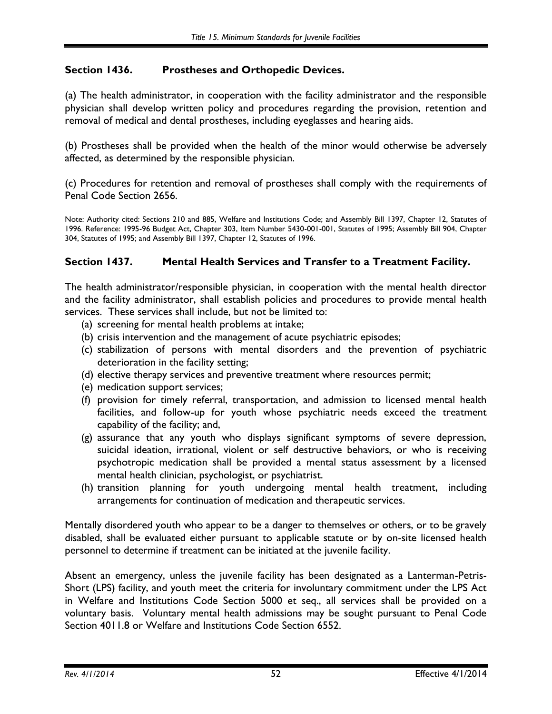# <span id="page-51-0"></span>**Section 1436. Prostheses and Orthopedic Devices.**

(a) The health administrator, in cooperation with the facility administrator and the responsible physician shall develop written policy and procedures regarding the provision, retention and removal of medical and dental prostheses, including eyeglasses and hearing aids.

(b) Prostheses shall be provided when the health of the minor would otherwise be adversely affected, as determined by the responsible physician.

(c) Procedures for retention and removal of prostheses shall comply with the requirements of Penal Code Section 2656.

Note: Authority cited: Sections 210 and 885, Welfare and Institutions Code; and Assembly Bill 1397, Chapter 12, Statutes of 1996. Reference: 1995-96 Budget Act, Chapter 303, Item Number 5430-001-001, Statutes of 1995; Assembly Bill 904, Chapter 304, Statutes of 1995; and Assembly Bill 1397, Chapter 12, Statutes of 1996.

### <span id="page-51-1"></span>**Section 1437. Mental Health Services and Transfer to a Treatment Facility.**

The health administrator/responsible physician, in cooperation with the mental health director and the facility administrator, shall establish policies and procedures to provide mental health services. These services shall include, but not be limited to:

- (a) screening for mental health problems at intake;
- (b) crisis intervention and the management of acute psychiatric episodes;
- (c) stabilization of persons with mental disorders and the prevention of psychiatric deterioration in the facility setting;
- (d) elective therapy services and preventive treatment where resources permit;
- (e) medication support services;
- (f) provision for timely referral, transportation, and admission to licensed mental health facilities, and follow-up for youth whose psychiatric needs exceed the treatment capability of the facility; and,
- (g) assurance that any youth who displays significant symptoms of severe depression, suicidal ideation, irrational, violent or self destructive behaviors, or who is receiving psychotropic medication shall be provided a mental status assessment by a licensed mental health clinician, psychologist, or psychiatrist.
- (h) transition planning for youth undergoing mental health treatment, including arrangements for continuation of medication and therapeutic services.

Mentally disordered youth who appear to be a danger to themselves or others, or to be gravely disabled, shall be evaluated either pursuant to applicable statute or by on-site licensed health personnel to determine if treatment can be initiated at the juvenile facility.

Absent an emergency, unless the juvenile facility has been designated as a Lanterman-Petris-Short (LPS) facility, and youth meet the criteria for involuntary commitment under the LPS Act in Welfare and Institutions Code Section 5000 et seq., all services shall be provided on a voluntary basis. Voluntary mental health admissions may be sought pursuant to Penal Code Section 4011.8 or Welfare and Institutions Code Section 6552.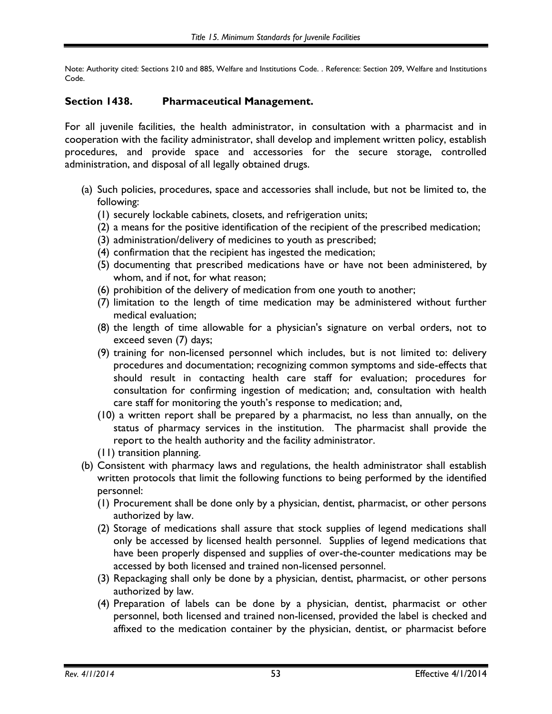Note: Authority cited: Sections 210 and 885, Welfare and Institutions Code. . Reference: Section 209, Welfare and Institutions Code.

#### <span id="page-52-0"></span>**Section 1438. Pharmaceutical Management.**

For all juvenile facilities, the health administrator, in consultation with a pharmacist and in cooperation with the facility administrator, shall develop and implement written policy, establish procedures, and provide space and accessories for the secure storage, controlled administration, and disposal of all legally obtained drugs.

- (a) Such policies, procedures, space and accessories shall include, but not be limited to, the following:
	- (1) securely lockable cabinets, closets, and refrigeration units;
	- (2) a means for the positive identification of the recipient of the prescribed medication;
	- (3) administration/delivery of medicines to youth as prescribed;
	- (4) confirmation that the recipient has ingested the medication;
	- (5) documenting that prescribed medications have or have not been administered, by whom, and if not, for what reason;
	- (6) prohibition of the delivery of medication from one youth to another;
	- (7) limitation to the length of time medication may be administered without further medical evaluation;
	- (8) the length of time allowable for a physician's signature on verbal orders, not to exceed seven (7) days;
	- (9) training for non-licensed personnel which includes, but is not limited to: delivery procedures and documentation; recognizing common symptoms and side-effects that should result in contacting health care staff for evaluation; procedures for consultation for confirming ingestion of medication; and, consultation with health care staff for monitoring the youth's response to medication; and,
	- (10) a written report shall be prepared by a pharmacist, no less than annually, on the status of pharmacy services in the institution. The pharmacist shall provide the report to the health authority and the facility administrator.
	- (11) transition planning.
- (b) Consistent with pharmacy laws and regulations, the health administrator shall establish written protocols that limit the following functions to being performed by the identified personnel:
	- (1) Procurement shall be done only by a physician, dentist, pharmacist, or other persons authorized by law.
	- (2) Storage of medications shall assure that stock supplies of legend medications shall only be accessed by licensed health personnel. Supplies of legend medications that have been properly dispensed and supplies of over-the-counter medications may be accessed by both licensed and trained non-licensed personnel.
	- (3) Repackaging shall only be done by a physician, dentist, pharmacist, or other persons authorized by law.
	- (4) Preparation of labels can be done by a physician, dentist, pharmacist or other personnel, both licensed and trained non-licensed, provided the label is checked and affixed to the medication container by the physician, dentist, or pharmacist before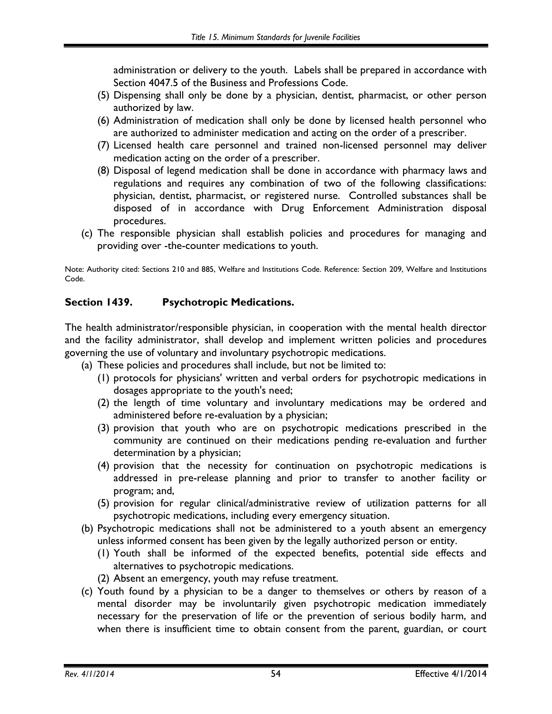administration or delivery to the youth. Labels shall be prepared in accordance with Section 4047.5 of the Business and Professions Code.

- (5) Dispensing shall only be done by a physician, dentist, pharmacist, or other person authorized by law.
- (6) Administration of medication shall only be done by licensed health personnel who are authorized to administer medication and acting on the order of a prescriber.
- (7) Licensed health care personnel and trained non-licensed personnel may deliver medication acting on the order of a prescriber.
- (8) Disposal of legend medication shall be done in accordance with pharmacy laws and regulations and requires any combination of two of the following classifications: physician, dentist, pharmacist, or registered nurse. Controlled substances shall be disposed of in accordance with Drug Enforcement Administration disposal procedures.
- (c) The responsible physician shall establish policies and procedures for managing and providing over -the-counter medications to youth.

Note: Authority cited: Sections 210 and 885, Welfare and Institutions Code. Reference: Section 209, Welfare and Institutions Code.

# <span id="page-53-0"></span>**Section 1439. Psychotropic Medications.**

The health administrator/responsible physician, in cooperation with the mental health director and the facility administrator, shall develop and implement written policies and procedures governing the use of voluntary and involuntary psychotropic medications.

- (a) These policies and procedures shall include, but not be limited to:
	- (1) protocols for physicians' written and verbal orders for psychotropic medications in dosages appropriate to the youth's need;
	- (2) the length of time voluntary and involuntary medications may be ordered and administered before re-evaluation by a physician;
	- (3) provision that youth who are on psychotropic medications prescribed in the community are continued on their medications pending re-evaluation and further determination by a physician;
	- (4) provision that the necessity for continuation on psychotropic medications is addressed in pre-release planning and prior to transfer to another facility or program; and,
	- (5) provision for regular clinical/administrative review of utilization patterns for all psychotropic medications, including every emergency situation.
- (b) Psychotropic medications shall not be administered to a youth absent an emergency unless informed consent has been given by the legally authorized person or entity.
	- (1) Youth shall be informed of the expected benefits, potential side effects and alternatives to psychotropic medications.
	- (2) Absent an emergency, youth may refuse treatment.
- (c) Youth found by a physician to be a danger to themselves or others by reason of a mental disorder may be involuntarily given psychotropic medication immediately necessary for the preservation of life or the prevention of serious bodily harm, and when there is insufficient time to obtain consent from the parent, guardian, or court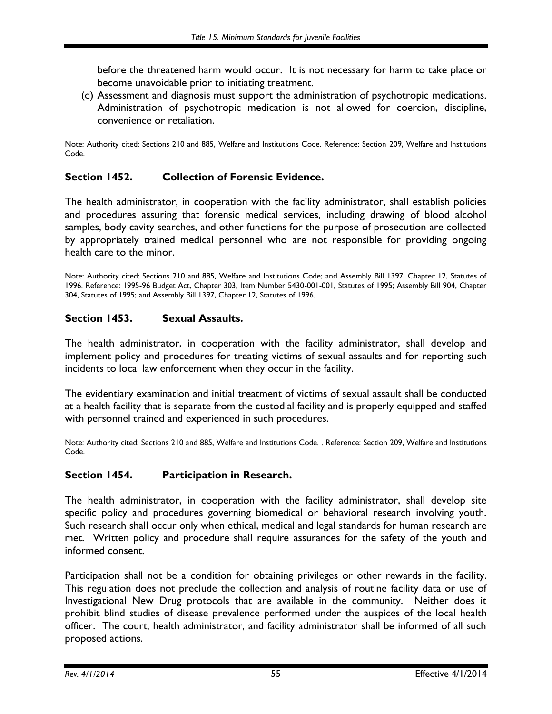before the threatened harm would occur. It is not necessary for harm to take place or become unavoidable prior to initiating treatment.

(d) Assessment and diagnosis must support the administration of psychotropic medications. Administration of psychotropic medication is not allowed for coercion, discipline, convenience or retaliation.

Note: Authority cited: Sections 210 and 885, Welfare and Institutions Code. Reference: Section 209, Welfare and Institutions Code.

# <span id="page-54-0"></span>**Section 1452. Collection of Forensic Evidence.**

The health administrator, in cooperation with the facility administrator, shall establish policies and procedures assuring that forensic medical services, including drawing of blood alcohol samples, body cavity searches, and other functions for the purpose of prosecution are collected by appropriately trained medical personnel who are not responsible for providing ongoing health care to the minor.

Note: Authority cited: Sections 210 and 885, Welfare and Institutions Code; and Assembly Bill 1397, Chapter 12, Statutes of 1996. Reference: 1995-96 Budget Act, Chapter 303, Item Number 5430-001-001, Statutes of 1995; Assembly Bill 904, Chapter 304, Statutes of 1995; and Assembly Bill 1397, Chapter 12, Statutes of 1996.

#### <span id="page-54-1"></span>**Section 1453. Sexual Assaults.**

The health administrator, in cooperation with the facility administrator, shall develop and implement policy and procedures for treating victims of sexual assaults and for reporting such incidents to local law enforcement when they occur in the facility.

The evidentiary examination and initial treatment of victims of sexual assault shall be conducted at a health facility that is separate from the custodial facility and is properly equipped and staffed with personnel trained and experienced in such procedures.

Note: Authority cited: Sections 210 and 885, Welfare and Institutions Code. . Reference: Section 209, Welfare and Institutions Code.

#### <span id="page-54-2"></span>**Section 1454. Participation in Research.**

The health administrator, in cooperation with the facility administrator, shall develop site specific policy and procedures governing biomedical or behavioral research involving youth. Such research shall occur only when ethical, medical and legal standards for human research are met. Written policy and procedure shall require assurances for the safety of the youth and informed consent.

Participation shall not be a condition for obtaining privileges or other rewards in the facility. This regulation does not preclude the collection and analysis of routine facility data or use of Investigational New Drug protocols that are available in the community. Neither does it prohibit blind studies of disease prevalence performed under the auspices of the local health officer. The court, health administrator, and facility administrator shall be informed of all such proposed actions.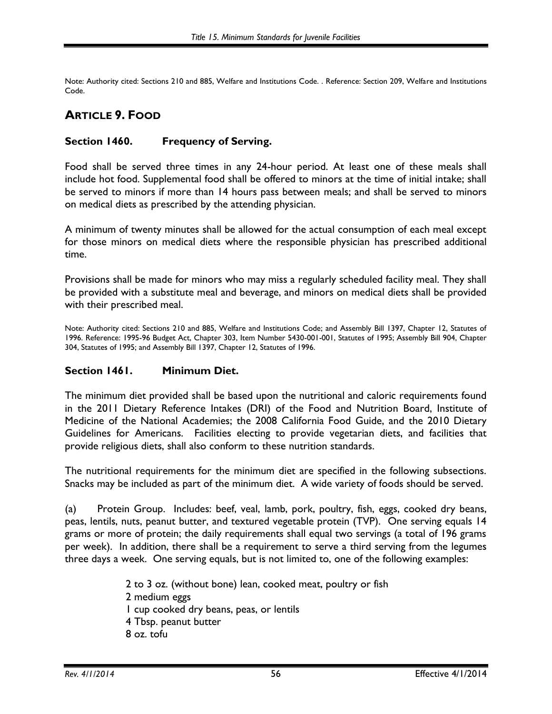Note: Authority cited: Sections 210 and 885, Welfare and Institutions Code. . Reference: Section 209, Welfare and Institutions Code.

# <span id="page-55-0"></span>**A[RTICLE](http://weblinks.westlaw.com/find/default.wl?db=CA-ADC-WEB&ordoc=IC3CFEE5080EF11E3919DFDAA2C695CEE&jh=Article+9.+Food&docname=PRT(IC3D0156080EF11E3919DFDAA2C695CEE)+%26+BEG-DATE(%3c%3d03%2f31%2f2014)+%26+END-DATE(%3e%3d03%2f31%2f2014)+%25+CI(REFS+(DISP+%2f2+TABLE)+(MISC+%2f2+TABLE))&jl=1&sr=SB&rp=%2ffind%2fdefault.wl&findtype=l&spa=CCR-1000&vr=2.0&fn=_top&jo=15%2bCA%2bADC%2b%25c2%25a7%2b1460&pbc=DA010192&rs=WEBL14.01) 9. FOOD**

#### <span id="page-55-1"></span>**Section 1460. Frequency of Serving.**

Food shall be served three times in any 24-hour period. At least one of these meals shall include hot food. Supplemental food shall be offered to minors at the time of initial intake; shall be served to minors if more than 14 hours pass between meals; and shall be served to minors on medical diets as prescribed by the attending physician.

A minimum of twenty minutes shall be allowed for the actual consumption of each meal except for those minors on medical diets where the responsible physician has prescribed additional time.

Provisions shall be made for minors who may miss a regularly scheduled facility meal. They shall be provided with a substitute meal and beverage, and minors on medical diets shall be provided with their prescribed meal.

Note: Authority cited: Sections 210 and 885, Welfare and Institutions Code; and Assembly Bill 1397, Chapter 12, Statutes of 1996. Reference: 1995-96 Budget Act, Chapter 303, Item Number 5430-001-001, Statutes of 1995; Assembly Bill 904, Chapter 304, Statutes of 1995; and Assembly Bill 1397, Chapter 12, Statutes of 1996.

#### <span id="page-55-2"></span>**Section 1461. Minimum Diet.**

The minimum diet provided shall be based upon the nutritional and caloric requirements found in the 2011 Dietary Reference Intakes (DRI) of the Food and Nutrition Board, Institute of Medicine of the National Academies; the 2008 California Food Guide, and the 2010 Dietary Guidelines for Americans. Facilities electing to provide vegetarian diets, and facilities that provide religious diets, shall also conform to these nutrition standards.

The nutritional requirements for the minimum diet are specified in the following subsections. Snacks may be included as part of the minimum diet. A wide variety of foods should be served.

(a) Protein Group. Includes: beef, veal, lamb, pork, poultry, fish, eggs, cooked dry beans, peas, lentils, nuts, peanut butter, and textured vegetable protein (TVP). One serving equals 14 grams or more of protein; the daily requirements shall equal two servings (a total of 196 grams per week). In addition, there shall be a requirement to serve a third serving from the legumes three days a week. One serving equals, but is not limited to, one of the following examples:

> 2 to 3 oz. (without bone) lean, cooked meat, poultry or fish 2 medium eggs 1 cup cooked dry beans, peas, or lentils 4 Tbsp. peanut butter 8 oz. tofu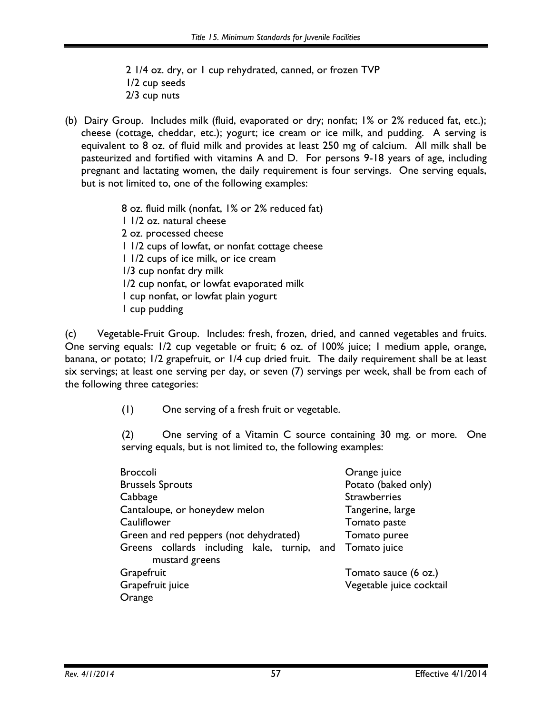2 1/4 oz. dry, or 1 cup rehydrated, canned, or frozen TVP 1/2 cup seeds 2/3 cup nuts

(b) Dairy Group. Includes milk (fluid, evaporated or dry; nonfat; 1% or 2% reduced fat, etc.); cheese (cottage, cheddar, etc.); yogurt; ice cream or ice milk, and pudding. A serving is equivalent to 8 oz. of fluid milk and provides at least 250 mg of calcium. All milk shall be pasteurized and fortified with vitamins A and D. For persons 9-18 years of age, including pregnant and lactating women, the daily requirement is four servings. One serving equals, but is not limited to, one of the following examples:

> 8 oz. fluid milk (nonfat, 1% or 2% reduced fat) 1 1/2 oz. natural cheese 2 oz. processed cheese 1 1/2 cups of lowfat, or nonfat cottage cheese 1 1/2 cups of ice milk, or ice cream 1/3 cup nonfat dry milk 1/2 cup nonfat, or lowfat evaporated milk 1 cup nonfat, or lowfat plain yogurt 1 cup pudding

(c) Vegetable-Fruit Group. Includes: fresh, frozen, dried, and canned vegetables and fruits. One serving equals: 1/2 cup vegetable or fruit; 6 oz. of 100% juice; 1 medium apple, orange, banana, or potato; 1/2 grapefruit, or 1/4 cup dried fruit. The daily requirement shall be at least six servings; at least one serving per day, or seven (7) servings per week, shall be from each of the following three categories:

(1) One serving of a fresh fruit or vegetable.

(2) One serving of a Vitamin C source containing 30 mg. or more. One serving equals, but is not limited to, the following examples:

| <b>Broccoli</b>                                          | Orange juice             |
|----------------------------------------------------------|--------------------------|
| <b>Brussels Sprouts</b>                                  | Potato (baked only)      |
| Cabbage                                                  | <b>Strawberries</b>      |
| Cantaloupe, or honeydew melon                            | Tangerine, large         |
| Cauliflower                                              | Tomato paste             |
| Green and red peppers (not dehydrated)                   | Tomato puree             |
| Greens collards including kale, turnip, and Tomato juice |                          |
| mustard greens                                           |                          |
| Grapefruit                                               | Tomato sauce (6 oz.)     |
| Grapefruit juice                                         | Vegetable juice cocktail |
| Orange                                                   |                          |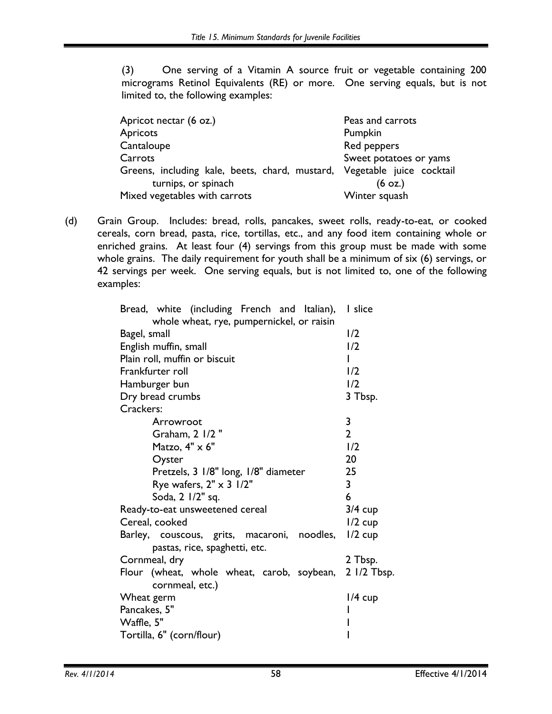(3) One serving of a Vitamin A source fruit or vegetable containing 200 micrograms Retinol Equivalents (RE) or more. One serving equals, but is not limited to, the following examples:

| Apricot nectar (6 oz.)                                                  | Peas and carrots       |
|-------------------------------------------------------------------------|------------------------|
| <b>Apricots</b>                                                         | Pumpkin                |
| Cantaloupe                                                              | Red peppers            |
| Carrots                                                                 | Sweet potatoes or yams |
| Greens, including kale, beets, chard, mustard, Vegetable juice cocktail |                        |
| turnips, or spinach                                                     | (6 oz.)                |
| Mixed vegetables with carrots                                           | Winter squash          |

(d) Grain Group. Includes: bread, rolls, pancakes, sweet rolls, ready-to-eat, or cooked cereals, corn bread, pasta, rice, tortillas, etc., and any food item containing whole or enriched grains. At least four (4) servings from this group must be made with some whole grains. The daily requirement for youth shall be a minimum of six (6) servings, or 42 servings per week. One serving equals, but is not limited to, one of the following examples:

| Bread, white (including French and Italian),           | I slice        |
|--------------------------------------------------------|----------------|
| whole wheat, rye, pumpernickel, or raisin              |                |
| Bagel, small                                           | 1/2            |
| English muffin, small                                  | 1/2            |
| Plain roll, muffin or biscuit                          | I              |
| Frankfurter roll                                       | 1/2            |
| Hamburger bun                                          | 1/2            |
| Dry bread crumbs                                       | 3 Tbsp.        |
| Crackers:                                              |                |
| Arrowroot                                              | 3              |
| Graham, 2 1/2"                                         | $\overline{2}$ |
| Matzo, 4" x 6"                                         | 1/2            |
| Oyster                                                 | 20             |
| Pretzels, 3 1/8" long, 1/8" diameter                   | 25             |
| Rye wafers, $2" \times 3$ 1/2"                         | 3              |
| Soda, 2 1/2" sq.                                       | 6              |
| Ready-to-eat unsweetened cereal                        | $3/4$ cup      |
| Cereal, cooked                                         | $1/2$ cup      |
| Barley, couscous, grits, macaroni, noodles,            | $1/2$ cup      |
| pastas, rice, spaghetti, etc.                          |                |
| Cornmeal, dry                                          | 2 Tbsp.        |
| Flour (wheat, whole wheat, carob, soybean, 2 I/2 Tbsp. |                |
| cornmeal, etc.)                                        |                |
| Wheat germ                                             | $1/4$ cup      |
| Pancakes, 5"                                           |                |
| Waffle, 5"                                             |                |
| Tortilla, 6" (corn/flour)                              |                |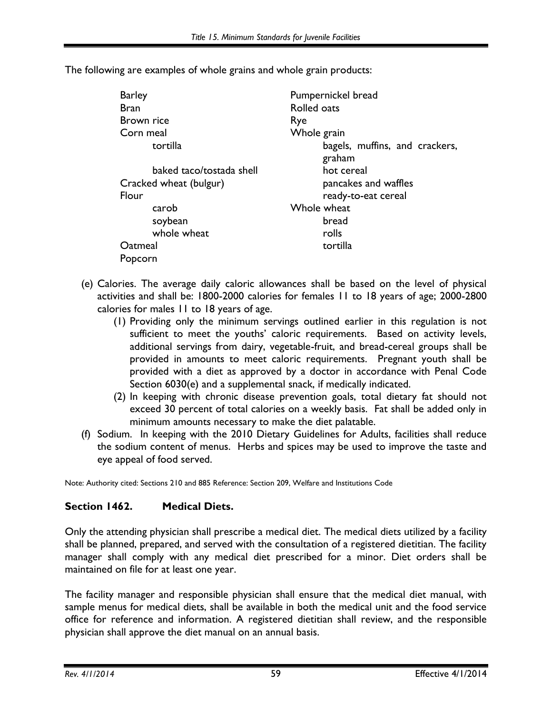Barley **Pumpernickel** bread Bran Rolled oats Brown rice Rye Corn meal Whole grain tortilla bagels, muffins, and crackers, graham baked taco/tostada shell hot cereal Cracked wheat (bulgur) pancakes and waffles Flour ready-to-eat cereal carob Whole wheat soybean bread whole wheat  $\qquad \qquad$  rolls Oatmeal tortilla Popcorn

The following are examples of whole grains and whole grain products:

- (e) Calories. The average daily caloric allowances shall be based on the level of physical activities and shall be: 1800-2000 calories for females 11 to 18 years of age; 2000-2800 calories for males 11 to 18 years of age.
	- (1) Providing only the minimum servings outlined earlier in this regulation is not sufficient to meet the youths' caloric requirements. Based on activity levels, additional servings from dairy, vegetable-fruit, and bread-cereal groups shall be provided in amounts to meet caloric requirements. Pregnant youth shall be provided with a diet as approved by a doctor in accordance with Penal Code Section 6030(e) and a supplemental snack, if medically indicated.
	- (2) In keeping with chronic disease prevention goals, total dietary fat should not exceed 30 percent of total calories on a weekly basis. Fat shall be added only in minimum amounts necessary to make the diet palatable.
- (f) Sodium. In keeping with the 2010 Dietary Guidelines for Adults, facilities shall reduce the sodium content of menus. Herbs and spices may be used to improve the taste and eye appeal of food served.

<span id="page-58-0"></span>Note: Authority cited: Sections 210 and 885 Reference: Section 209, Welfare and Institutions Code

# **Section 1462. Medical Diets.**

Only the attending physician shall prescribe a medical diet. The medical diets utilized by a facility shall be planned, prepared, and served with the consultation of a registered dietitian. The facility manager shall comply with any medical diet prescribed for a minor. Diet orders shall be maintained on file for at least one year.

The facility manager and responsible physician shall ensure that the medical diet manual, with sample menus for medical diets, shall be available in both the medical unit and the food service office for reference and information. A registered dietitian shall review, and the responsible physician shall approve the diet manual on an annual basis.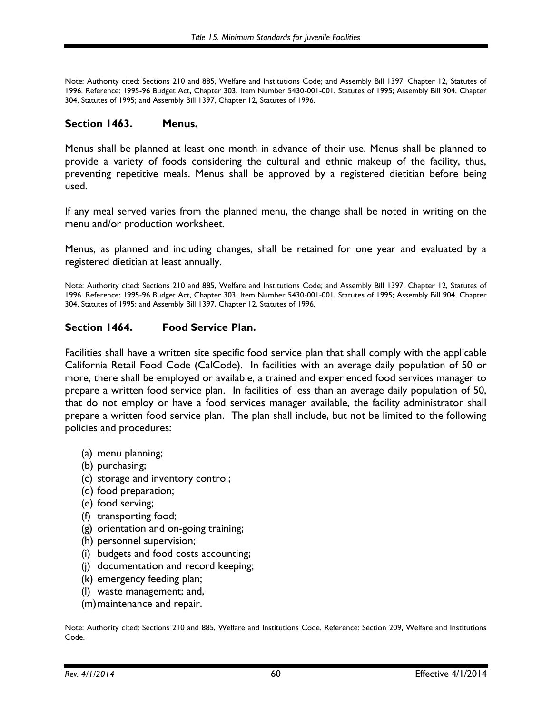Note: Authority cited: Sections 210 and 885, Welfare and Institutions Code; and Assembly Bill 1397, Chapter 12, Statutes of 1996. Reference: 1995-96 Budget Act, Chapter 303, Item Number 5430-001-001, Statutes of 1995; Assembly Bill 904, Chapter 304, Statutes of 1995; and Assembly Bill 1397, Chapter 12, Statutes of 1996.

#### <span id="page-59-0"></span>**Section 1463. Menus.**

Menus shall be planned at least one month in advance of their use. Menus shall be planned to provide a variety of foods considering the cultural and ethnic makeup of the facility, thus, preventing repetitive meals. Menus shall be approved by a registered dietitian before being used.

If any meal served varies from the planned menu, the change shall be noted in writing on the menu and/or production worksheet.

Menus, as planned and including changes, shall be retained for one year and evaluated by a registered dietitian at least annually.

Note: Authority cited: Sections 210 and 885, Welfare and Institutions Code; and Assembly Bill 1397, Chapter 12, Statutes of 1996. Reference: 1995-96 Budget Act, Chapter 303, Item Number 5430-001-001, Statutes of 1995; Assembly Bill 904, Chapter 304, Statutes of 1995; and Assembly Bill 1397, Chapter 12, Statutes of 1996.

#### <span id="page-59-1"></span>**Section 1464. Food Service Plan.**

Facilities shall have a written site specific food service plan that shall comply with the applicable California Retail Food Code (CalCode). In facilities with an average daily population of 50 or more, there shall be employed or available, a trained and experienced food services manager to prepare a written food service plan. In facilities of less than an average daily population of 50, that do not employ or have a food services manager available, the facility administrator shall prepare a written food service plan. The plan shall include, but not be limited to the following policies and procedures:

- (a) menu planning;
- (b) purchasing;
- (c) storage and inventory control;
- (d) food preparation;
- (e) food serving;
- (f) transporting food;
- (g) orientation and on-going training;
- (h) personnel supervision;
- (i) budgets and food costs accounting;
- (j) documentation and record keeping;
- (k) emergency feeding plan;
- (l) waste management; and,
- (m) maintenance and repair.

Note: Authority cited: Sections 210 and 885, Welfare and Institutions Code. Reference: Section 209, Welfare and Institutions Code.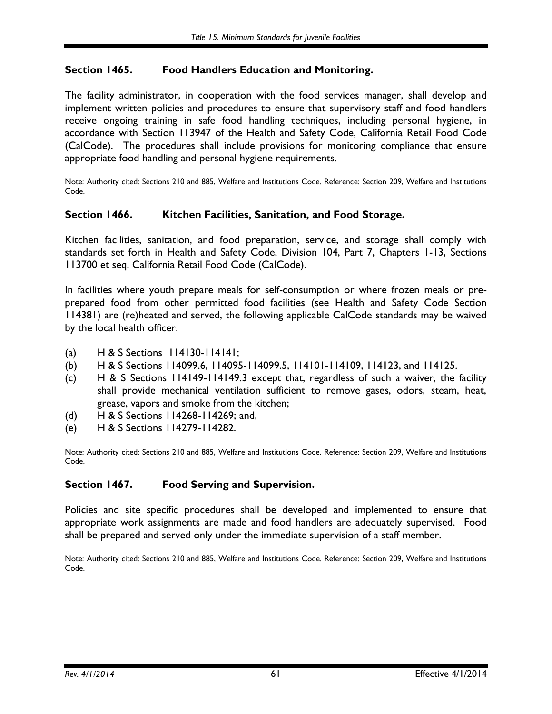## <span id="page-60-0"></span>**Section 1465. Food Handlers Education and Monitoring.**

The facility administrator, in cooperation with the food services manager, shall develop and implement written policies and procedures to ensure that supervisory staff and food handlers receive ongoing training in safe food handling techniques, including personal hygiene, in accordance with Section 113947 of the Health and Safety Code, California Retail Food Code (CalCode). The procedures shall include provisions for monitoring compliance that ensure appropriate food handling and personal hygiene requirements.

Note: Authority cited: Sections 210 and 885, Welfare and Institutions Code. Reference: Section 209, Welfare and Institutions Code.

#### <span id="page-60-1"></span>**Section 1466. Kitchen Facilities, Sanitation, and Food Storage.**

Kitchen facilities, sanitation, and food preparation, service, and storage shall comply with standards set forth in Health and Safety Code, Division 104, Part 7, Chapters 1-13, Sections 113700 et seq. California Retail Food Code (CalCode).

In facilities where youth prepare meals for self-consumption or where frozen meals or preprepared food from other permitted food facilities (see Health and Safety Code Section 114381) are (re)heated and served, the following applicable CalCode standards may be waived by the local health officer:

- (a) H & S Sections 114130-114141;
- (b) H & S Sections 114099.6, 114095-114099.5, 114101-114109, 114123, and 114125.
- (c) H & S Sections 114149-114149.3 except that, regardless of such a waiver, the facility shall provide mechanical ventilation sufficient to remove gases, odors, steam, heat, grease, vapors and smoke from the kitchen;
- (d) H & S Sections 114268-114269; and,
- (e) H & S Sections 114279-114282.

Note: Authority cited: Sections 210 and 885, Welfare and Institutions Code. Reference: Section 209, Welfare and Institutions Code.

#### <span id="page-60-2"></span>**Section 1467. Food Serving and Supervision.**

Policies and site specific procedures shall be developed and implemented to ensure that appropriate work assignments are made and food handlers are adequately supervised. Food shall be prepared and served only under the immediate supervision of a staff member.

<span id="page-60-3"></span>Note: Authority cited: Sections 210 and 885, Welfare and Institutions Code. Reference: Section 209, Welfare and Institutions Code.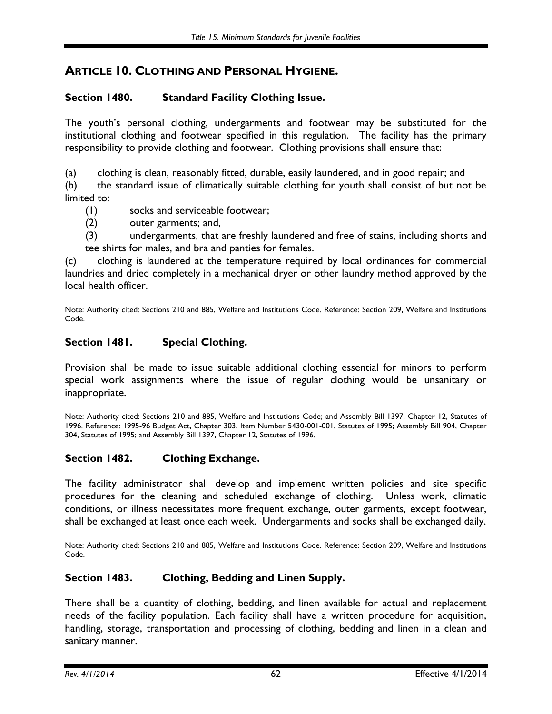# **ARTICLE 10. CLOTHING AND PERSONAL HYGIENE.**

# <span id="page-61-0"></span>**Section 1480. Standard Facility Clothing Issue.**

The youth's personal clothing, undergarments and footwear may be substituted for the institutional clothing and footwear specified in this regulation. The facility has the primary responsibility to provide clothing and footwear. Clothing provisions shall ensure that:

(a) clothing is clean, reasonably fitted, durable, easily laundered, and in good repair; and

(b) the standard issue of climatically suitable clothing for youth shall consist of but not be limited to:

- (1) socks and serviceable footwear;
- (2) outer garments; and,

(3) undergarments, that are freshly laundered and free of stains, including shorts and tee shirts for males, and bra and panties for females.

(c) clothing is laundered at the temperature required by local ordinances for commercial laundries and dried completely in a mechanical dryer or other laundry method approved by the local health officer.

Note: Authority cited: Sections 210 and 885, Welfare and Institutions Code. Reference: Section 209, Welfare and Institutions Code.

### <span id="page-61-1"></span>**Section 1481. Special Clothing.**

Provision shall be made to issue suitable additional clothing essential for minors to perform special work assignments where the issue of regular clothing would be unsanitary or inappropriate.

Note: Authority cited: Sections 210 and 885, Welfare and Institutions Code; and Assembly Bill 1397, Chapter 12, Statutes of 1996. Reference: 1995-96 Budget Act, Chapter 303, Item Number 5430-001-001, Statutes of 1995; Assembly Bill 904, Chapter 304, Statutes of 1995; and Assembly Bill 1397, Chapter 12, Statutes of 1996.

#### <span id="page-61-2"></span>**Section 1482. Clothing Exchange.**

The facility administrator shall develop and implement written policies and site specific procedures for the cleaning and scheduled exchange of clothing. Unless work, climatic conditions, or illness necessitates more frequent exchange, outer garments, except footwear, shall be exchanged at least once each week. Undergarments and socks shall be exchanged daily.

Note: Authority cited: Sections 210 and 885, Welfare and Institutions Code. Reference: Section 209, Welfare and Institutions Code.

# <span id="page-61-3"></span>**Section 1483. Clothing, Bedding and Linen Supply.**

There shall be a quantity of clothing, bedding, and linen available for actual and replacement needs of the facility population. Each facility shall have a written procedure for acquisition, handling, storage, transportation and processing of clothing, bedding and linen in a clean and sanitary manner.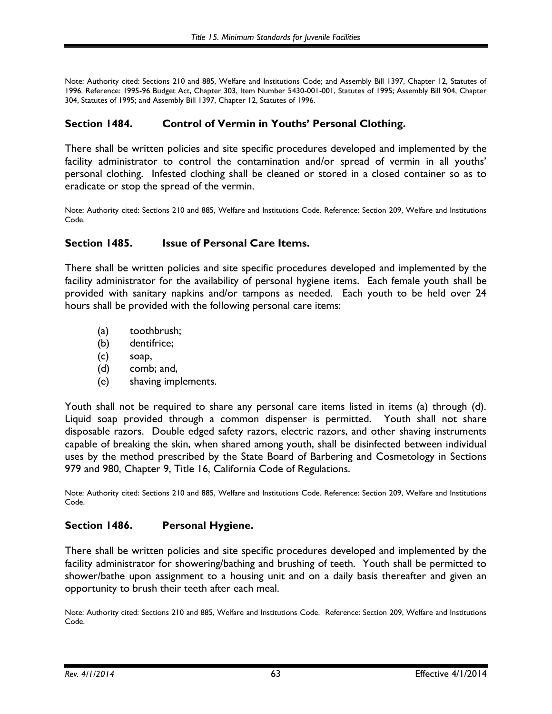Note: Authority cited: Sections 210 and 885, Welfare and Institutions Code; and Assembly Bill 1397, Chapter 12, Statutes of 1996. Reference: 1995-96 Budget Act, Chapter 303, Item Number 5430-001-001, Statutes of 1995; Assembly Bill 904, Chapter 304, Statutes of 1995; and Assembly Bill 1397, Chapter 12, Statutes of 1996.

# <span id="page-62-0"></span>**Section 1484. Control of Vermin in Youths' Personal Clothing.**

There shall be written policies and site specific procedures developed and implemented by the facility administrator to control the contamination and/or spread of vermin in all youths' personal clothing. Infested clothing shall be cleaned or stored in a closed container so as to eradicate or stop the spread of the vermin.

Note: Authority cited: Sections 210 and 885, Welfare and Institutions Code. Reference: Section 209, Welfare and Institutions Code.

# <span id="page-62-1"></span>**Section 1485. Issue of Personal Care Items.**

There shall be written policies and site specific procedures developed and implemented by the facility administrator for the availability of personal hygiene items. Each female youth shall be provided with sanitary napkins and/or tampons as needed. Each youth to be held over 24 hours shall be provided with the following personal care items:

- (a) toothbrush;
- (b) dentifrice;
- (c) soap,
- (d) comb; and,
- (e) shaving implements.

Youth shall not be required to share any personal care items listed in items (a) through (d). Liquid soap provided through a common dispenser is permitted. Youth shall not share disposable razors. Double edged safety razors, electric razors, and other shaving instruments capable of breaking the skin, when shared among youth, shall be disinfected between individual uses by the method prescribed by the State Board of Barbering and Cosmetology in Sections 979 and 980, Chapter 9, Title 16, California Code of Regulations.

Note: Authority cited: Sections 210 and 885, Welfare and Institutions Code. Reference: Section 209, Welfare and Institutions Code.

# <span id="page-62-2"></span>**Section 1486. Personal Hygiene.**

There shall be written policies and site specific procedures developed and implemented by the facility administrator for showering/bathing and brushing of teeth. Youth shall be permitted to shower/bathe upon assignment to a housing unit and on a daily basis thereafter and given an opportunity to brush their teeth after each meal.

Note: Authority cited: Sections 210 and 885, Welfare and Institutions Code. Reference: Section 209, Welfare and Institutions Code.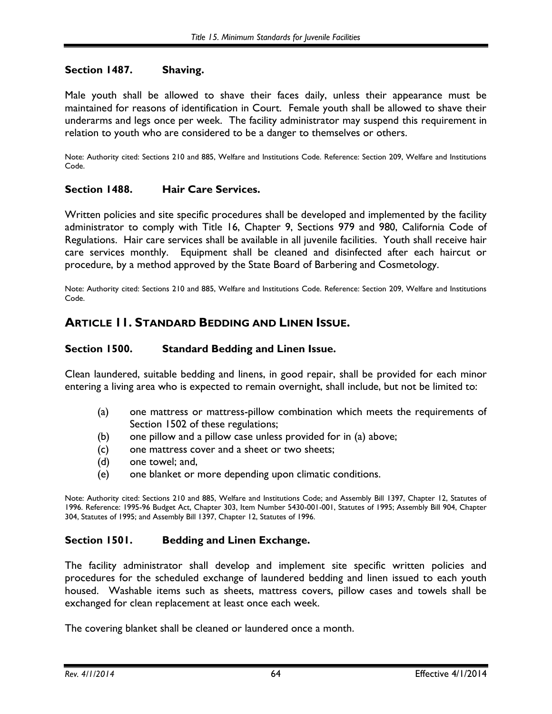#### <span id="page-63-0"></span>**Section 1487. Shaving.**

Male youth shall be allowed to shave their faces daily, unless their appearance must be maintained for reasons of identification in Court. Female youth shall be allowed to shave their underarms and legs once per week. The facility administrator may suspend this requirement in relation to youth who are considered to be a danger to themselves or others.

Note: Authority cited: Sections 210 and 885, Welfare and Institutions Code. Reference: Section 209, Welfare and Institutions Code.

#### <span id="page-63-1"></span>**Section 1488. Hair Care Services.**

Written policies and site specific procedures shall be developed and implemented by the facility administrator to comply with Title 16, Chapter 9, Sections 979 and 980, California Code of Regulations. Hair care services shall be available in all juvenile facilities. Youth shall receive hair care services monthly. Equipment shall be cleaned and disinfected after each haircut or procedure, by a method approved by the State Board of Barbering and Cosmetology.

Note: Authority cited: Sections 210 and 885, Welfare and Institutions Code. Reference: Section 209, Welfare and Institutions Code.

# <span id="page-63-2"></span>**ARTICLE 11. STANDARD BEDDING AND LINEN ISSUE.**

#### <span id="page-63-3"></span>**Section 1500. Standard Bedding and Linen Issue.**

Clean laundered, suitable bedding and linens, in good repair, shall be provided for each minor entering a living area who is expected to remain overnight, shall include, but not be limited to:

- (a) one mattress or mattress-pillow combination which meets the requirements of Section 1502 of these regulations;
- (b) one pillow and a pillow case unless provided for in (a) above;
- (c) one mattress cover and a sheet or two sheets;
- (d) one towel; and,
- (e) one blanket or more depending upon climatic conditions.

Note: Authority cited: Sections 210 and 885, Welfare and Institutions Code; and Assembly Bill 1397, Chapter 12, Statutes of 1996. Reference: 1995-96 Budget Act, Chapter 303, Item Number 5430-001-001, Statutes of 1995; Assembly Bill 904, Chapter 304, Statutes of 1995; and Assembly Bill 1397, Chapter 12, Statutes of 1996.

#### <span id="page-63-4"></span>**Section 1501. Bedding and Linen Exchange.**

The facility administrator shall develop and implement site specific written policies and procedures for the scheduled exchange of laundered bedding and linen issued to each youth housed. Washable items such as sheets, mattress covers, pillow cases and towels shall be exchanged for clean replacement at least once each week.

The covering blanket shall be cleaned or laundered once a month.